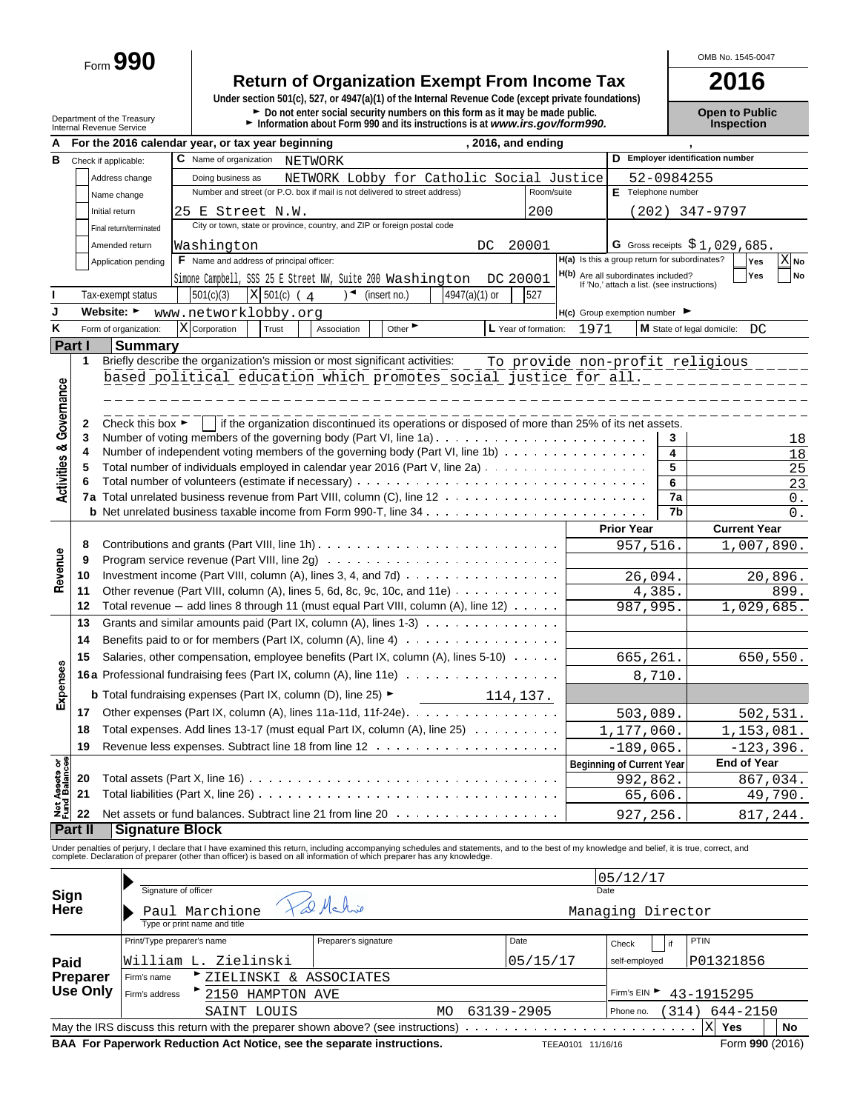Form **990**

# **Return of Organization Exempt From Income Tax**<br>
Under section 501(c), 527, or 4947(a)(1) of the Internal Revenue Code (except private foundations)

| Department of the Treasurv<br>Internal Revenue Service | $\blacktriangleright$ Do not enter social security numbers on this form as it may be made public.<br>Information about Form 990 and its instructions is at www.irs.gov/form990. | <b>Open to Public</b><br><b>Inspection</b> |
|--------------------------------------------------------|---------------------------------------------------------------------------------------------------------------------------------------------------------------------------------|--------------------------------------------|
|                                                        |                                                                                                                                                                                 |                                            |

|                                        |                |                                      | For the 2016 calendar year, or tax year beginning<br>, 2016, and ending                                              |                                                                                   |                    |                      |                                  |  |  |
|----------------------------------------|----------------|--------------------------------------|----------------------------------------------------------------------------------------------------------------------|-----------------------------------------------------------------------------------|--------------------|----------------------|----------------------------------|--|--|
| в                                      |                | Check if applicable:                 | C Name of organization<br>NETWORK                                                                                    |                                                                                   |                    |                      | D Employer identification number |  |  |
|                                        |                | Address change                       | NETWORK Lobby for Catholic Social Justice<br>Doing business as                                                       |                                                                                   |                    | 52-0984255           |                                  |  |  |
|                                        |                | Name change                          | Number and street (or P.O. box if mail is not delivered to street address)<br>Room/suite                             |                                                                                   | E Telephone number |                      |                                  |  |  |
|                                        |                | Initial return                       | 200<br>25 E Street N.W.                                                                                              |                                                                                   |                    |                      | (202) 347-9797                   |  |  |
|                                        |                | Final return/terminated              | City or town, state or province, country, and ZIP or foreign postal code                                             |                                                                                   |                    |                      |                                  |  |  |
|                                        |                | Amended return                       | Washington<br>20001<br>DC.                                                                                           |                                                                                   |                    |                      | G Gross receipts $$1,029,685$ .  |  |  |
|                                        |                | Application pending                  | F Name and address of principal officer:                                                                             | H(a) Is this a group return for subordinates?                                     |                    |                      | $X_{\mathsf{No}}$<br>Yes         |  |  |
|                                        |                |                                      | Simone Campbell, SSS 25 E Street NW, Suite 200 Washington<br>DC 20001                                                | H(b) Are all subordinates included?<br>If 'No,' attach a list. (see instructions) |                    |                      | Yes<br>No                        |  |  |
|                                        |                | Tax-exempt status                    | X 501(c) (4<br>4947(a)(1) or<br>501(c)(3)<br>$\rightarrow$<br>(insert no.)<br>527                                    |                                                                                   |                    |                      |                                  |  |  |
| J                                      |                | Website: ►                           | www.networklobby.org                                                                                                 | $H(c)$ Group exemption number                                                     |                    |                      |                                  |  |  |
| Κ                                      |                | Form of organization:                | Other<br>X Corporation<br>Association<br>L Year of formation:<br>Trust                                               | 1971                                                                              |                    |                      | M State of legal domicile:<br>DC |  |  |
|                                        | Part I         | <b>Summary</b>                       |                                                                                                                      |                                                                                   |                    |                      |                                  |  |  |
|                                        | 1              |                                      | Briefly describe the organization's mission or most significant activities:<br>To provide non-profit religious       |                                                                                   |                    |                      |                                  |  |  |
|                                        |                |                                      | based political education which promotes social justice for all.                                                     |                                                                                   |                    |                      |                                  |  |  |
|                                        |                |                                      |                                                                                                                      |                                                                                   |                    |                      |                                  |  |  |
|                                        | 2              | Check this box $\blacktriangleright$ | If the organization discontinued its operations or disposed of more than 25% of its net assets.                      |                                                                                   |                    |                      |                                  |  |  |
|                                        | 3              |                                      | Number of voting members of the governing body (Part VI, line 1a) $\ldots \ldots \ldots \ldots \ldots \ldots \ldots$ |                                                                                   |                    | 3                    | 18                               |  |  |
|                                        | 4              |                                      | Number of independent voting members of the governing body (Part VI, line 1b) $\cdots$                               |                                                                                   |                    | 4                    | 18                               |  |  |
|                                        | 5              |                                      | Total number of individuals employed in calendar year 2016 (Part V, line 2a)                                         |                                                                                   |                    | 5                    | 25                               |  |  |
| <b>Activities &amp; Governance</b>     |                |                                      |                                                                                                                      |                                                                                   |                    | 6                    | $\overline{23}$                  |  |  |
|                                        |                |                                      |                                                                                                                      |                                                                                   |                    | 7a<br>7 <sub>b</sub> | 0.                               |  |  |
|                                        |                |                                      |                                                                                                                      |                                                                                   | <b>Prior Year</b>  |                      | 0.<br><b>Current Year</b>        |  |  |
|                                        | 8              |                                      |                                                                                                                      |                                                                                   | 957,516.           |                      | 1,007,890.                       |  |  |
|                                        | 9              |                                      |                                                                                                                      |                                                                                   |                    |                      |                                  |  |  |
| Revenue                                | 10             |                                      | Investment income (Part VIII, column $(A)$ , lines 3, 4, and 7d) $\ldots$                                            |                                                                                   | 26,094.            |                      | 20,896.                          |  |  |
|                                        | 11             |                                      | Other revenue (Part VIII, column (A), lines 5, 6d, 8c, 9c, 10c, and 11e) $\cdots \cdots \cdots$                      |                                                                                   | 4,385.             |                      | 899.                             |  |  |
|                                        | 12             |                                      | Total revenue $-$ add lines 8 through 11 (must equal Part VIII, column (A), line 12) $\ldots \ldots$                 |                                                                                   | 987,995.           |                      | 1,029,685.                       |  |  |
|                                        | 13             |                                      | Grants and similar amounts paid (Part IX, column (A), lines $1-3$ )                                                  |                                                                                   |                    |                      |                                  |  |  |
|                                        | 14             |                                      | Benefits paid to or for members (Part IX, column $(A)$ , line $A$ ) $\cdots$                                         |                                                                                   |                    |                      |                                  |  |  |
|                                        | 15             |                                      | Salaries, other compensation, employee benefits (Part IX, column $(A)$ , lines 5-10) $\ldots$                        |                                                                                   | 665,261.           |                      | 650,550.                         |  |  |
|                                        |                |                                      | 16a Professional fundraising fees (Part IX, column (A), line 11e)                                                    |                                                                                   | 8,710.             |                      |                                  |  |  |
| Expenses                               |                |                                      | <b>b</b> Total fundraising expenses (Part IX, column (D), line 25) $\blacktriangleright$<br>114, 137.                |                                                                                   |                    |                      |                                  |  |  |
|                                        | 17             |                                      | Other expenses (Part IX, column (A), lines 11a-11d, 11f-24e). $\dots$                                                |                                                                                   | 503,089.           |                      | 502, 531.                        |  |  |
|                                        | 18             |                                      | Total expenses. Add lines 13-17 (must equal Part IX, column (A), line 25)                                            |                                                                                   | 1,177,060.         |                      | 1,153,081.                       |  |  |
|                                        | 19             |                                      | $-189,065.$                                                                                                          |                                                                                   | $-123,396.$        |                      |                                  |  |  |
|                                        |                |                                      |                                                                                                                      | <b>Beginning of Current Year</b>                                                  |                    |                      | <b>End of Year</b>               |  |  |
| <b>Net Assets or<br/>Fund Balances</b> | 20             |                                      |                                                                                                                      |                                                                                   | 992,862.           |                      | 867,034.                         |  |  |
|                                        | 21             |                                      |                                                                                                                      |                                                                                   | 65,606.            |                      | 49,790.                          |  |  |
|                                        | 22             |                                      | Net assets or fund balances. Subtract line 21 from line 20                                                           |                                                                                   | 927,256.           |                      | 817,244.                         |  |  |
|                                        | <b>Part II</b> | <b>Signature Block</b>               |                                                                                                                      |                                                                                   |                    |                      |                                  |  |  |

Under penalties of perjury, I declare that I have examined this return, including accompanying schedules and statements, and to the best of my knowledge and belief, it is true, correct, and<br>complete. Declaration of prepare

| Sign<br>Here                | Signature of officer<br>Paul Marchione<br>Type or print name and title                                         | al Mahie             | 05/12/17<br>Date<br>Managing Director |                        |                   |  |  |  |  |
|-----------------------------|----------------------------------------------------------------------------------------------------------------|----------------------|---------------------------------------|------------------------|-------------------|--|--|--|--|
| Paid                        | Print/Type preparer's name<br>William L. Zielinski                                                             | Preparer's signature | Date<br>05/15/17                      | Check<br>self-employed | PTIN<br>P01321856 |  |  |  |  |
| <b>Preparer</b><br>Use Only | E ZIELINSKI & ASSOCIATES<br>Firm's name<br>Firm's address                                                      |                      |                                       | Firm's EIN ▶           |                   |  |  |  |  |
|                             | 2150 HAMPTON AVE<br>SAINT LOUIS                                                                                | 63139-2905           | 43-1915295<br>644-2150<br>314)        |                        |                   |  |  |  |  |
|                             | X Yes<br>No                                                                                                    |                      |                                       |                        |                   |  |  |  |  |
|                             | BAA For Paperwork Reduction Act Notice, see the separate instructions.<br>Form 990 (2016)<br>TEEA0101 11/16/16 |                      |                                       |                        |                   |  |  |  |  |

OMB No. 1545-0047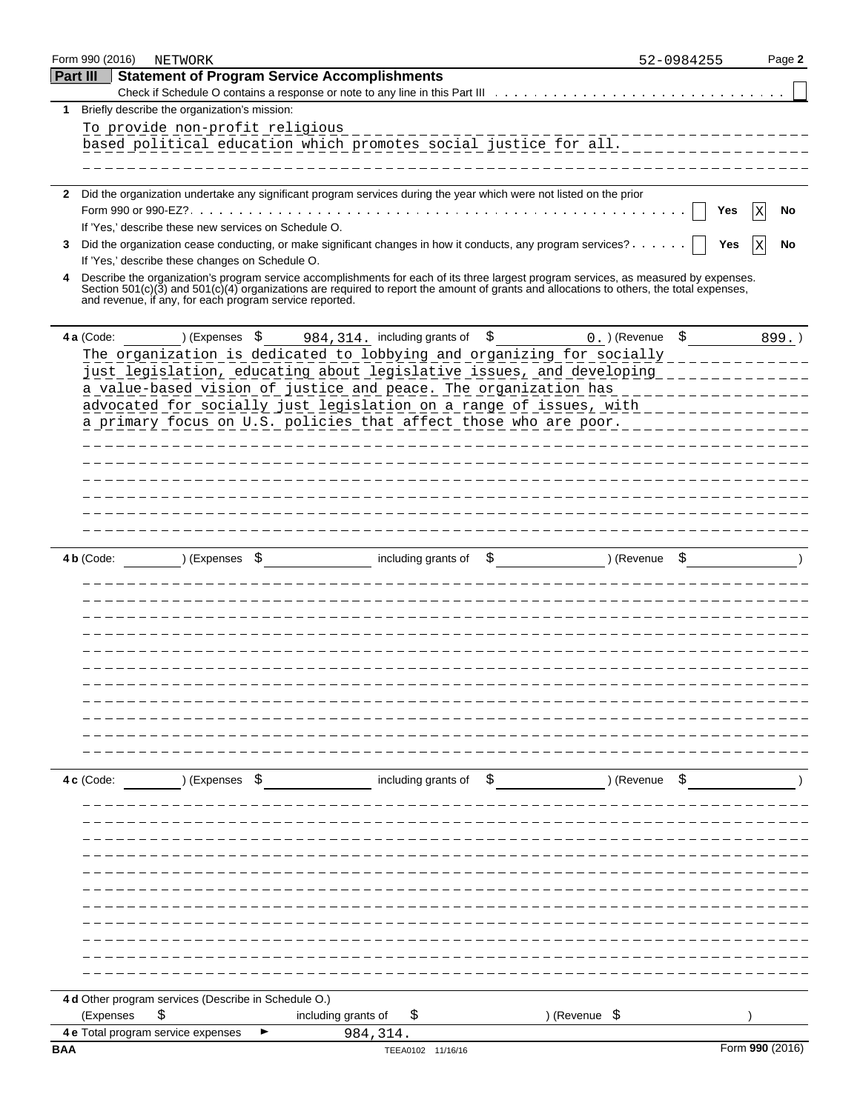|              | Form 990 (2016) | NETWORK                                                 |                                                                                                                                                                                                                                                                                      |                                     | 52-0984255 | Page 2          |
|--------------|-----------------|---------------------------------------------------------|--------------------------------------------------------------------------------------------------------------------------------------------------------------------------------------------------------------------------------------------------------------------------------------|-------------------------------------|------------|-----------------|
| Part III     |                 |                                                         | <b>Statement of Program Service Accomplishments</b>                                                                                                                                                                                                                                  |                                     |            |                 |
|              |                 |                                                         | Check if Schedule O contains a response or note to any line in this Part III                                                                                                                                                                                                         |                                     |            |                 |
| 1            |                 | Briefly describe the organization's mission:            |                                                                                                                                                                                                                                                                                      |                                     |            |                 |
|              |                 | To provide non-profit religious                         |                                                                                                                                                                                                                                                                                      |                                     |            |                 |
|              |                 |                                                         | based political education which promotes social justice for all.                                                                                                                                                                                                                     |                                     |            |                 |
|              |                 |                                                         |                                                                                                                                                                                                                                                                                      |                                     |            |                 |
|              |                 |                                                         |                                                                                                                                                                                                                                                                                      |                                     |            |                 |
| $\mathbf{2}$ |                 |                                                         | Did the organization undertake any significant program services during the year which were not listed on the prior                                                                                                                                                                   |                                     |            |                 |
|              |                 |                                                         |                                                                                                                                                                                                                                                                                      |                                     | Yes        | No              |
|              |                 | If 'Yes,' describe these new services on Schedule O.    | 3 Did the organization cease conducting, or make significant changes in how it conducts, any program services?                                                                                                                                                                       |                                     | Yes        | No              |
|              |                 | If 'Yes,' describe these changes on Schedule O.         |                                                                                                                                                                                                                                                                                      |                                     |            |                 |
| 4            |                 | and revenue, if any, for each program service reported. | Describe the organization's program service accomplishments for each of its three largest program services, as measured by expenses.<br>Section $501(c)(3)$ and $501(c)(4)$ organizations are required to report the amount of grants and allocations to others, the total expenses, |                                     |            |                 |
|              |                 |                                                         |                                                                                                                                                                                                                                                                                      |                                     |            |                 |
|              | 4 a (Code:      | ) (Expenses \$                                          | 984, 314. including grants of \$                                                                                                                                                                                                                                                     | $0.$ ) (Revenue $\frac{1}{2}$       |            | 899.)           |
|              |                 |                                                         | The organization is dedicated to lobbying and organizing for socially                                                                                                                                                                                                                |                                     |            |                 |
|              |                 |                                                         | just legislation, educating about legislative issues, and developing                                                                                                                                                                                                                 |                                     |            |                 |
|              |                 |                                                         | a value-based vision of justice and peace. The organization has                                                                                                                                                                                                                      |                                     |            |                 |
|              |                 |                                                         | advocated for socially just legislation on a range of issues, with                                                                                                                                                                                                                   |                                     |            |                 |
|              |                 |                                                         | a primary focus on U.S. policies that affect those who are poor.                                                                                                                                                                                                                     |                                     |            |                 |
|              |                 |                                                         |                                                                                                                                                                                                                                                                                      | _____________________________       |            |                 |
|              |                 |                                                         |                                                                                                                                                                                                                                                                                      | ___________________________________ |            |                 |
|              |                 |                                                         |                                                                                                                                                                                                                                                                                      |                                     |            |                 |
|              |                 |                                                         |                                                                                                                                                                                                                                                                                      |                                     |            |                 |
|              |                 |                                                         |                                                                                                                                                                                                                                                                                      | _______________________________     |            |                 |
|              |                 |                                                         |                                                                                                                                                                                                                                                                                      |                                     |            |                 |
|              |                 |                                                         |                                                                                                                                                                                                                                                                                      |                                     |            |                 |
|              | 4 b (Code:      | ) (Expenses                                             | including grants of                                                                                                                                                                                                                                                                  | ) (Revenue<br>\$                    |            |                 |
|              |                 |                                                         |                                                                                                                                                                                                                                                                                      |                                     |            |                 |
|              |                 |                                                         |                                                                                                                                                                                                                                                                                      | ________________________________    |            |                 |
|              |                 |                                                         |                                                                                                                                                                                                                                                                                      |                                     |            |                 |
|              |                 |                                                         |                                                                                                                                                                                                                                                                                      |                                     |            |                 |
|              |                 |                                                         |                                                                                                                                                                                                                                                                                      |                                     |            |                 |
|              |                 |                                                         |                                                                                                                                                                                                                                                                                      |                                     |            |                 |
|              |                 |                                                         |                                                                                                                                                                                                                                                                                      |                                     |            |                 |
|              |                 |                                                         |                                                                                                                                                                                                                                                                                      |                                     |            |                 |
|              |                 |                                                         |                                                                                                                                                                                                                                                                                      |                                     |            |                 |
|              |                 |                                                         |                                                                                                                                                                                                                                                                                      |                                     |            |                 |
|              |                 |                                                         |                                                                                                                                                                                                                                                                                      |                                     |            |                 |
|              |                 |                                                         |                                                                                                                                                                                                                                                                                      |                                     |            |                 |
|              | 4 c (Code:      |                                                         | ) (Expenses \$ including grants of \$ ) (Revenue \$                                                                                                                                                                                                                                  |                                     |            |                 |
|              |                 |                                                         |                                                                                                                                                                                                                                                                                      |                                     |            |                 |
|              |                 |                                                         |                                                                                                                                                                                                                                                                                      |                                     |            |                 |
|              |                 |                                                         |                                                                                                                                                                                                                                                                                      |                                     |            |                 |
|              |                 |                                                         |                                                                                                                                                                                                                                                                                      |                                     |            |                 |
|              |                 |                                                         |                                                                                                                                                                                                                                                                                      |                                     |            |                 |
|              |                 |                                                         |                                                                                                                                                                                                                                                                                      |                                     |            |                 |
|              |                 |                                                         |                                                                                                                                                                                                                                                                                      |                                     |            |                 |
|              |                 |                                                         |                                                                                                                                                                                                                                                                                      |                                     |            |                 |
|              |                 |                                                         |                                                                                                                                                                                                                                                                                      |                                     |            |                 |
|              |                 |                                                         |                                                                                                                                                                                                                                                                                      |                                     |            |                 |
|              |                 |                                                         |                                                                                                                                                                                                                                                                                      |                                     |            |                 |
|              |                 |                                                         |                                                                                                                                                                                                                                                                                      |                                     |            |                 |
|              |                 | 4 d Other program services (Describe in Schedule O.)    |                                                                                                                                                                                                                                                                                      |                                     |            |                 |
|              | (Expenses       | \$                                                      | including grants of<br>\$                                                                                                                                                                                                                                                            | ) (Revenue \$                       |            |                 |
|              |                 | 4 e Total program service expenses                      | 984, 314.                                                                                                                                                                                                                                                                            |                                     |            |                 |
| <b>BAA</b>   |                 |                                                         | TEEA0102 11/16/16                                                                                                                                                                                                                                                                    |                                     |            | Form 990 (2016) |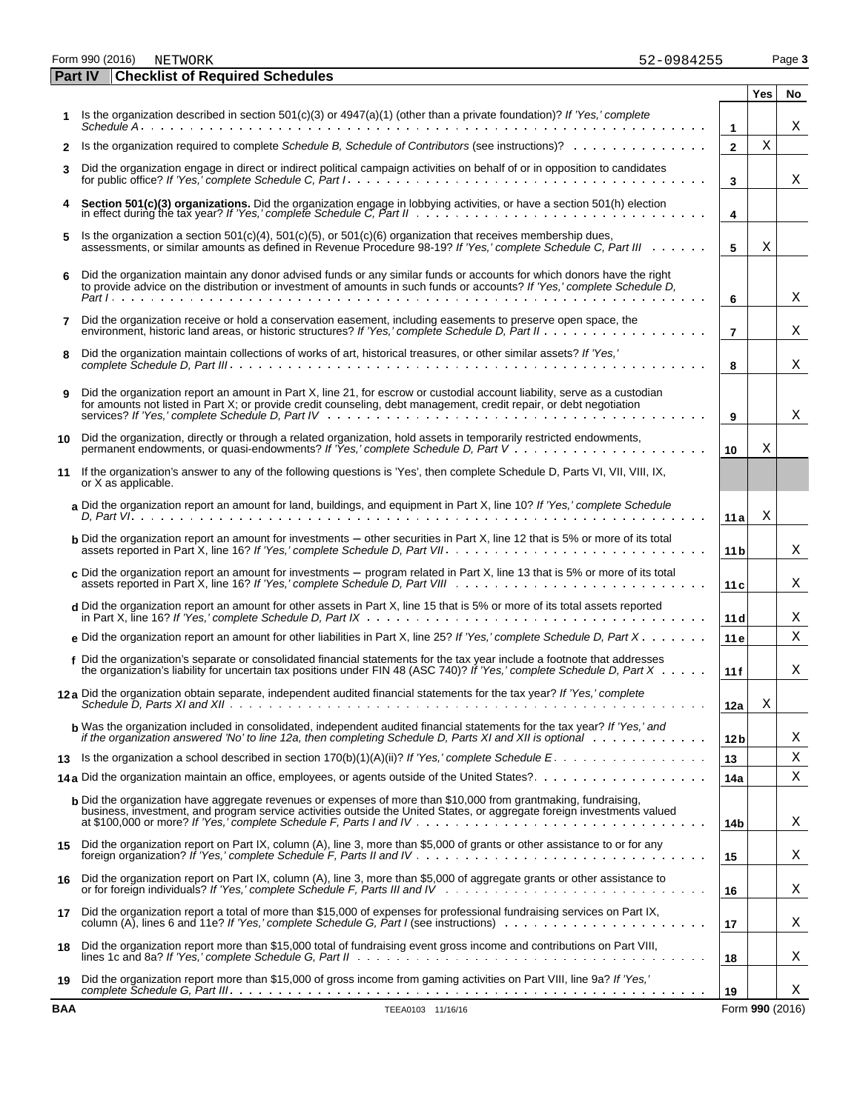Form 990 (2016) Page **3**

**Part IV** 

|    | <b>Checklist of Required Schedules</b>                                                                                                                                                                                                                                    |                 | Yes | No |
|----|---------------------------------------------------------------------------------------------------------------------------------------------------------------------------------------------------------------------------------------------------------------------------|-----------------|-----|----|
|    | Is the organization described in section $501(c)(3)$ or $4947(a)(1)$ (other than a private foundation)? If 'Yes,' complete                                                                                                                                                | $\mathbf{1}$    |     | Χ  |
| 2  | Is the organization required to complete Schedule B. Schedule of Contributors (see instructions)?                                                                                                                                                                         | $\mathbf{2}$    | Χ   |    |
| 3  | Did the organization engage in direct or indirect political campaign activities on behalf of or in opposition to candidates                                                                                                                                               | 3               |     | Χ  |
| 4  | Section 501(c)(3) organizations. Did the organization engage in lobbying activities, or have a section 501(h) election in effect during the tax year? If 'Yes,' complete Schedule C, Part II                                                                              | 4               |     |    |
| 5  | Is the organization a section $501(c)(4)$ , $501(c)(5)$ , or $501(c)(6)$ organization that receives membership dues,<br>assessments, or similar amounts as defined in Revenue Procedure 98-19? If 'Yes,' complete Schedule C, Part III                                    | 5               | Χ   |    |
| 6  | Did the organization maintain any donor advised funds or any similar funds or accounts for which donors have the right<br>to provide advice on the distribution or investment of amounts in such funds or accounts? If 'Yes,' complete Schedule D,                        | 6               |     | Χ  |
| 7  | Did the organization receive or hold a conservation easement, including easements to preserve open space, the                                                                                                                                                             | $\overline{7}$  |     | Χ  |
| 8  | Did the organization maintain collections of works of art, historical treasures, or other similar assets? If 'Yes,'                                                                                                                                                       | 8               |     | Χ  |
| 9  | Did the organization report an amount in Part X, line 21, for escrow or custodial account liability, serve as a custodian<br>for amounts not listed in Part X; or provide credit counseling, debt management, credit repair, or debt negotiation                          | 9               |     | Χ  |
| 10 | Did the organization, directly or through a related organization, hold assets in temporarily restricted endowments,                                                                                                                                                       | 10              | X   |    |
| 11 | If the organization's answer to any of the following questions is 'Yes', then complete Schedule D, Parts VI, VII, VIII, IX,<br>or X as applicable.                                                                                                                        |                 |     |    |
|    | a Did the organization report an amount for land, buildings, and equipment in Part X, line 10? If 'Yes,' complete Schedule                                                                                                                                                | 11 a            | Χ   |    |
|    | <b>b</b> Did the organization report an amount for investments – other securities in Part X, line 12 that is 5% or more of its total                                                                                                                                      | 11 <sub>b</sub> |     | Χ  |
|    | c Did the organization report an amount for investments $-$ program related in Part X, line 13 that is 5% or more of its total                                                                                                                                            | 11 <sub>c</sub> |     | Χ  |
|    | d Did the organization report an amount for other assets in Part X, line 15 that is 5% or more of its total assets reported                                                                                                                                               | 11d             |     | Χ  |
|    | e Did the organization report an amount for other liabilities in Part X, line 25? If 'Yes,' complete Schedule D, Part X                                                                                                                                                   | 11e             |     | Χ  |
|    | f Did the organization's separate or consolidated financial statements for the tax year include a footnote that addresses<br>the organization's liability for uncertain tax positions under FIN 48 (ASC 740)? If 'Yes,' complete Schedule D, Part $X \cdot \cdot \cdot$ . | 11f             |     | Χ  |
|    | 12a Did the organization obtain separate, independent audited financial statements for the tax year? If 'Yes,' complete                                                                                                                                                   | 12a             | Χ   |    |
|    | <b>b</b> Was the organization included in consolidated, independent audited financial statements for the tax year? If 'Yes,' and<br>if the organization answered 'No' to line 12a, then completing Schedule D, Parts XI and XII is optional with the with the with        | 12 b            |     | Χ  |
| 13 |                                                                                                                                                                                                                                                                           | 13              |     | Χ  |
|    | 14a Did the organization maintain an office, employees, or agents outside of the United States?                                                                                                                                                                           | 14a             |     | Χ  |
|    | <b>b</b> Did the organization have aggregate revenues or expenses of more than \$10,000 from grantmaking, fundraising,<br>business, investment, and program service activities outside the United States, or aggregate foreign investments valued                         | 14b             |     | Х. |
| 15 | Did the organization report on Part IX, column (A), line 3, more than \$5,000 of grants or other assistance to or for any                                                                                                                                                 | 15              |     | Χ  |
| 16 | Did the organization report on Part IX, column (A), line 3, more than \$5,000 of aggregate grants or other assistance to                                                                                                                                                  | 16              |     | Х  |

**17** Did the organization report a total of more than \$15,000 of expenses for professional fundraising services on Part IX, column (A), lines 6 and 11e? *If 'Yes,' complete Schedule G, Part I* (see instructions) **17 18** Did the organization report more than \$15,000 total of fundraising event gross income and contributions on Part VIII,

or for foreign individuals? *If 'Yes,' complete Schedule F, Parts III and IV* **16**

lines 1c and 8a? *If 'Yes,' complete Schedule G, Part II* **18 19** Did the organization report more than \$15,000 of gross income from gaming activities on Part VIII, line 9a? *If 'Yes,' complete Schedule G, Part III* **19**

**BAA** TEEA0103 11/16/16 Form **990** (2016)

X

X

X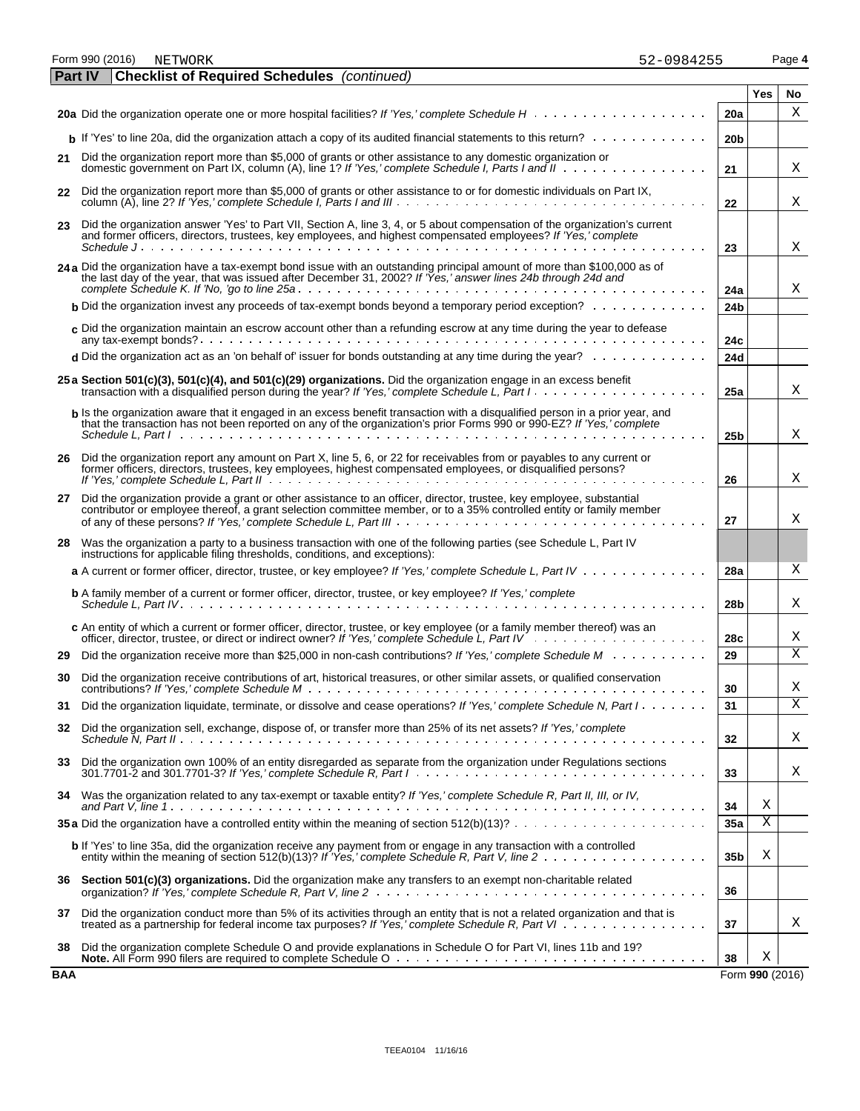|            |                                                                                                                                                                                                                                                                                                                                                               | 20a             |                         | Х                       |
|------------|---------------------------------------------------------------------------------------------------------------------------------------------------------------------------------------------------------------------------------------------------------------------------------------------------------------------------------------------------------------|-----------------|-------------------------|-------------------------|
|            | <b>b</b> If 'Yes' to line 20a, did the organization attach a copy of its audited financial statements to this return?                                                                                                                                                                                                                                         | 20 <sub>b</sub> |                         |                         |
| 21         | Did the organization report more than \$5,000 of grants or other assistance to any domestic organization or<br>domestic government on Part IX, column (A), line 1? If 'Yes,' complete Schedule I, Parts I and II                                                                                                                                              | 21              |                         | Χ                       |
| 22         | Did the organization report more than \$5,000 of grants or other assistance to or for domestic individuals on Part IX,                                                                                                                                                                                                                                        | 22              |                         | Χ                       |
| 23         | Did the organization answer 'Yes' to Part VII, Section A, line 3, 4, or 5 about compensation of the organization's current<br>and former officers, directors, trustees, key employees, and highest compensated employees? If 'Yes,' complete                                                                                                                  | 23              |                         | Χ                       |
|            | 24 a Did the organization have a tax-exempt bond issue with an outstanding principal amount of more than \$100,000 as of<br>the last day of the year, that was issued after December 31, 2002? If 'Yes,' answer lines 24b through 24d and                                                                                                                     | 24a             |                         | Χ                       |
|            | <b>b</b> Did the organization invest any proceeds of tax-exempt bonds beyond a temporary period exception? $\ldots \ldots \ldots$                                                                                                                                                                                                                             | 24 <sub>b</sub> |                         |                         |
|            | c Did the organization maintain an escrow account other than a refunding escrow at any time during the year to defease                                                                                                                                                                                                                                        | 24c             |                         |                         |
|            | <b>d</b> Did the organization act as an 'on behalf of' issuer for bonds outstanding at any time during the year? $\ldots \ldots \ldots$                                                                                                                                                                                                                       | 24d             |                         |                         |
|            | 25 a Section 501(c)(3), 501(c)(4), and 501(c)(29) organizations. Did the organization engage in an excess benefit<br>transaction with a disqualified person during the year? If 'Yes,' complete Schedule L, Part I.                                                                                                                                           | 25a             |                         | Χ                       |
|            | b Is the organization aware that it engaged in an excess benefit transaction with a disqualified person in a prior year, and<br>that the transaction has not been reported on any of the organization's prior Forms 990 or 990-EZ? If 'Yes,' complete<br>Schedule L. Part Independent Letter Letter Letter Letter Letter Letter Letter Letter Letter Letter L | 25 <sub>b</sub> |                         | Χ                       |
|            |                                                                                                                                                                                                                                                                                                                                                               |                 |                         |                         |
| 26         | Did the organization report any amount on Part X, line 5, 6, or 22 for receivables from or payables to any current or<br>former officers, directors, trustees, key employees, highest compensated employees, or disqualified persons?                                                                                                                         | 26              |                         | Χ                       |
| 27         | Did the organization provide a grant or other assistance to an officer, director, trustee, key employee, substantial<br>contributor or employee thereof, a grant selection committee member, or to a 35% controlled entity or family member                                                                                                                   | 27              |                         | Χ                       |
| 28         | Was the organization a party to a business transaction with one of the following parties (see Schedule L, Part IV<br>instructions for applicable filing thresholds, conditions, and exceptions):                                                                                                                                                              |                 |                         |                         |
|            | a A current or former officer, director, trustee, or key employee? If 'Yes,' complete Schedule L, Part IV                                                                                                                                                                                                                                                     | 28a             |                         | Χ                       |
|            | <b>b</b> A family member of a current or former officer, director, trustee, or key employee? If 'Yes,' complete                                                                                                                                                                                                                                               | 28b             |                         | Χ                       |
|            | c An entity of which a current or former officer, director, trustee, or key employee (or a family member thereof) was an                                                                                                                                                                                                                                      | 28c             |                         | Χ                       |
| 29         | Did the organization receive more than \$25,000 in non-cash contributions? If 'Yes,' complete Schedule M                                                                                                                                                                                                                                                      | 29              |                         | X                       |
| 30         | Did the organization receive contributions of art, historical treasures, or other similar assets, or qualified conservation                                                                                                                                                                                                                                   | 30              |                         | Χ                       |
| 31         | Did the organization liquidate, terminate, or dissolve and cease operations? If 'Yes,' complete Schedule N, Part I.                                                                                                                                                                                                                                           | 31              |                         | $\overline{\mathbf{X}}$ |
|            | 32 Did the organization sell, exchange, dispose of, or transfer more than 25% of its net assets? If 'Yes,' complete                                                                                                                                                                                                                                           | 32              |                         | Χ                       |
| 33         | Did the organization own 100% of an entity disregarded as separate from the organization under Regulations sections                                                                                                                                                                                                                                           | 33              |                         | Χ                       |
| 34         | Was the organization related to any tax-exempt or taxable entity? If 'Yes,' complete Schedule R, Part II, III, or IV,                                                                                                                                                                                                                                         | 34              | Χ                       |                         |
|            | <b>35 a</b> Did the organization have a controlled entity within the meaning of section $512(b)(13)? \ldots \ldots \ldots \ldots \ldots \ldots \ldots$                                                                                                                                                                                                        | 35a             | $\overline{\mathbf{X}}$ |                         |
|            | b If 'Yes' to line 35a, did the organization receive any payment from or engage in any transaction with a controlled                                                                                                                                                                                                                                          | 35 <sub>b</sub> | Χ                       |                         |
| 36         | Section 501(c)(3) organizations. Did the organization make any transfers to an exempt non-charitable related                                                                                                                                                                                                                                                  | 36              |                         |                         |
| 37         | Did the organization conduct more than 5% of its activities through an entity that is not a related organization and that is<br>treated as a partnership for federal income tax purposes? If 'Yes,' complete Schedule R, Part VI                                                                                                                              | 37              |                         | Χ                       |
| 38         | Did the organization complete Schedule O and provide explanations in Schedule O for Part VI, lines 11b and 19?                                                                                                                                                                                                                                                | 38              | Χ                       |                         |
| <b>BAA</b> |                                                                                                                                                                                                                                                                                                                                                               |                 | Form 990 (2016)         |                         |

|  |  | 52-0984255 |
|--|--|------------|
|  |  |            |

**Yes No**

Form 990 (2016) Page **4** NETWORK 52-0984255 **Part IV Checklist of Required Schedules** *(continued)*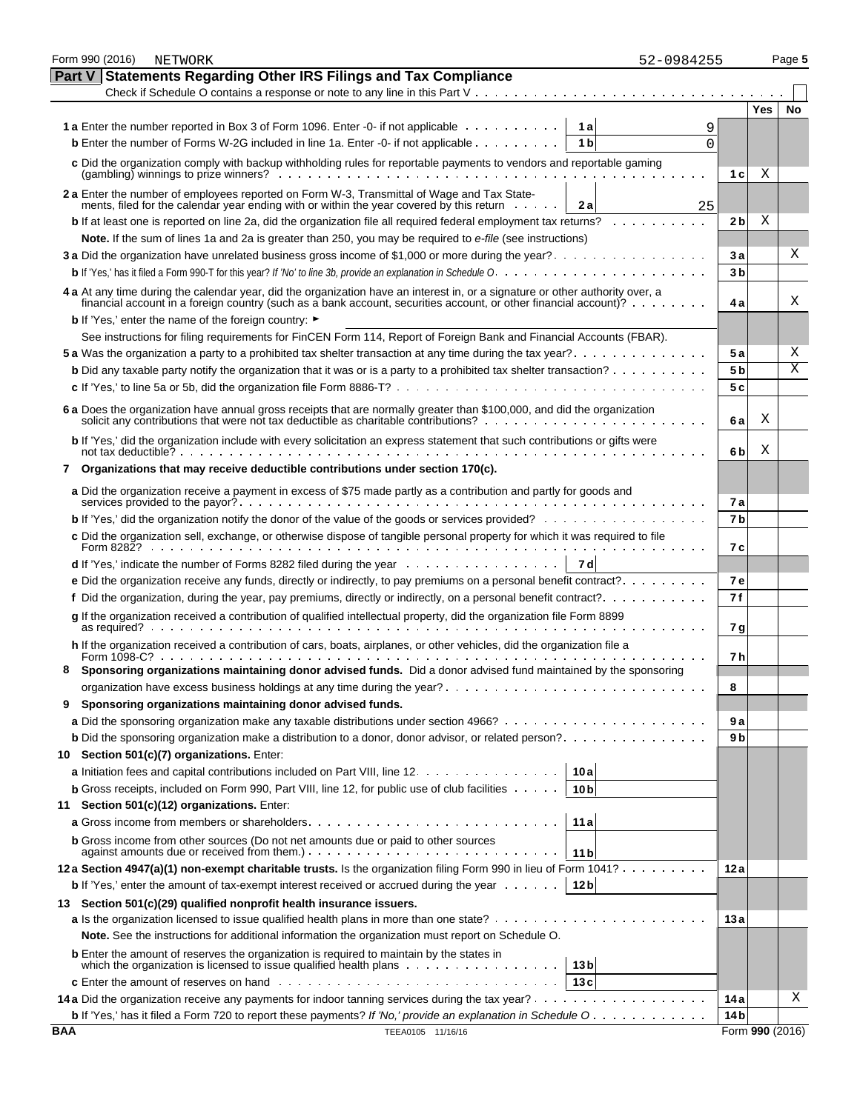|            | Form 990 (2016)<br>NETWORK                                                                                                                                                                                                                            |                 | 52-0984255          |                 |            | Page 5                  |
|------------|-------------------------------------------------------------------------------------------------------------------------------------------------------------------------------------------------------------------------------------------------------|-----------------|---------------------|-----------------|------------|-------------------------|
|            | Part V<br><b>Statements Regarding Other IRS Filings and Tax Compliance</b>                                                                                                                                                                            |                 |                     |                 |            |                         |
|            | Check if Schedule O contains a response or note to any line in this Part $V_1, \ldots, V_k, \ldots, V_k$                                                                                                                                              |                 |                     |                 |            |                         |
|            |                                                                                                                                                                                                                                                       |                 |                     |                 | <b>Yes</b> | No                      |
|            | <b>1a</b> Enter the number reported in Box 3 of Form 1096. Enter -0- if not applicable                                                                                                                                                                |                 | 1 a<br>9            |                 |            |                         |
|            | <b>b</b> Enter the number of Forms W-2G included in line 1a. Enter -0- if not applicable                                                                                                                                                              |                 | 1 <sub>b</sub><br>0 |                 |            |                         |
|            | c Did the organization comply with backup withholding rules for reportable payments to vendors and reportable gaming                                                                                                                                  |                 |                     |                 |            |                         |
|            |                                                                                                                                                                                                                                                       |                 |                     | 1 c             | Χ          |                         |
|            | 2 a Enter the number of employees reported on Form W-3, Transmittal of Wage and Tax State-                                                                                                                                                            |                 |                     |                 |            |                         |
|            | ments, filed for the calendar year ending with or within the year covered by this return                                                                                                                                                              |                 | 2 a<br>25           |                 |            |                         |
|            | <b>b</b> If at least one is reported on line 2a, did the organization file all required federal employment tax returns?                                                                                                                               |                 |                     | 2 <sub>b</sub>  | Χ          |                         |
|            | Note. If the sum of lines 1a and 2a is greater than 250, you may be required to e-file (see instructions)                                                                                                                                             |                 |                     |                 |            |                         |
|            |                                                                                                                                                                                                                                                       |                 |                     | 3 а             |            | х                       |
|            |                                                                                                                                                                                                                                                       |                 |                     | 3 <sub>b</sub>  |            |                         |
|            | 4 a At any time during the calendar year, did the organization have an interest in, or a signature or other authority over, a                                                                                                                         |                 |                     |                 |            |                         |
|            | financial account in a foreign country (such as a bank account, securities account, or other financial account)?                                                                                                                                      |                 |                     | 4а              |            | Χ                       |
|            | <b>b</b> If 'Yes,' enter the name of the foreign country: ►                                                                                                                                                                                           |                 |                     |                 |            |                         |
|            | See instructions for filing requirements for FinCEN Form 114, Report of Foreign Bank and Financial Accounts (FBAR).                                                                                                                                   |                 |                     |                 |            |                         |
|            |                                                                                                                                                                                                                                                       |                 |                     | 5а              |            | Χ                       |
|            | <b>b</b> Did any taxable party notify the organization that it was or is a party to a prohibited tax shelter transaction?                                                                                                                             |                 |                     | 5 b             |            | $\overline{\mathrm{X}}$ |
|            |                                                                                                                                                                                                                                                       |                 |                     | 5 c             |            |                         |
|            | 6 a Does the organization have annual gross receipts that are normally greater than \$100,000, and did the organization                                                                                                                               |                 |                     |                 |            |                         |
|            |                                                                                                                                                                                                                                                       |                 |                     | 6а              | Χ          |                         |
|            | b If 'Yes,' did the organization include with every solicitation an express statement that such contributions or gifts were<br>not tax deductible? $\cdots$ $\cdots$ $\cdots$ $\cdots$ $\cdots$ $\cdots$ $\cdots$ $\cdots$ $\cdots$ $\cdots$ $\cdots$ |                 |                     | 6 b             | Χ          |                         |
| 7          | Organizations that may receive deductible contributions under section 170(c).                                                                                                                                                                         |                 |                     |                 |            |                         |
|            | a Did the organization receive a payment in excess of \$75 made partly as a contribution and partly for goods and                                                                                                                                     |                 |                     | 7а              |            |                         |
|            | b If 'Yes,' did the organization notify the donor of the value of the goods or services provided?                                                                                                                                                     |                 |                     | 7b              |            |                         |
|            | c Did the organization sell, exchange, or otherwise dispose of tangible personal property for which it was required to file                                                                                                                           |                 |                     | 7 с             |            |                         |
|            | d If 'Yes,' indicate the number of Forms 8282 filed during the year entertainment of the number of Forms 8282 filed during the year                                                                                                                   |                 | 7 d                 |                 |            |                         |
|            | e Did the organization receive any funds, directly or indirectly, to pay premiums on a personal benefit contract?                                                                                                                                     |                 |                     | 7 e             |            |                         |
|            | f Did the organization, during the year, pay premiums, directly or indirectly, on a personal benefit contract?                                                                                                                                        |                 |                     | 7 f             |            |                         |
|            | g If the organization received a contribution of qualified intellectual property, did the organization file Form 8899                                                                                                                                 |                 |                     |                 |            |                         |
|            |                                                                                                                                                                                                                                                       |                 |                     | 7 g             |            |                         |
|            | h If the organization received a contribution of cars, boats, airplanes, or other vehicles, did the organization file a                                                                                                                               |                 |                     | 7 h             |            |                         |
|            | Sponsoring organizations maintaining donor advised funds. Did a donor advised fund maintained by the sponsoring                                                                                                                                       |                 |                     |                 |            |                         |
|            |                                                                                                                                                                                                                                                       |                 |                     | 8               |            |                         |
| 9          | Sponsoring organizations maintaining donor advised funds.                                                                                                                                                                                             |                 |                     |                 |            |                         |
|            |                                                                                                                                                                                                                                                       |                 |                     | 9 a             |            |                         |
|            | <b>b</b> Did the sponsoring organization make a distribution to a donor, donor advisor, or related person?                                                                                                                                            |                 |                     | 9 b             |            |                         |
| 10 -       | Section 501(c)(7) organizations. Enter:                                                                                                                                                                                                               |                 |                     |                 |            |                         |
|            | a Initiation fees and capital contributions included on Part VIII, line 12.                                                                                                                                                                           | 10 a            |                     |                 |            |                         |
|            | <b>b</b> Gross receipts, included on Form 990, Part VIII, line 12, for public use of club facilities $\cdots$ .                                                                                                                                       | 10 <sub>b</sub> |                     |                 |            |                         |
| 11         | Section 501(c)(12) organizations. Enter:                                                                                                                                                                                                              |                 |                     |                 |            |                         |
|            | <b>a</b> Gross income from members or shareholders                                                                                                                                                                                                    | 11a             |                     |                 |            |                         |
|            | <b>b</b> Gross income from other sources (Do not net amounts due or paid to other sources                                                                                                                                                             | 11 <sub>b</sub> |                     |                 |            |                         |
|            | 12a Section 4947(a)(1) non-exempt charitable trusts. Is the organization filing Form 990 in lieu of Form 1041?                                                                                                                                        |                 |                     | 12 a            |            |                         |
|            | <b>b</b> If 'Yes,' enter the amount of tax-exempt interest received or accrued during the year $\dots \dots$                                                                                                                                          | 12 <sub>b</sub> |                     |                 |            |                         |
| 13         | Section 501(c)(29) qualified nonprofit health insurance issuers.                                                                                                                                                                                      |                 |                     |                 |            |                         |
|            |                                                                                                                                                                                                                                                       |                 |                     | 13 a            |            |                         |
|            | Note. See the instructions for additional information the organization must report on Schedule O.                                                                                                                                                     |                 |                     |                 |            |                         |
|            | <b>b</b> Enter the amount of reserves the organization is required to maintain by the states in<br>which the organization is licensed to issue qualified health plans                                                                                 | 13 bl           |                     |                 |            |                         |
|            |                                                                                                                                                                                                                                                       | 13c             |                     |                 |            |                         |
|            |                                                                                                                                                                                                                                                       |                 |                     | 14 a            |            | Χ                       |
|            | <b>b</b> If 'Yes,' has it filed a Form 720 to report these payments? If 'No,' provide an explanation in Schedule O                                                                                                                                    |                 |                     | 14 <sub>b</sub> |            |                         |
| <b>BAA</b> | TEEA0105 11/16/16                                                                                                                                                                                                                                     |                 |                     | Form 990 (2016) |            |                         |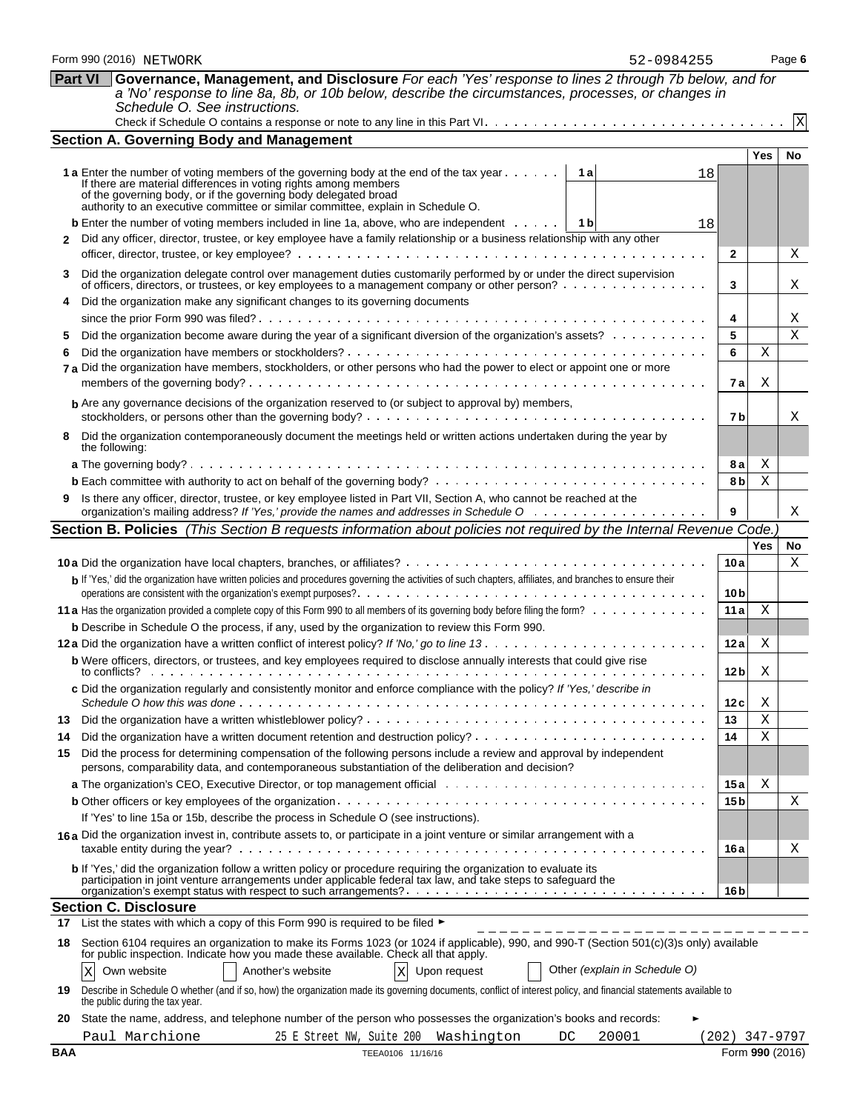| <b>Part VI</b> | Governance, Management, and Disclosure For each 'Yes' response to lines 2 through 7b below, and for                                                                                                                               |                 |                |                 |  |  |  |  |  |  |
|----------------|-----------------------------------------------------------------------------------------------------------------------------------------------------------------------------------------------------------------------------------|-----------------|----------------|-----------------|--|--|--|--|--|--|
|                | a 'No' response to line 8a, 8b, or 10b below, describe the circumstances, processes, or changes in                                                                                                                                |                 |                |                 |  |  |  |  |  |  |
|                | Schedule O. See instructions.                                                                                                                                                                                                     |                 |                |                 |  |  |  |  |  |  |
|                |                                                                                                                                                                                                                                   |                 |                | $\vert X \vert$ |  |  |  |  |  |  |
|                | <b>Section A. Governing Body and Management</b>                                                                                                                                                                                   |                 |                |                 |  |  |  |  |  |  |
|                |                                                                                                                                                                                                                                   |                 | <b>Yes</b>     | No              |  |  |  |  |  |  |
|                | <b>1 a</b> Enter the number of voting members of the governing body at the end of the tax year<br>1 al<br>18<br>If there are material differences in voting rights among members                                                  |                 |                |                 |  |  |  |  |  |  |
|                | of the governing body, or if the governing body delegated broad<br>authority to an executive committee or similar committee, explain in Schedule O.                                                                               |                 |                |                 |  |  |  |  |  |  |
|                |                                                                                                                                                                                                                                   |                 |                |                 |  |  |  |  |  |  |
|                | <b>b</b> Enter the number of voting members included in line 1a, above, who are independent $\dots$ , $\begin{bmatrix} 1 & b \end{bmatrix}$<br>18                                                                                 |                 |                |                 |  |  |  |  |  |  |
| $\mathbf{2}$   | Did any officer, director, trustee, or key employee have a family relationship or a business relationship with any other                                                                                                          | $\mathbf{2}$    |                | Χ               |  |  |  |  |  |  |
|                |                                                                                                                                                                                                                                   |                 |                |                 |  |  |  |  |  |  |
| 3              | Did the organization delegate control over management duties customarily performed by or under the direct supervision<br>of officers, directors, or trustees, or key employees to a management company or other person?           | 3               |                | X               |  |  |  |  |  |  |
| 4              | Did the organization make any significant changes to its governing documents                                                                                                                                                      |                 |                |                 |  |  |  |  |  |  |
|                |                                                                                                                                                                                                                                   | 4               |                | X               |  |  |  |  |  |  |
| 5              | Did the organization become aware during the year of a significant diversion of the organization's assets?                                                                                                                        | 5               |                | X               |  |  |  |  |  |  |
| 6              |                                                                                                                                                                                                                                   | 6               | Χ              |                 |  |  |  |  |  |  |
|                | 7 a Did the organization have members, stockholders, or other persons who had the power to elect or appoint one or more                                                                                                           |                 |                |                 |  |  |  |  |  |  |
|                |                                                                                                                                                                                                                                   | 7 a             | Χ              |                 |  |  |  |  |  |  |
|                | <b>b</b> Are any governance decisions of the organization reserved to (or subject to approval by) members,                                                                                                                        |                 |                |                 |  |  |  |  |  |  |
|                |                                                                                                                                                                                                                                   | 7b              |                | Χ               |  |  |  |  |  |  |
| 8              | Did the organization contemporaneously document the meetings held or written actions undertaken during the year by<br>the following:                                                                                              |                 |                |                 |  |  |  |  |  |  |
|                |                                                                                                                                                                                                                                   | 8а              | Χ              |                 |  |  |  |  |  |  |
|                |                                                                                                                                                                                                                                   | 8b              | $\mathbf X$    |                 |  |  |  |  |  |  |
| 9              | Is there any officer, director, trustee, or key employee listed in Part VII, Section A, who cannot be reached at the                                                                                                              | 9               |                | Χ               |  |  |  |  |  |  |
|                | Section B. Policies (This Section B requests information about policies not required by the Internal Revenue Code.)                                                                                                               |                 |                |                 |  |  |  |  |  |  |
|                |                                                                                                                                                                                                                                   |                 | <b>Yes</b>     | No              |  |  |  |  |  |  |
|                |                                                                                                                                                                                                                                   | 10a             |                | X               |  |  |  |  |  |  |
|                | b If 'Yes,' did the organization have written policies and procedures governing the activities of such chapters, affiliates, and branches to ensure their                                                                         |                 |                |                 |  |  |  |  |  |  |
|                |                                                                                                                                                                                                                                   | 10 b            |                |                 |  |  |  |  |  |  |
|                |                                                                                                                                                                                                                                   | 11a             | Χ              |                 |  |  |  |  |  |  |
|                | <b>b</b> Describe in Schedule O the process, if any, used by the organization to review this Form 990.                                                                                                                            |                 |                |                 |  |  |  |  |  |  |
|                |                                                                                                                                                                                                                                   | 12 a            | Χ              |                 |  |  |  |  |  |  |
|                | b Were officers, directors, or trustees, and key employees required to disclose annually interests that could give rise<br>to conflicts?                                                                                          | 12 <sub>b</sub> | Χ              |                 |  |  |  |  |  |  |
|                | c Did the organization regularly and consistently monitor and enforce compliance with the policy? If 'Yes,' describe in                                                                                                           |                 |                |                 |  |  |  |  |  |  |
|                |                                                                                                                                                                                                                                   | 12 c<br>13      | Χ<br>Χ         |                 |  |  |  |  |  |  |
| 13             |                                                                                                                                                                                                                                   |                 | Χ              |                 |  |  |  |  |  |  |
| 14             |                                                                                                                                                                                                                                   | 14              |                |                 |  |  |  |  |  |  |
| 15             | Did the process for determining compensation of the following persons include a review and approval by independent<br>persons, comparability data, and contemporaneous substantiation of the deliberation and decision?           |                 |                |                 |  |  |  |  |  |  |
|                |                                                                                                                                                                                                                                   | 15 a            | Χ              |                 |  |  |  |  |  |  |
|                |                                                                                                                                                                                                                                   | 15 <sub>b</sub> |                | Χ               |  |  |  |  |  |  |
|                | If 'Yes' to line 15a or 15b, describe the process in Schedule O (see instructions).                                                                                                                                               |                 |                |                 |  |  |  |  |  |  |
|                | 16a Did the organization invest in, contribute assets to, or participate in a joint venture or similar arrangement with a                                                                                                         | 16 a            |                | Χ               |  |  |  |  |  |  |
|                | b If 'Yes,' did the organization follow a written policy or procedure requiring the organization to evaluate its<br>participation in joint venture arrangements under applicable federal tax law, and take steps to safeguard the | 16 <sub>b</sub> |                |                 |  |  |  |  |  |  |
|                | <b>Section C. Disclosure</b>                                                                                                                                                                                                      |                 |                |                 |  |  |  |  |  |  |
| 17             | List the states with which a copy of this Form 990 is required to be filed ►                                                                                                                                                      |                 |                |                 |  |  |  |  |  |  |
| 18             | Section 6104 requires an organization to make its Forms 1023 (or 1024 if applicable), 990, and 990-T (Section 501(c)(3)s only) available<br>for public inspection. Indicate how you made these available. Check all that apply.   |                 |                |                 |  |  |  |  |  |  |
|                | Other (explain in Schedule O)<br>$\rm X$<br>Own website<br>Another's website<br>Upon request<br>Χ                                                                                                                                 |                 |                |                 |  |  |  |  |  |  |
| 19             | Describe in Schedule O whether (and if so, how) the organization made its governing documents, conflict of interest policy, and financial statements available to                                                                 |                 |                |                 |  |  |  |  |  |  |
|                |                                                                                                                                                                                                                                   |                 |                |                 |  |  |  |  |  |  |
| 20             | the public during the tax year.<br>State the name, address, and telephone number of the person who possesses the organization's books and records:                                                                                |                 |                |                 |  |  |  |  |  |  |
|                | Paul Marchione<br>25 E Street NW, Suite 200 Washington<br>20001<br>DC                                                                                                                                                             |                 | (202) 347-9797 |                 |  |  |  |  |  |  |

Form 990 (2016) NETWORK **Page 6 Page 1** 

52-0984255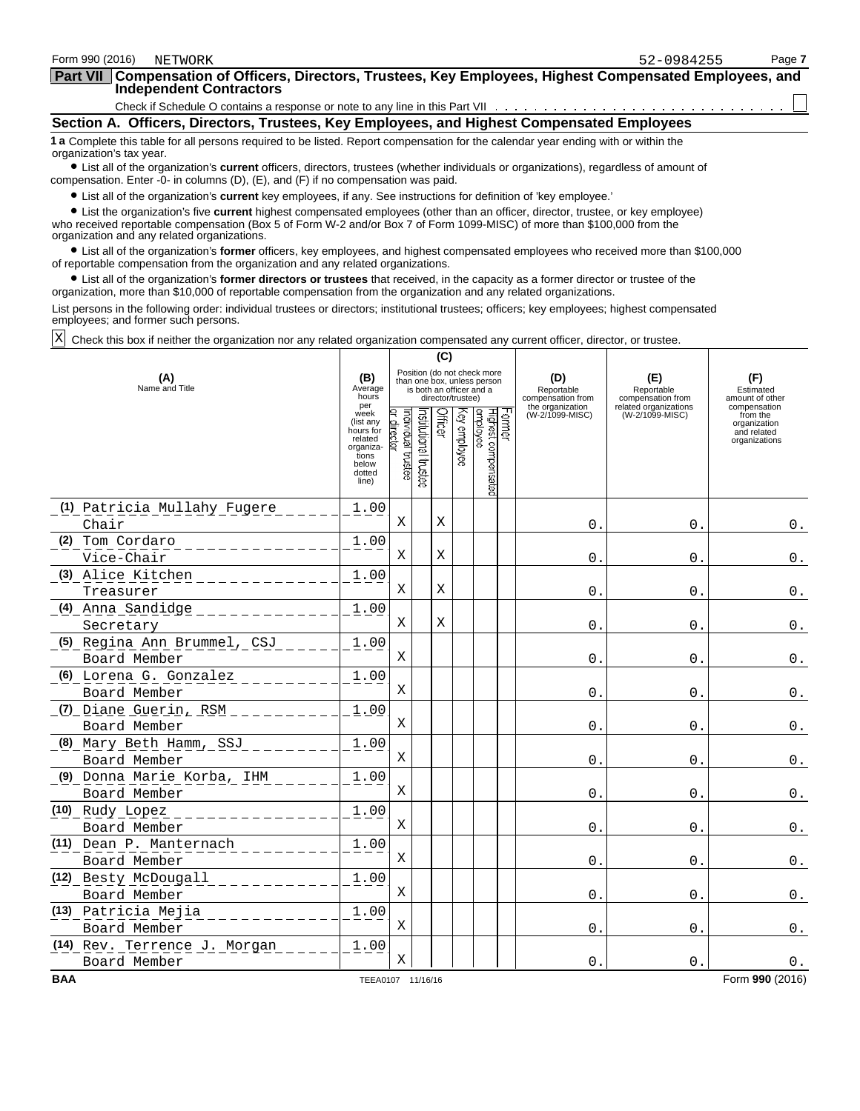| Form 990 (2016)<br>NETWORK                                                                                                                                                                                                                                                                                                                                                                            | 52-0984255 | Page 7 |
|-------------------------------------------------------------------------------------------------------------------------------------------------------------------------------------------------------------------------------------------------------------------------------------------------------------------------------------------------------------------------------------------------------|------------|--------|
| Part VII Compensation of Officers, Directors, Trustees, Key Employees, Highest Compensated Employees, and<br><b>Independent Contractors</b>                                                                                                                                                                                                                                                           |            |        |
|                                                                                                                                                                                                                                                                                                                                                                                                       |            |        |
| Section A. Officers, Directors, Trustees, Key Employees, and Highest Compensated Employees                                                                                                                                                                                                                                                                                                            |            |        |
| 1 a Complete this table for all persons required to be listed. Report compensation for the calendar year ending with or within the<br>organization's tax year.<br>• List all of the organization's current officers, directors, trustees (whether individuals or organizations), regardless of amount of<br>compensation. Enter -0- in columns $(D)$ , $(E)$ , and $(F)$ if no compensation was paid. |            |        |
| • List all of the organization's <b>current</b> key employees, if any. See instructions for definition of 'key employee.'                                                                                                                                                                                                                                                                             |            |        |
| • List the organization's five current highest compensated employees (other than an officer, director, trustee, or key employee)<br>who received reportable compensation (Box 5 of Form W-2 and/or Box 7 of Form 1099-MISC) of more than \$100,000 from the<br>organization and any related organizations.                                                                                            |            |        |

? List all of the organization's **former** officers, key employees, and highest compensated employees who received more than \$100,000 of reportable compensation from the organization and any related organizations.

? List all of the organization's **former directors or trustees** that received, in the capacity as a former director or trustee of the organization, more than \$10,000 of reportable compensation from the organization and any related organizations.

List persons in the following order: individual trustees or directors; institutional trustees; officers; key employees; highest compensated employees; and former such persons.

Check this box if neither the organization nor any related organization compensated any current officer, director, or trustee. X

|                                                          | (C)                                                                                         |                                                                                                                                               |                      |         |              |                                 |        |                                                            |                                                                 |                                                          |
|----------------------------------------------------------|---------------------------------------------------------------------------------------------|-----------------------------------------------------------------------------------------------------------------------------------------------|----------------------|---------|--------------|---------------------------------|--------|------------------------------------------------------------|-----------------------------------------------------------------|----------------------------------------------------------|
| (A)<br>Name and Title                                    |                                                                                             | Position (do not check more<br>(B)<br>than one box, unless person<br>Average<br>is both an officer and a<br>hours<br>director/trustee)<br>per |                      |         |              |                                 |        | (D)<br>Reportable<br>compensation from<br>the organization | (E)<br>Reportable<br>compensation from<br>related organizations | (F)<br>Estimated<br>amount of other<br>compensation      |
|                                                          | week<br>(list any<br>hours for<br>related<br>organiza-<br>tions<br>below<br>dotted<br>line) | ndividual trustee<br>director                                                                                                                 | nstitutional trustee | Officer | (ey employee | Highest compensated<br>employee | Former | (W-2/1099-MISC)                                            | (W-2/1099-MISC)                                                 | from the<br>organization<br>and related<br>organizations |
| (1) Patricia Mullahy Fugere<br>Chair                     | 1.00                                                                                        | Χ                                                                                                                                             |                      | Χ       |              |                                 |        | $\mathbf{0}$ .                                             | $\Omega$ .                                                      | $0$ .                                                    |
| (2) Tom Cordaro<br>Vice-Chair                            | 1.00                                                                                        | Χ                                                                                                                                             |                      | Χ       |              |                                 |        | 0.                                                         | 0.                                                              | $0$ .                                                    |
| (3) Alice Kitchen<br>Treasurer                           | 1.00                                                                                        | Χ                                                                                                                                             |                      | X       |              |                                 |        | 0.                                                         | $\mathbf{0}$ .                                                  | $0$ .                                                    |
| <u> (4) Anna Sandidge  -  -  -  -  -  -</u><br>Secretary | 1.00                                                                                        | X                                                                                                                                             |                      | X       |              |                                 |        | $\mathsf{O}$ .                                             | $\mathsf{O}$ .                                                  | $0$ .                                                    |
| (5) Regina Ann Brummel, CSJ<br>Board Member              | 1.00                                                                                        | Χ                                                                                                                                             |                      |         |              |                                 |        | 0                                                          | $\mathbf 0$ .                                                   | $0$ .                                                    |
| (6) Lorena G. Gonzalez<br>Board Member                   | 1.00                                                                                        | Χ                                                                                                                                             |                      |         |              |                                 |        | $\mathbf{0}$ .                                             | $\mathbf{0}$ .                                                  | $0$ .                                                    |
| (7) Diane Guerin, RSM ______<br>Board Member             | 1.00                                                                                        | Χ                                                                                                                                             |                      |         |              |                                 |        | $\mathsf{0}$ .                                             | $\mathsf{0}$ .                                                  | $0$ .                                                    |
| (8) Mary Beth Hamm, SSJ<br>Board Member                  | 1.00                                                                                        | Χ                                                                                                                                             |                      |         |              |                                 |        | $\mathbf{0}$ .                                             | 0.                                                              | $0$ .                                                    |
| (9) Donna Marie Korba, IHM<br>Board Member               | 1.00                                                                                        | X                                                                                                                                             |                      |         |              |                                 |        | $0$ .                                                      | $0$ .                                                           | $0$ .                                                    |
| (10) Rudy Lopez<br>Board Member                          | 1.00                                                                                        | Χ                                                                                                                                             |                      |         |              |                                 |        | 0.                                                         | 0.                                                              | $\mathbf 0$ .                                            |
| (11) Dean P. Manternach<br>Board Member                  | 1.00                                                                                        | X                                                                                                                                             |                      |         |              |                                 |        | $\Omega$ .                                                 | $\Omega$ .                                                      | $0$ .                                                    |
| (12) Besty McDougall<br>Board Member                     | 1.00                                                                                        | X                                                                                                                                             |                      |         |              |                                 |        | 0.                                                         | 0.                                                              | $0$ .                                                    |
| (13) Patricia Mejia<br>Board Member                      | 1.00                                                                                        | X                                                                                                                                             |                      |         |              |                                 |        | $0$ .                                                      | 0.                                                              | $0$ .                                                    |
| (14) Rev. Terrence J. Morgan<br>Board Member             | 1.00                                                                                        | Χ                                                                                                                                             |                      |         |              |                                 |        | $\Omega$                                                   | $\Omega$ .                                                      | 0.                                                       |
| <b>BAA</b>                                               | TEEA0107 11/16/16                                                                           |                                                                                                                                               |                      |         |              |                                 |        |                                                            |                                                                 | Form 990 (2016)                                          |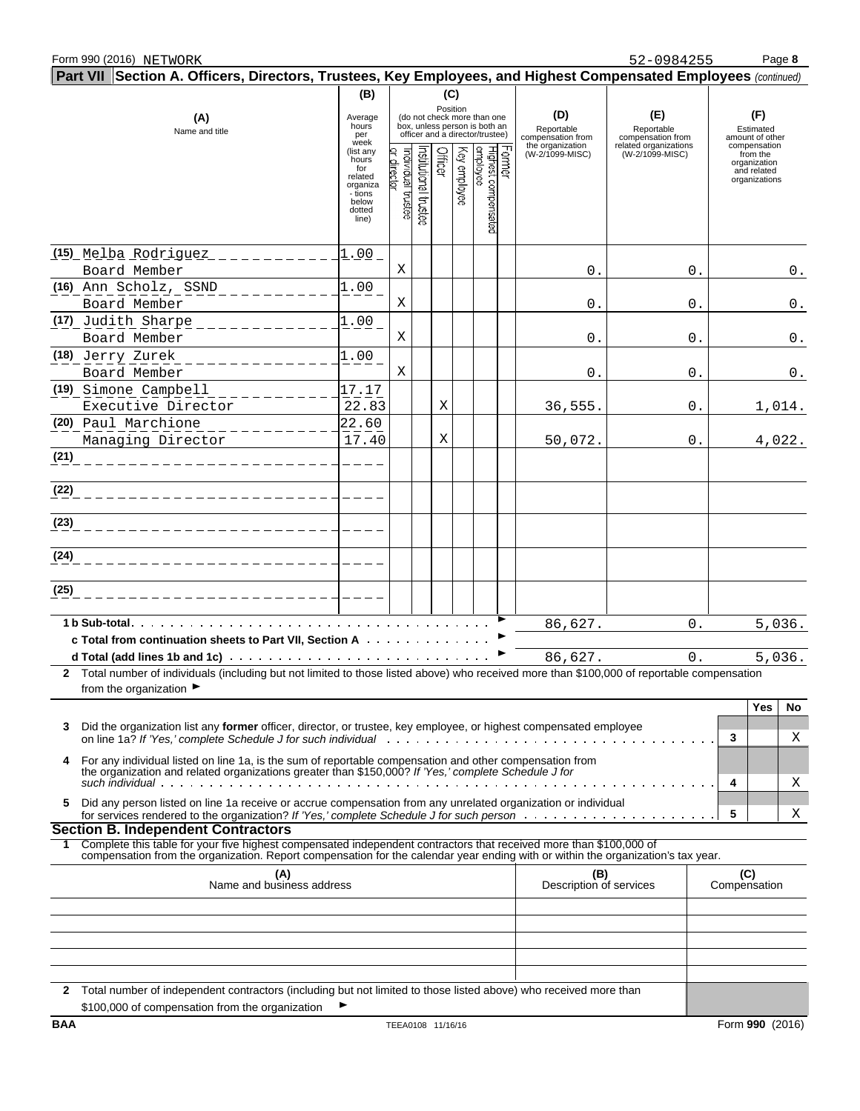52-0984255

| Part VII Section A. Officers, Directors, Trustees, Key Employees, and Highest Compensated Employees (continued)                                                                                                                                              |                                                                                         |                                  |                      |         |              |                                                                                                             |                                        |                                          |                                                                          |                    |
|--------------------------------------------------------------------------------------------------------------------------------------------------------------------------------------------------------------------------------------------------------------|-----------------------------------------------------------------------------------------|----------------------------------|----------------------|---------|--------------|-------------------------------------------------------------------------------------------------------------|----------------------------------------|------------------------------------------|--------------------------------------------------------------------------|--------------------|
|                                                                                                                                                                                                                                                              | (B)                                                                                     |                                  |                      | (C)     |              |                                                                                                             |                                        |                                          |                                                                          |                    |
| (A)<br>Name and title                                                                                                                                                                                                                                        | Average<br>hours<br>per<br>week                                                         |                                  |                      |         |              | Position<br>(do not check more than one<br>box, unless person is both an<br>officer and a director/trustee) | (D)<br>Reportable<br>compensation from | (E)<br>Reportable<br>compensation from   | (F)<br>Estimated<br>amount of other                                      |                    |
|                                                                                                                                                                                                                                                              | (list any<br>hours<br>for<br>related<br>organiza<br>- tions<br>below<br>dotted<br>line) | or director<br>ndividual trustee | nstitutional trustee | Officer | Key employee | Former<br>Highest compensated<br>employee                                                                   | the organization<br>(W-2/1099-MISC)    | related organizations<br>(W-2/1099-MISC) | compensation<br>from the<br>organization<br>and related<br>organizations |                    |
| <u>(15) Melba Rodriguez __________</u><br>Board Member                                                                                                                                                                                                       | $1.00 -$                                                                                | Χ                                |                      |         |              |                                                                                                             | 0.                                     | 0.                                       |                                                                          | $0$ .              |
| $(16)$ Ann $Scholz$ , $SSND$                                                                                                                                                                                                                                 | 1.00                                                                                    |                                  |                      |         |              |                                                                                                             |                                        |                                          |                                                                          |                    |
| Board Member<br>(17) Judith Sharpe                                                                                                                                                                                                                           | 1.00                                                                                    | Χ                                |                      |         |              |                                                                                                             | 0.                                     | 0.                                       |                                                                          | $\boldsymbol{0}$ . |
| Board Member                                                                                                                                                                                                                                                 |                                                                                         | Χ                                |                      |         |              |                                                                                                             | 0.                                     | 0.                                       |                                                                          | $\boldsymbol{0}$ . |
| (18) Jerry Zurek<br>Board Member                                                                                                                                                                                                                             | 1.00                                                                                    | Χ                                |                      |         |              |                                                                                                             | 0.                                     | 0.                                       |                                                                          | $\mathsf 0$ .      |
| (19) Simone Campbell                                                                                                                                                                                                                                         | 17.17                                                                                   |                                  |                      |         |              |                                                                                                             |                                        |                                          |                                                                          |                    |
| Executive Director<br>(20) Paul Marchione                                                                                                                                                                                                                    | 22.83<br>22.60                                                                          |                                  |                      | Χ       |              |                                                                                                             | 36,555.                                | 0.                                       |                                                                          | 1,014.             |
| Managing Director                                                                                                                                                                                                                                            | 17.40                                                                                   |                                  |                      | Χ       |              |                                                                                                             | 50,072.                                | 0.                                       |                                                                          | 4,022.             |
| (21)                                                                                                                                                                                                                                                         |                                                                                         |                                  |                      |         |              |                                                                                                             |                                        |                                          |                                                                          |                    |
| (22)<br>____________________                                                                                                                                                                                                                                 |                                                                                         |                                  |                      |         |              |                                                                                                             |                                        |                                          |                                                                          |                    |
| (23)                                                                                                                                                                                                                                                         |                                                                                         |                                  |                      |         |              |                                                                                                             |                                        |                                          |                                                                          |                    |
| (24)                                                                                                                                                                                                                                                         |                                                                                         |                                  |                      |         |              |                                                                                                             |                                        |                                          |                                                                          |                    |
| (25)                                                                                                                                                                                                                                                         |                                                                                         |                                  |                      |         |              |                                                                                                             |                                        |                                          |                                                                          |                    |
| 1 b Sub-total                                                                                                                                                                                                                                                |                                                                                         |                                  |                      |         |              |                                                                                                             | 86,627.                                | 0.                                       |                                                                          | 5,036.             |
| c Total from continuation sheets to Part VII, Section A<br>d Total (add lines 1b and 1c) $\cdots$ $\cdots$ $\cdots$ $\cdots$ $\cdots$ $\cdots$ $\cdots$ $\cdots$ $\cdots$                                                                                    |                                                                                         |                                  |                      |         |              |                                                                                                             | 86,627.                                | 0.                                       |                                                                          |                    |
| 2 Total number of individuals (including but not limited to those listed above) who received more than \$100,000 of reportable compensation                                                                                                                  |                                                                                         |                                  |                      |         |              |                                                                                                             |                                        |                                          |                                                                          | 5,036.             |
| from the organization $\blacktriangleright$                                                                                                                                                                                                                  |                                                                                         |                                  |                      |         |              |                                                                                                             |                                        |                                          |                                                                          |                    |
|                                                                                                                                                                                                                                                              |                                                                                         |                                  |                      |         |              |                                                                                                             |                                        |                                          | Yes                                                                      | No                 |
| Did the organization list any <b>former</b> officer, director, or trustee, key employee, or highest compensated employee<br>3                                                                                                                                |                                                                                         |                                  |                      |         |              |                                                                                                             |                                        |                                          | 3                                                                        | Χ                  |
| For any individual listed on line 1a, is the sum of reportable compensation and other compensation from<br>4<br>the organization and related organizations greater than \$150,000? If 'Yes,' complete Schedule J for                                         |                                                                                         |                                  |                      |         |              |                                                                                                             |                                        |                                          | 4                                                                        | Χ                  |
| Did any person listed on line 1a receive or accrue compensation from any unrelated organization or individual<br>5                                                                                                                                           |                                                                                         |                                  |                      |         |              |                                                                                                             |                                        |                                          | 5                                                                        | Χ                  |
| <b>Section B. Independent Contractors</b>                                                                                                                                                                                                                    |                                                                                         |                                  |                      |         |              |                                                                                                             |                                        |                                          |                                                                          |                    |
| Complete this table for your five highest compensated independent contractors that received more than \$100,000 of<br>1.<br>compensation from the organization. Report compensation for the calendar year ending with or within the organization's tax year. |                                                                                         |                                  |                      |         |              |                                                                                                             |                                        |                                          |                                                                          |                    |
| (A)<br>Name and business address                                                                                                                                                                                                                             |                                                                                         |                                  |                      |         |              |                                                                                                             | (B)<br>Description of services         |                                          | (C)<br>Compensation                                                      |                    |
|                                                                                                                                                                                                                                                              |                                                                                         |                                  |                      |         |              |                                                                                                             |                                        |                                          |                                                                          |                    |
|                                                                                                                                                                                                                                                              |                                                                                         |                                  |                      |         |              |                                                                                                             |                                        |                                          |                                                                          |                    |
|                                                                                                                                                                                                                                                              |                                                                                         |                                  |                      |         |              |                                                                                                             |                                        |                                          |                                                                          |                    |
|                                                                                                                                                                                                                                                              |                                                                                         |                                  |                      |         |              |                                                                                                             |                                        |                                          |                                                                          |                    |
| Total number of independent contractors (including but not limited to those listed above) who received more than<br>2<br>\$100,000 of compensation from the organization                                                                                     |                                                                                         |                                  |                      |         |              |                                                                                                             |                                        |                                          |                                                                          |                    |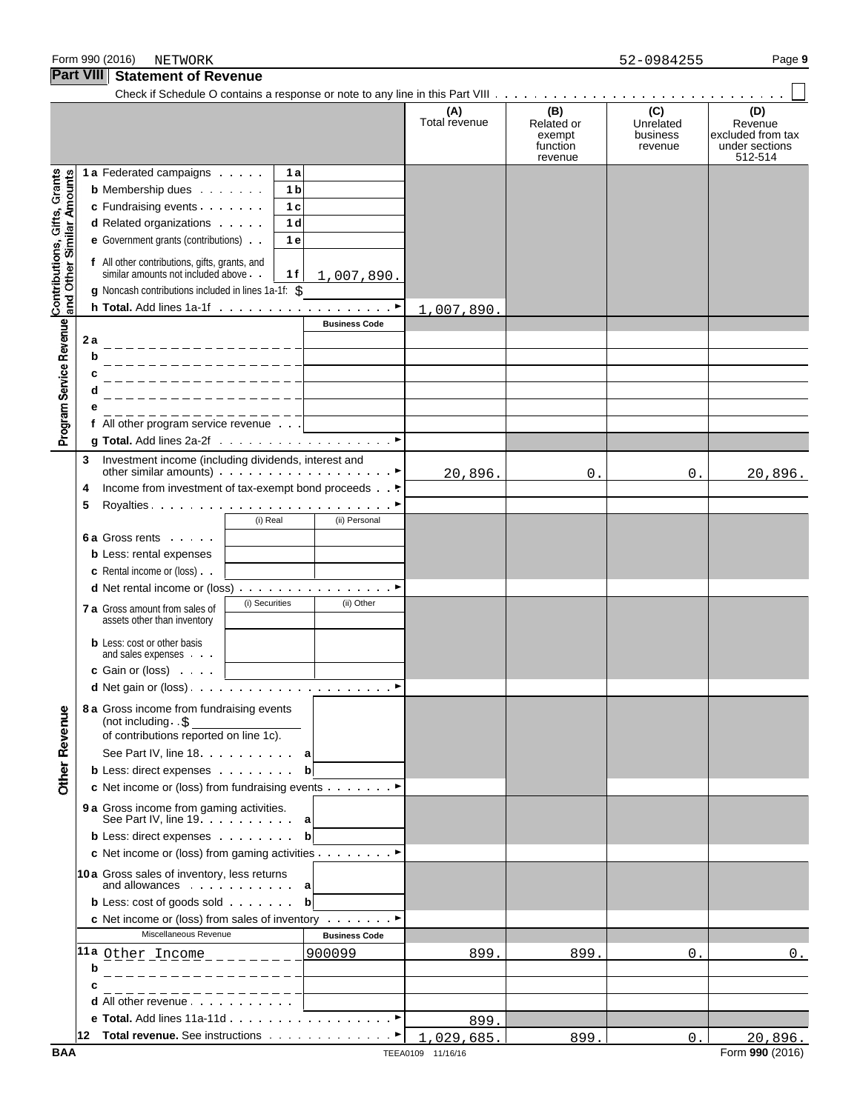Form 990 (2016) Page **9** NETWORK 52-0984255

**Part VIII Statement of Revenue**

#### Check if Schedule O contains a response or note to any line in this Part VIII **(A) (B) (C) (D)** Total revenue Related or Unrelated Revenue<br>exempt business excluded from exempt business excluded from tax<br>function revenue under sections function revenue under sections revenue 512-514 Contributions, Gifts, Grants<br>and Other Similar Amounts **1 a** Federated campaigns **1 a b** Membership dues **1 b c** Fundraising events  $\cdots$   $\cdots$  | 1**c d** Related organizations **1 d e** Government grants (contributions) **1 e f** All other contributions, gifts, grants, and similar amounts not included above **1 f** 1,007,890. g Noncash contributions included in lines 1a-1f: \$ **h Total.** Add lines 1a-1f (a) and a contract of a part of a part of a part of a part of a part of a part of a part of  $\triangleright$ 1,007,890. Program Service Revenue **Business Code 2 a b c d e f** All other program service revenue **g Total.** Add lines 2a-2f G **3** Investment income (including dividends, interest and other similar amounts) Government of the similar service of  $\blacktriangleright$ 20,896. 0. 0. 20,896. **4** Income from investment of tax-exempt bond proceeds . G **5** Royalties G (i) Real (ii) Personal **6 a** Gross rents **b** Less: rental expenses **c** Rental income or (loss) **d** Net rental income or (loss) . . . . . . . . . . . . . . . . ▶ **7 a** Gross amount from sales of  $\left| \begin{array}{c} (i) \text{ Securities} \\ (ii) \text{ Other} \end{array} \right|$ assets other than inventory **b** Less: cost or other basis and sales expenses **c** Gain or (loss) **d** Net gain or (loss) G **8 a** Gross income from fundraising events **Other Revenue** (not including . \$ of contributions reported on line 1c). See Part IV, line 18 **a b** Less: direct expenses **b c** Net income or (loss) from fundraising events Consumer **9 a** Gross income from gaming activities. See Part IV, line 19 **a b** Less: direct expenses **b c** Net income or (loss) from gaming activities Given Blues **10a** Gross sales of inventory, less returns and allowances **a b** Less: cost of goods sold **bb c** Net income or (loss) from sales of inventory Constant P Miscellaneous Revenue<br> **Business Code** <mark>11a</mark> <u>Other Income - - 900099 (1989. 899. 899. 1999. ISBN 0. 0. 2016)</u> **b c d** All other revenue **e Total.** Add lines 11a-11d . . . . . . . . . . . . . . . . . ▶ 899. **12 Total revenue.** See instructions **Gives** Gives Counter of P 1,029,685. 899. 0. 20,896.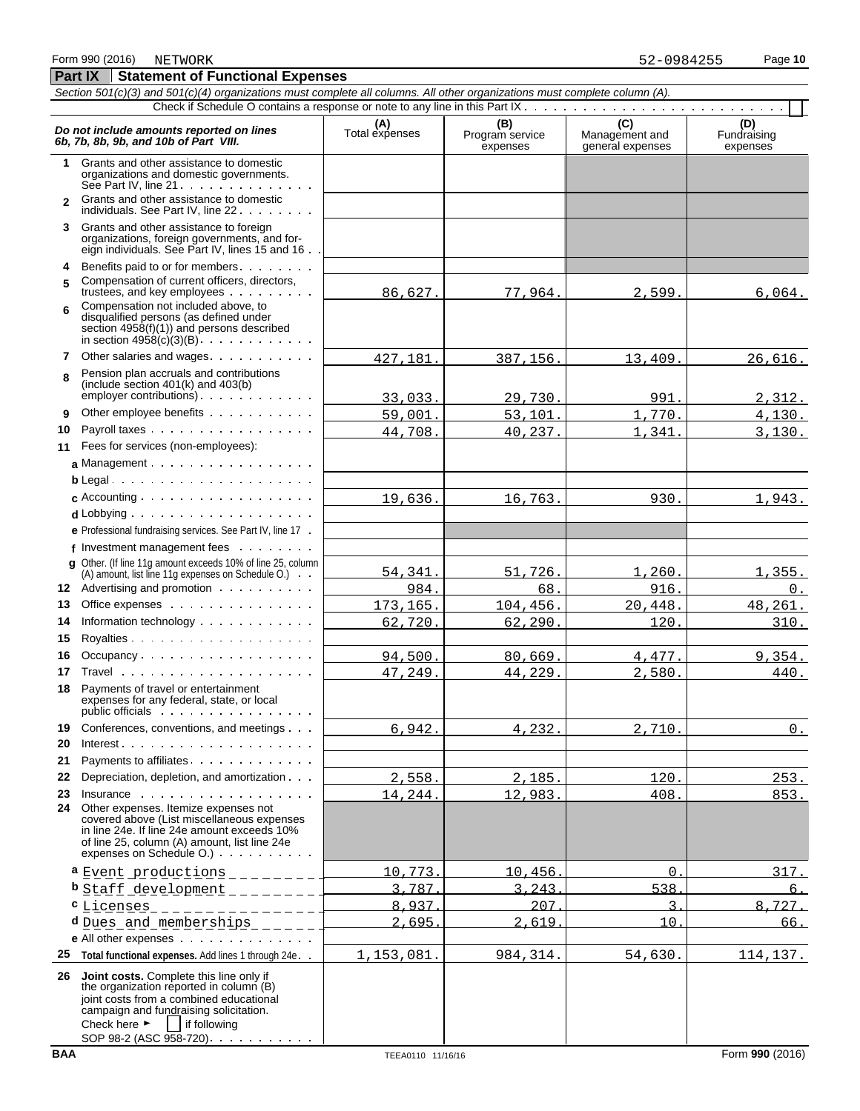#### **Part IX Statement of Functional Expenses** *Section 501(c)(3) and 501(c)(4) organizations must complete all columns. All other organizations must complete column (A).* Check if Schedule O contains a response or note to any line in this Part IX . . *Do not include amounts reported on lines*<br> **C** (D) (D) (D) Total expenses Program service Management and Fundraising<br>
expenses expenses expenses expenses expenses expenses **1** Grants and other assistance to domestic organizations and domestic governments. See Part IV, line 21 . . . . . . . . . . . . . **2** Grants and other assistance to domestic individuals. See Part IV, line 22 . . . . . . **3** Grants and other assistance to foreign organizations, foreign governments, and foreign individuals. See Part IV, lines 15 and 16 **4** Benefits paid to or for members **5** Compensation of current officers, directors, trustees, and key employees . . . . . . . . Compensation not included above, to **6** disqualified persons (as defined under section 4958(f)(1)) and persons described in section  $4958(c)(3)(B)$ . . . . . . . . . . . **7** Other salaries and wages Pension plan accruals and contributions **8** (include section 401(k) and 403(b)  $emplover$  contributions)  $\ldots$   $\ldots$ **9** Other employee benefits . . . . . . **10** Payroll taxes **11** Fees for services (non-employees): a Management . . . . . . . . . . . . . . . . . **b** Legal **c** Accounting **d** Lobbying **e** Professional fundraising services. See Part IV, line 17 **f** Investment management fees **g** Other. (If line 11g amount exceeds 10% of line 25, column (A) amount, list line 11g expenses on Schedule O.) **12** Advertising and promotion **13** Office expenses **14** Information technology **15** Royalties 16 Occupancy . . . . . . . . . . . . . . . . . . **17** Travel **18** Payments of travel or entertainment expenses for any federal, state, or local public officials : . . . . . . . . . . . . . . . . 19 Conferences, conventions, and meetings . . . **20** Interest **21** Payments to affiliates **22** Depreciation, depletion, and amortization **23** Insurance **24** Other expenses. Itemize expenses not covered above (List miscellaneous expenses in line 24e. If line 24e amount exceeds 10% of line 25, column (A) amount, list line 24e expenses on Schedule O.) **a** Event productions \_\_\_\_\_\_\_ 10,773. 10,456. 0. 317. **b** Staff development 3,787. 3,243. 538. 6. **c** <u>Licenses</u> 8,937. 207. 207. 207. 208. 3. 8,727. **d** Dues and memberships 2, 2,695. 2,695. 2,619. 2,619. 2,619. 2,619. 2,619. 2,619. 2,619. 2,619. 2,619. 2,62. 2,619. 2,62. 2,62. 2,62. 2,62. 2,62. 2,62. 2,62. 2,62. 2,62. 2,62. 2,62. 2,62. 2,62. 2,62. 2,62. 2,62. 2,62. 2, **e** All other expenses **25 Total functional expenses.** Add lines 1 through 24e **26 Joint costs.** Complete this line only if the organization reported in column (B) 86,627. 77,964. 2,599. 6,064. 427,181. 387,156. 13,409. 26,616. 33,033. 29,730. 991. 2,312. 59,001. 53,101. 1,770. 4,130. 44,708. 40,237. 1,341. 3,130. 19,636. 16,763. 930. 1,943. 54,341. 51,726. 1,260. 1,355. <u>984. (assessed to the set of the set of the set of the set of the set of the set of the set of the set of the </u> 173,165. 104,456. 20,448. 48,261.  $62,720.$   $62,290.$   $120.$   $310.$  $94,500.$  80,669. 4,477. 9,354.  $47,249.$   $44,229.$   $2,580.$   $440.$  $6,942.$   $4,232.$   $2,710.$  0.  $2,558.$  2,185.  $120.$  253. 14,244. 12,983. 408. 553. 1,153,081. 984,314. 54,630. 114,137.

joint costs from a combined educational campaign and fundraising solicitation. Check here  $\blacktriangleright$  if following SOP 98-2 (ASC 958-720) . . . .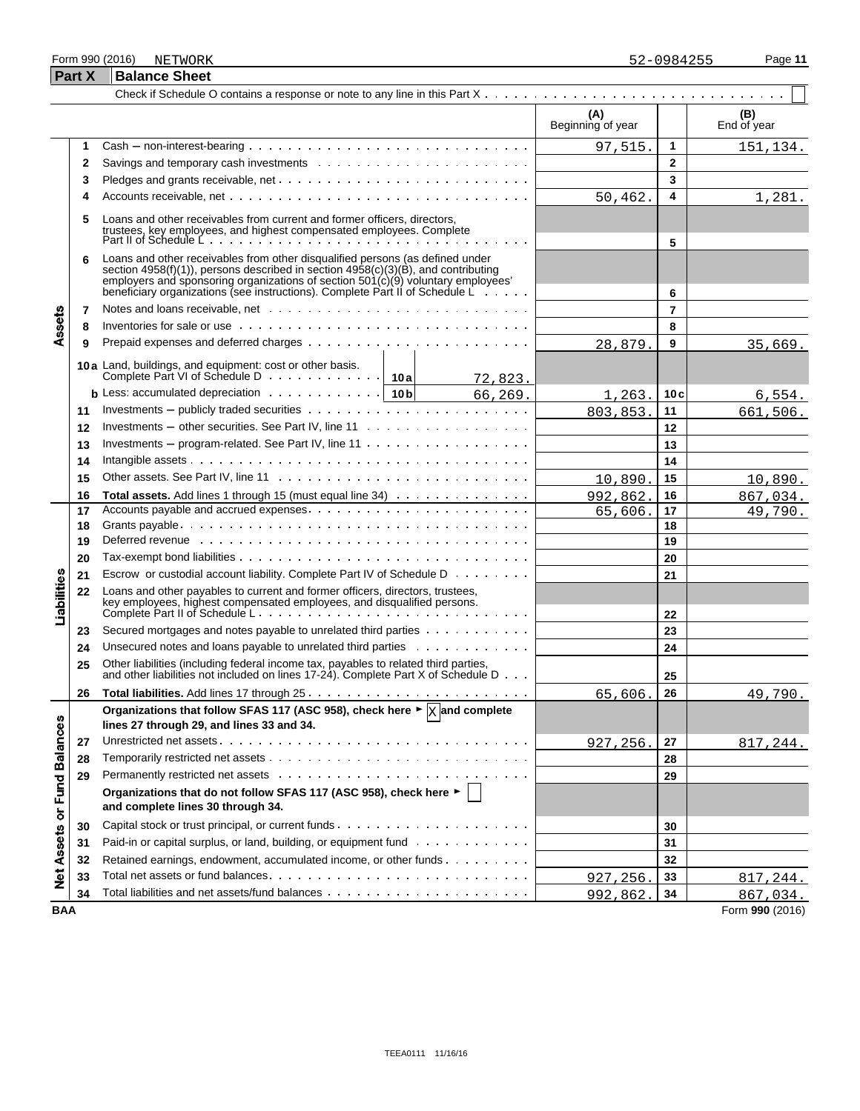#### Form 990 (2016) Page **11**

|                   | <b>Part X</b> | <b>Balance Sheet</b>                                                                                                                                                                                                                                                                                                                  |                          |                |                    |
|-------------------|---------------|---------------------------------------------------------------------------------------------------------------------------------------------------------------------------------------------------------------------------------------------------------------------------------------------------------------------------------------|--------------------------|----------------|--------------------|
|                   |               |                                                                                                                                                                                                                                                                                                                                       |                          |                |                    |
|                   |               |                                                                                                                                                                                                                                                                                                                                       | (A)<br>Beginning of year |                | (B)<br>End of year |
|                   | 1             | $Cash - non-interest-bearing \dots \dots \dots \dots \dots \dots \dots \dots \dots \dots \dots \dots$                                                                                                                                                                                                                                 | 97,515.                  | 1              | 151,134.           |
|                   | 2             |                                                                                                                                                                                                                                                                                                                                       |                          | $\mathbf{2}$   |                    |
|                   | 3             |                                                                                                                                                                                                                                                                                                                                       |                          | 3              |                    |
|                   | 4             |                                                                                                                                                                                                                                                                                                                                       | 50,462.                  | 4              | 1,281.             |
|                   | 5             | Loans and other receivables from current and former officers, directors,<br>trustees, key employees, and highest compensated employees. Complete<br>Part II of Schedule L                                                                                                                                                             |                          | 5              |                    |
|                   | 6             | Loans and other receivables from other disqualified persons (as defined under<br>section 4958(f)(1)), persons described in section 4958(c)(3)(B), and contributing employers and sponsoring organizations of section $501(c)(9)$ voluntary employees'<br>beneficiary organizations (see instructions). Complete Part II of Schedule L |                          | 6              |                    |
|                   | 7             |                                                                                                                                                                                                                                                                                                                                       |                          | $\overline{7}$ |                    |
| Assets            | 8             | Inventories for sale or use $\cdots$ , $\cdots$ , $\cdots$ , $\cdots$ , $\cdots$ , $\cdots$ , $\cdots$ , $\cdots$ , $\cdots$ , $\cdots$ , $\cdots$                                                                                                                                                                                    |                          | 8              |                    |
|                   | 9             |                                                                                                                                                                                                                                                                                                                                       | 28,879.                  | 9              | 35,669.            |
|                   |               | 10a Land, buildings, and equipment: cost or other basis.                                                                                                                                                                                                                                                                              |                          |                |                    |
|                   |               | 72,823.                                                                                                                                                                                                                                                                                                                               |                          |                |                    |
|                   |               | <b>b</b> Less: accumulated depreciation $\cdots$ $\cdots$ $\cdots$ $\cdots$   10 <b>b</b><br>66, 269.<br>$\mathcal{L}(\mathcal{L})$                                                                                                                                                                                                   | 1,263.                   | 10c            | 6,554.             |
|                   | 11            |                                                                                                                                                                                                                                                                                                                                       | 803,853.                 | 11             | 661,506.           |
|                   | 12            |                                                                                                                                                                                                                                                                                                                                       |                          | 12             |                    |
|                   | 13            | Investments – program-related. See Part IV, line $11 \ldots \ldots \ldots \ldots \ldots \ldots$                                                                                                                                                                                                                                       |                          | 13             |                    |
|                   | 14            |                                                                                                                                                                                                                                                                                                                                       |                          | 14             |                    |
|                   | 15            |                                                                                                                                                                                                                                                                                                                                       | 10,890.                  | 15             | 10,890.            |
|                   | 16            | Total assets. Add lines 1 through 15 (must equal line 34)                                                                                                                                                                                                                                                                             | 992,862.                 | 16             | 867,034.           |
|                   | 17            |                                                                                                                                                                                                                                                                                                                                       | 65,606                   | 17             | 49,790.            |
|                   | 18            |                                                                                                                                                                                                                                                                                                                                       |                          | 18             |                    |
|                   | 19            | Deferred revenue www.communicationshipsers are all the contract to the contract to the contract to the contract to the contract to the contract to the contract of the contract of the contract of the contract of the contrac                                                                                                        |                          | 19             |                    |
|                   | 20            |                                                                                                                                                                                                                                                                                                                                       |                          | 20             |                    |
|                   | 21            | Escrow or custodial account liability. Complete Part IV of Schedule D                                                                                                                                                                                                                                                                 |                          | 21             |                    |
| Liabilities       | 22            | Loans and other payables to current and former officers, directors, trustees,                                                                                                                                                                                                                                                         |                          | 22             |                    |
|                   | 23            | Secured mortgages and notes payable to unrelated third parties                                                                                                                                                                                                                                                                        |                          | 23             |                    |
|                   | 24            | Unsecured notes and loans payable to unrelated third parties                                                                                                                                                                                                                                                                          |                          | 24             |                    |
|                   | 25            | Other liabilities (including federal income tax, payables to related third parties,<br>and other liabilities not included on lines 17-24). Complete Part X of Schedule D                                                                                                                                                              |                          | 25             |                    |
|                   | 26            |                                                                                                                                                                                                                                                                                                                                       | 65,606.                  | 26             | 49,790.            |
|                   |               | Organizations that follow SFAS 117 (ASC 958), check here $\blacktriangleright \boxed{\text{X}}$ and complete<br>lines 27 through 29, and lines 33 and 34.                                                                                                                                                                             |                          |                |                    |
|                   | 27            |                                                                                                                                                                                                                                                                                                                                       | 927,256.                 | 27             | 817,244.           |
|                   | 28            |                                                                                                                                                                                                                                                                                                                                       |                          | 28             |                    |
|                   | 29            |                                                                                                                                                                                                                                                                                                                                       |                          | 29             |                    |
| or Fund Balances  |               | Organizations that do not follow SFAS 117 (ASC 958), check here ►<br>and complete lines 30 through 34.                                                                                                                                                                                                                                |                          |                |                    |
|                   | 30            |                                                                                                                                                                                                                                                                                                                                       |                          | 30             |                    |
|                   | 31            | Paid-in or capital surplus, or land, building, or equipment fund                                                                                                                                                                                                                                                                      |                          | 31             |                    |
|                   | 32            | Retained earnings, endowment, accumulated income, or other funds                                                                                                                                                                                                                                                                      |                          | 32             |                    |
| <b>Net Assets</b> | 33            |                                                                                                                                                                                                                                                                                                                                       | 927,256.                 | 33             | 817,244.           |
|                   | 34            |                                                                                                                                                                                                                                                                                                                                       | 992,862.                 | 34             | 867,034.           |
| <b>BAA</b>        |               |                                                                                                                                                                                                                                                                                                                                       |                          |                | Form 990 (2016)    |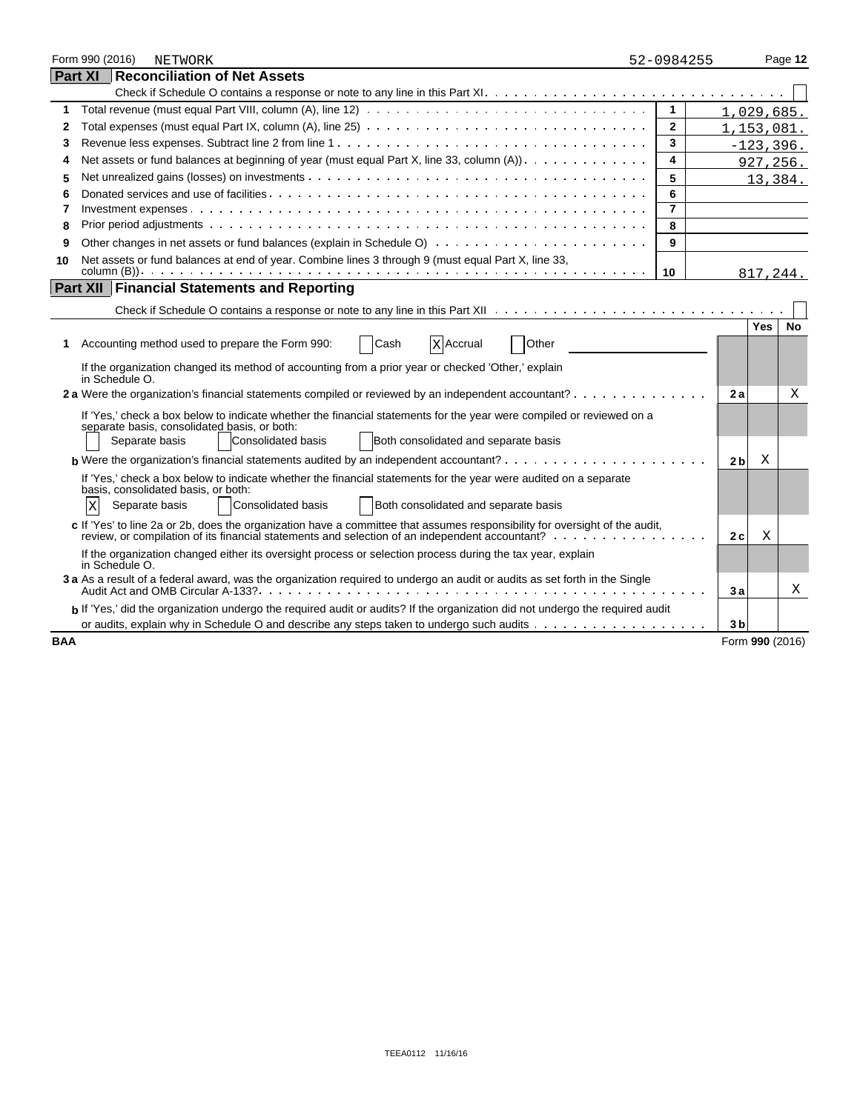|            | Form 990 (2016) | <b>NETWORK</b>                                                                                                                                                                                                                | 52-0984255     |                 |              | Page 12 |
|------------|-----------------|-------------------------------------------------------------------------------------------------------------------------------------------------------------------------------------------------------------------------------|----------------|-----------------|--------------|---------|
|            |                 | <b>Part XI Reconciliation of Net Assets</b>                                                                                                                                                                                   |                |                 |              |         |
|            |                 |                                                                                                                                                                                                                               |                |                 |              |         |
| 1          |                 |                                                                                                                                                                                                                               | $\mathbf{1}$   | 1,029,685.      |              |         |
| 2          |                 | Total expenses (must equal Part IX, column (A), line 25) $\ldots \ldots \ldots \ldots \ldots \ldots \ldots \ldots \ldots \ldots \ldots \ldots$                                                                                | $\mathbf{2}$   | 1,153,081.      |              |         |
| 3          |                 |                                                                                                                                                                                                                               | 3              |                 | $-123, 396.$ |         |
| 4          |                 | Net assets or fund balances at beginning of year (must equal Part X, line 33, column (A)).                                                                                                                                    | 4              |                 | 927,256.     |         |
| 5          |                 |                                                                                                                                                                                                                               | 5              |                 | 13,384.      |         |
| 6          |                 |                                                                                                                                                                                                                               | 6              |                 |              |         |
| 7          |                 |                                                                                                                                                                                                                               | $\overline{7}$ |                 |              |         |
| 8          |                 |                                                                                                                                                                                                                               | 8              |                 |              |         |
| 9          |                 |                                                                                                                                                                                                                               | 9              |                 |              |         |
| 10         |                 | Net assets or fund balances at end of year. Combine lines 3 through 9 (must equal Part X, line 33,                                                                                                                            |                |                 |              |         |
|            |                 |                                                                                                                                                                                                                               | 10             |                 | 817,244.     |         |
|            |                 | <b>Part XII Financial Statements and Reporting</b>                                                                                                                                                                            |                |                 |              |         |
|            |                 |                                                                                                                                                                                                                               |                |                 |              |         |
|            |                 |                                                                                                                                                                                                                               |                |                 | <b>Yes</b>   | No      |
| 1          |                 | Cash<br><b>X</b> Accrual<br>Other<br>Accounting method used to prepare the Form 990:                                                                                                                                          |                |                 |              |         |
|            | in Schedule O.  | If the organization changed its method of accounting from a prior year or checked 'Other,' explain                                                                                                                            |                |                 |              |         |
|            |                 | 2 a Were the organization's financial statements compiled or reviewed by an independent accountant?                                                                                                                           |                | 2a              |              | X       |
|            |                 |                                                                                                                                                                                                                               |                |                 |              |         |
|            |                 | If 'Yes,' check a box below to indicate whether the financial statements for the year were compiled or reviewed on a<br>separate basis, consolidated basis, or both:                                                          |                |                 |              |         |
|            |                 | Separate basis<br>Consolidated basis<br>Both consolidated and separate basis                                                                                                                                                  |                |                 |              |         |
|            |                 | <b>b</b> Were the organization's financial statements audited by an independent accountant? $\cdots$ , $\cdots$ , $\cdots$ , $\cdots$ , $\cdots$                                                                              |                | 2 <sub>b</sub>  | Χ            |         |
|            |                 | If 'Yes,' check a box below to indicate whether the financial statements for the year were audited on a separate                                                                                                              |                |                 |              |         |
|            |                 | basis, consolidated basis, or both:                                                                                                                                                                                           |                |                 |              |         |
|            | X               | <b>Consolidated basis</b><br>Both consolidated and separate basis<br>Separate basis                                                                                                                                           |                |                 |              |         |
|            |                 | c If 'Yes' to line 2a or 2b, does the organization have a committee that assumes responsibility for oversight of the audit,<br>review, or compilation of its financial statements and selection of an independent accountant? |                | 2 c             | Χ            |         |
|            | in Schedule O.  | If the organization changed either its oversight process or selection process during the tax year, explain                                                                                                                    |                |                 |              |         |
|            |                 | 3 a As a result of a federal award, was the organization required to undergo an audit or audits as set forth in the Single                                                                                                    |                | 3a              |              | X       |
|            |                 | b If 'Yes,' did the organization undergo the required audit or audits? If the organization did not undergo the required audit                                                                                                 |                |                 |              |         |
|            |                 | or audits, explain why in Schedule O and describe any steps taken to undergo such audits                                                                                                                                      |                | 3 <sub>b</sub>  |              |         |
| <b>BAA</b> |                 |                                                                                                                                                                                                                               |                | Form 990 (2016) |              |         |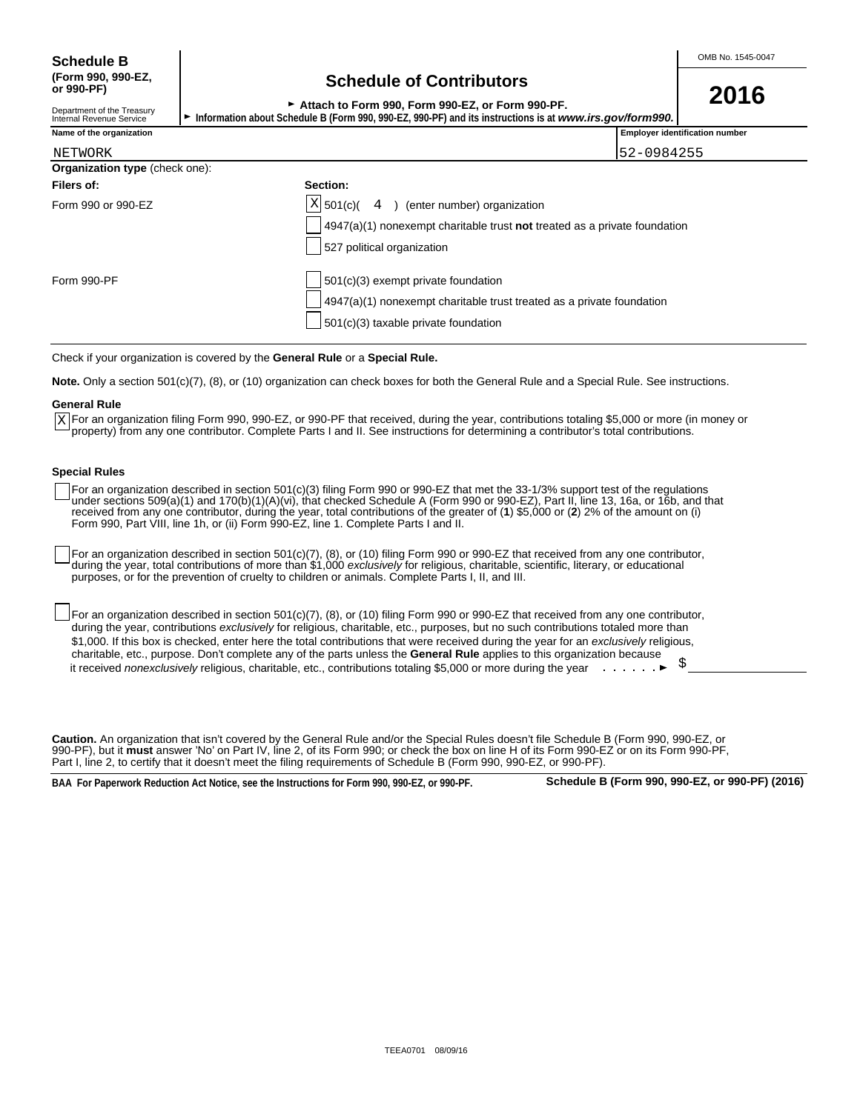## **(Form 990, 990-EZ, Schedule of Contributors or 990-PF)**

► Attach to Form 990, Form 990-EZ, or Form 990-PF.<br>► Attach to Form 990, Form 990-EZ, or Form 990-PF.

| Department of the Treasurv | <b>AUGUILO I VIIII 999, I VIIII 999 LL, VI I VIIII 990 I I I</b>                                          |
|----------------------------|-----------------------------------------------------------------------------------------------------------|
| Internal Revenue Service   | l Information about Schedule B (Form 990, 990-EZ, 990-PF) and its instructions is at www.irs.gov/form990. |
|                            |                                                                                                           |

| Name of the organiz |  |  |  |
|---------------------|--|--|--|
|                     |  |  |  |

| Name of the organization              |                                                                           | <b>Employer identification number</b> |
|---------------------------------------|---------------------------------------------------------------------------|---------------------------------------|
| NETWORK                               |                                                                           | 52-0984255                            |
| <b>Organization type</b> (check one): |                                                                           |                                       |
| Filers of:                            | Section:                                                                  |                                       |
| Form 990 or 990-EZ                    | $X$ 501(c)(<br>) (enter number) organization<br>4                         |                                       |
|                                       | 4947(a)(1) nonexempt charitable trust not treated as a private foundation |                                       |
|                                       | 527 political organization                                                |                                       |
| Form 990-PF                           | 501(c)(3) exempt private foundation                                       |                                       |
|                                       | 4947(a)(1) nonexempt charitable trust treated as a private foundation     |                                       |
|                                       | 501(c)(3) taxable private foundation                                      |                                       |

Check if your organization is covered by the **General Rule** or a **Special Rule.**

**Note.** Only a section 501(c)(7), (8), or (10) organization can check boxes for both the General Rule and a Special Rule. See instructions.

#### **General Rule**

For an organization filing Form 990, 990-EZ, or 990-PF that received, during the year, contributions totaling \$5,000 or more (in money or X For an organization filing Form 990, 990-EZ, or 990-PF that received, during the year, contributions totaling \$5,000 or more (ir<br>Property) from any one contributor. Complete Parts I and II. See instructions for determin

#### **Special Rules**

For an organization described in section 501(c)(3) filing Form 990 or 990-EZ that met the 33-1/3% support test of the regulations under sections 509(a)(1) and 170(b)(1)(A)(vi), that checked Schedule A (Form 990 or 990-EZ), Part II, line 13, 16a, or 16b, and that received from any one contributor, during the year, total contributions of the greater of (**1**) \$5,000 or (**2**) 2% of the amount on (i) Form 990, Part VIII, line 1h, or (ii) Form 990-EZ, line 1. Complete Parts I and II.

For an organization described in section 501(c)(7), (8), or (10) filing Form 990 or 990-EZ that received from any one contributor, during the year, total contributions of more than \$1,000 *exclusively* for religious, charitable, scientific, literary, or educational purposes, or for the prevention of cruelty to children or animals. Complete Parts I, II, and III.

For an organization described in section 501(c)(7), (8), or (10) filing Form 990 or 990-EZ that received from any one contributor, during the year, contributions *exclusively* for religious, charitable, etc., purposes, but no such contributions totaled more than \$1,000. If this box is checked, enter here the total contributions that were received during the year for an *exclusively* religious, charitable, etc., purpose. Don't complete any of the parts unless the **General Rule** applies to this organization because it received *nonexclusively* religious, charitable, etc., contributions totaling \$5,000 or more during the year  $\cdot \cdot \cdot \cdot$ 

**Caution.** An organization that isn't covered by the General Rule and/or the Special Rules doesn't file Schedule B (Form 990, 990-EZ, or 990-PF), but it **must** answer 'No' on Part IV, line 2, of its Form 990; or check the box on line H of its Form 990-EZ or on its Form 990-PF, Part I, line 2, to certify that it doesn't meet the filing requirements of Schedule B (Form 990, 990-EZ, or 990-PF).

**BAA For Paperwork Reduction Act Notice, see the Instructions for Form 990, 990-EZ, or 990-PF. Schedule B (Form 990, 990-EZ, or 990-PF) (2016)**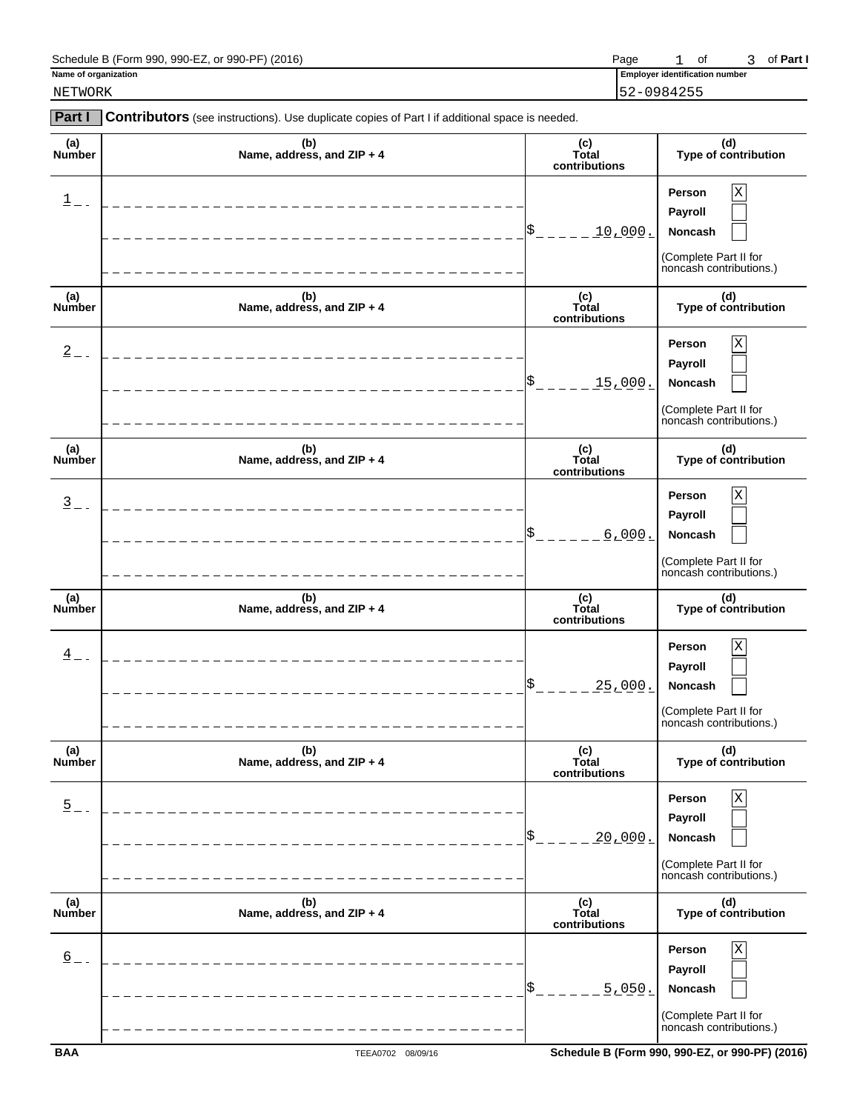| Schedule B (Form 990, 990-EZ, or 990-PF) (2016) | Page |  |  |  | 3 of Part I |
|-------------------------------------------------|------|--|--|--|-------------|
|-------------------------------------------------|------|--|--|--|-------------|

**Name of organization Employer identification numbers of**  $\overline{E}$  **is a set of**  $\overline{E}$  **in the set of**  $\overline{E}$  **is a set of**  $\overline{E}$  **is a set of**  $\overline{E}$  **is a set of**  $\overline{E}$  **is a set of**  $\overline{E}$  **is a set of**  $\overline{E}$  **is a** 

NETWORK 52-0984255

| <b>Part I</b>        | Contributors (see instructions). Use duplicate copies of Part I if additional space is needed. |                               |                                                                                                 |
|----------------------|------------------------------------------------------------------------------------------------|-------------------------------|-------------------------------------------------------------------------------------------------|
| (a)<br>Number        | (b)<br>Name, address, and ZIP + 4                                                              | (c)<br>Total<br>contributions | (d)<br>Type of contribution                                                                     |
| $1$ .                | _______________________                                                                        | \$<br><u>10,000.</u>          | $\mathbf X$<br>Person<br>Payroll<br>Noncash<br>(Complete Part II for<br>noncash contributions.) |
| (a)<br>Number        | (b)<br>Name, address, and ZIP + 4                                                              | (c)<br>Total<br>contributions | (d)<br>Type of contribution                                                                     |
| $2 - 1$              | ________________________                                                                       | \$<br><u>15,000.</u>          | $\mathbf X$<br>Person<br>Payroll<br>Noncash<br>(Complete Part II for<br>noncash contributions.) |
| (a)<br><b>Number</b> | (b)<br>Name, address, and ZIP + 4                                                              | (c)<br>Total<br>contributions | (d)<br>Type of contribution                                                                     |
| $\frac{3}{2}$ -      | ________________                                                                               | \$<br>6,000.                  | X<br>Person<br>Payroll<br>Noncash<br>(Complete Part II for<br>noncash contributions.)           |
| (a)<br>Number        | (b)<br>Name, address, and ZIP + 4                                                              | (c)<br>Total<br>contributions | (d)<br>Type of contribution                                                                     |
| $\frac{4}{1}$ -      | ________________________                                                                       | \$<br><u> 25,000.</u>         | X<br>Person<br>Payroll<br>Noncash<br>(Complete Part II for<br>noncash contributions.)           |
| (a)<br>Number        | (b)<br>Name, address, and ZIP + 4                                                              | (c)<br>Total<br>contributions | (d)<br>Type of contribution                                                                     |
| $\overline{5}$       |                                                                                                | <u> 20,000.</u>               | Person<br>х<br>Payroll<br>Noncash<br>(Complete Part II for<br>noncash contributions.)           |
| (a)<br>Number        | (b)<br>Name, address, and ZIP + 4                                                              | (c)<br>Total<br>contributions | (d)<br>Type of contribution                                                                     |
| $\underline{6}$      |                                                                                                | 5.050.                        | Person<br>Х<br>Payroll<br>Noncash<br>(Complete Part II for<br>noncash contributions.)           |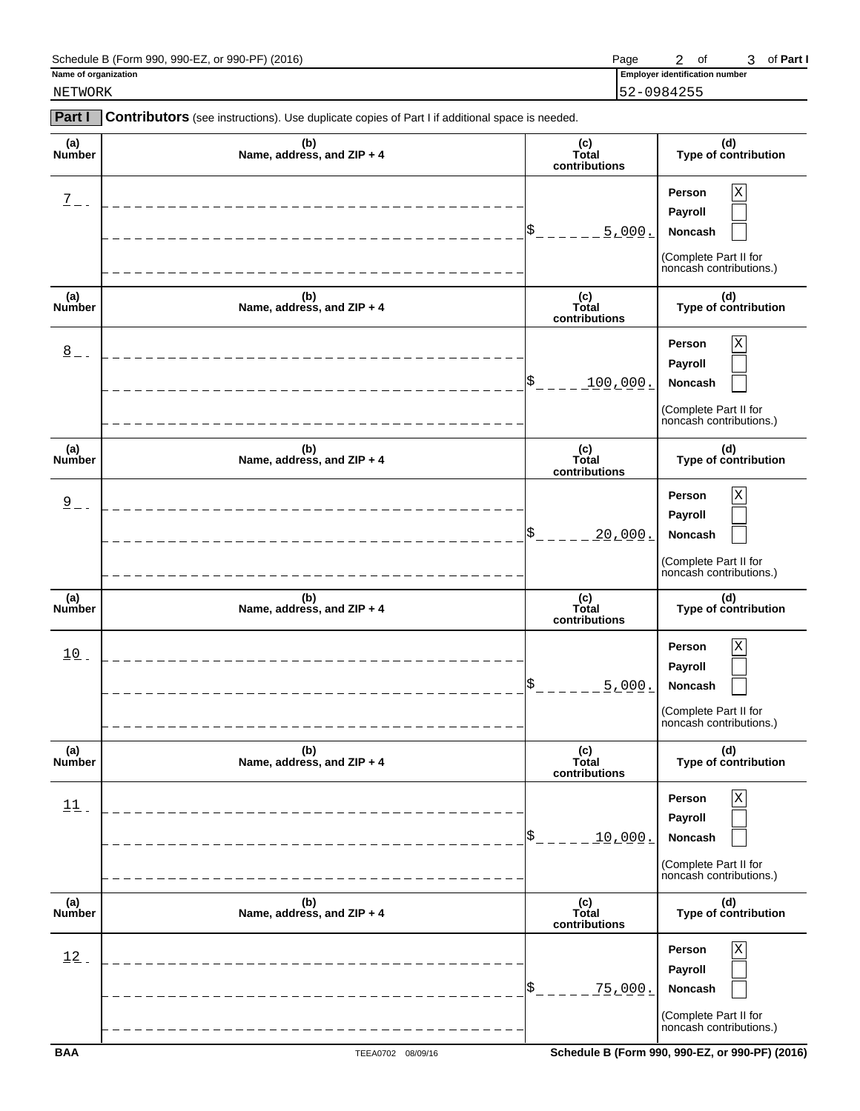| Schedule B (Form 990,<br>. or 990-PF)<br>990-EZ.<br>(2016) | Page | οt | Part .<br>ΟI |
|------------------------------------------------------------|------|----|--------------|
|------------------------------------------------------------|------|----|--------------|

NETWORK 52-0984255

| Part I               | Contributors (see instructions). Use duplicate copies of Part I if additional space is needed. |                               |                                                                                              |
|----------------------|------------------------------------------------------------------------------------------------|-------------------------------|----------------------------------------------------------------------------------------------|
| (a)<br>Number        | (b)<br>Name, address, and ZIP + 4                                                              | (c)<br>Total<br>contributions | (d)<br>Type of contribution                                                                  |
| $\overline{2}$ -     | -----------                                                                                    | \$<br>5.000.                  | X<br>Person<br>Payroll<br>Noncash<br>(Complete Part II for<br>noncash contributions.)        |
| (a)<br>Number        | (b)<br>Name, address, and ZIP + 4                                                              | (c)<br>Total<br>contributions | (d)<br>Type of contribution                                                                  |
| $\underline{8}$      |                                                                                                | \$<br>100,000.                | Χ<br>Person<br>Payroll<br>Noncash<br>(Complete Part II for<br>noncash contributions.)        |
| (a)<br><b>Number</b> | (b)<br>Name, address, and ZIP + 4                                                              | (c)<br>Total<br>contributions | (d)<br>Type of contribution                                                                  |
| $2 - 1$              |                                                                                                | \$<br><u> 20,000.</u>         | Χ<br>Person<br>Payroll<br>Noncash<br>(Complete Part II for<br>noncash contributions.)        |
| (a)<br>Number        | (b)<br>Name, address, and ZIP + 4                                                              | (c)<br>Total<br>contributions | (d)<br>Type of contribution                                                                  |
| $10$ .               | _______________                                                                                | \$<br>5.000.                  | Χ<br>Person<br>Payroll<br>Noncash<br>(Complete Part II for<br>noncash contributions.)        |
| (a)<br>Number        | (b)<br>Name, address, and ZIP + 4                                                              | (c)<br>Total<br>contributions | (d)<br>Type of contribution                                                                  |
| 11                   |                                                                                                | <u>10,000.</u>                | Person<br>х<br>Payroll<br><b>Noncash</b><br>(Complete Part II for<br>noncash contributions.) |
| (a)<br>Number        | (b)<br>Name, address, and ZIP + 4                                                              | (c)<br>Total<br>contributions | (d)<br>Type of contribution                                                                  |
| 12                   |                                                                                                | <u>75,000.</u>                | Person<br>Payroll<br>Noncash<br>(Complete Part II for<br>noncash contributions.)             |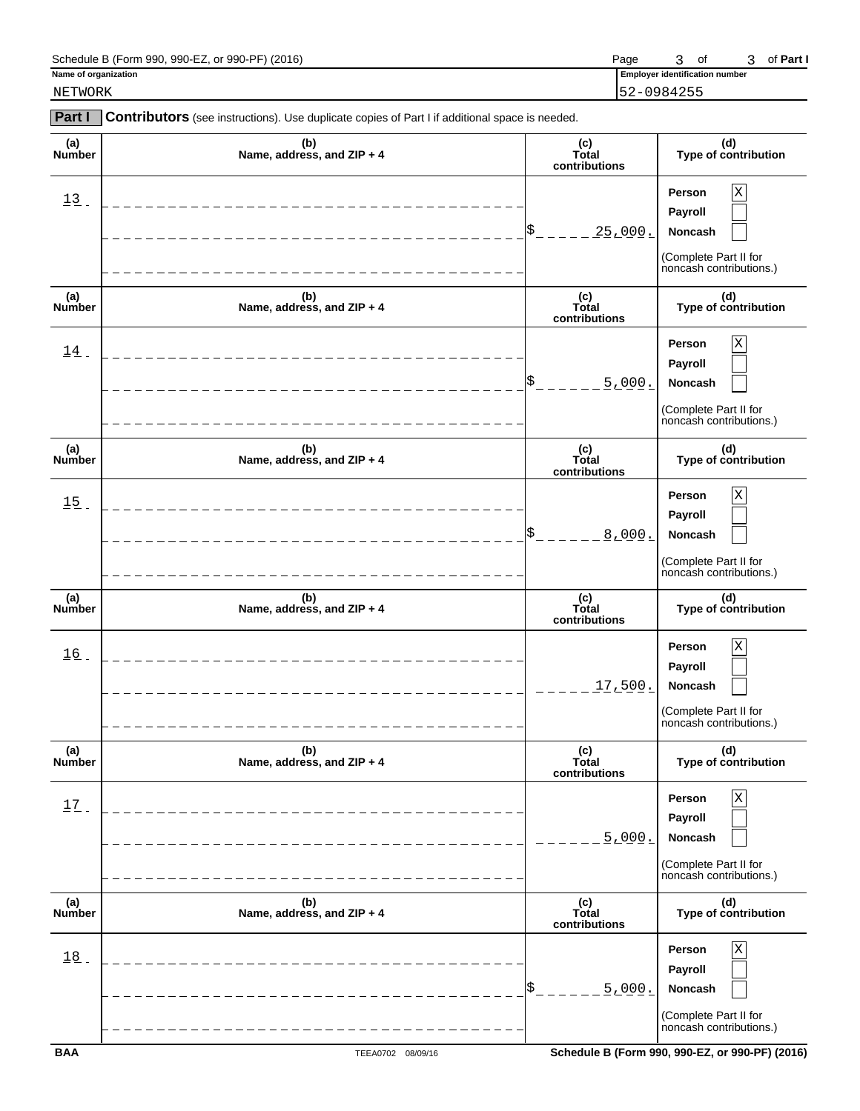| Schedule B (Form 990, 990-EZ, or 990-PF) (2016) | Page |  | 3 of Part I |
|-------------------------------------------------|------|--|-------------|
|-------------------------------------------------|------|--|-------------|

NETWORK 52-0984255

| <b>Part I</b>        | Contributors (see instructions). Use duplicate copies of Part I if additional space is needed. |                               |                                                                                         |
|----------------------|------------------------------------------------------------------------------------------------|-------------------------------|-----------------------------------------------------------------------------------------|
| (a)<br>Number        | (b)<br>Name, address, and ZIP + 4                                                              | (c)<br>Total<br>contributions | (d)<br>Type of contribution                                                             |
| $13$ .               |                                                                                                | \$<br><u> 25,000.</u>         | Χ<br>Person<br>Payroll<br>Noncash<br>(Complete Part II for<br>noncash contributions.)   |
| (a)<br>Number        | (b)<br>Name, address, and ZIP + 4                                                              | (c)<br>Total<br>contributions | (d)<br>Type of contribution                                                             |
| 14                   |                                                                                                | \$<br>5.000.                  | Χ<br>Person<br>Payroll<br>Noncash<br>(Complete Part II for<br>noncash contributions.)   |
| (a)<br><b>Number</b> | (b)<br>Name, address, and ZIP + 4                                                              | (c)<br>Total<br>contributions | (d)<br>Type of contribution                                                             |
| 15                   |                                                                                                | \$<br>8,000.                  | Person<br>Χ<br>Payroll<br>Noncash<br>(Complete Part II for<br>noncash contributions.)   |
| (a)<br>Number        | (b)<br>Name, address, and ZIP + 4                                                              | (c)<br>Total<br>contributions | (d)<br>Type of contribution                                                             |
| 16                   | __________________                                                                             | 17,500.                       | Person<br>Χ<br>Payroll<br>Noncash<br>(Complete Part II for<br>noncash contributions.)   |
| (a)<br>Number        | (b)<br>Name, address, and ZIP + 4                                                              | (c)<br>Total<br>contributions | (d)<br>Type of contribution                                                             |
| 17                   |                                                                                                | 5.000.                        | <b>Person</b><br>Payroll<br>Noncash<br>(Complete Part II for<br>noncash contributions.) |
| (a)<br>Number        | (b)<br>Name, address, and ZIP + 4                                                              | (c)<br>Total<br>contributions | (d)<br>Type of contribution                                                             |
| 18                   |                                                                                                | 5.000.                        | <b>Person</b><br>Payroll<br>Noncash                                                     |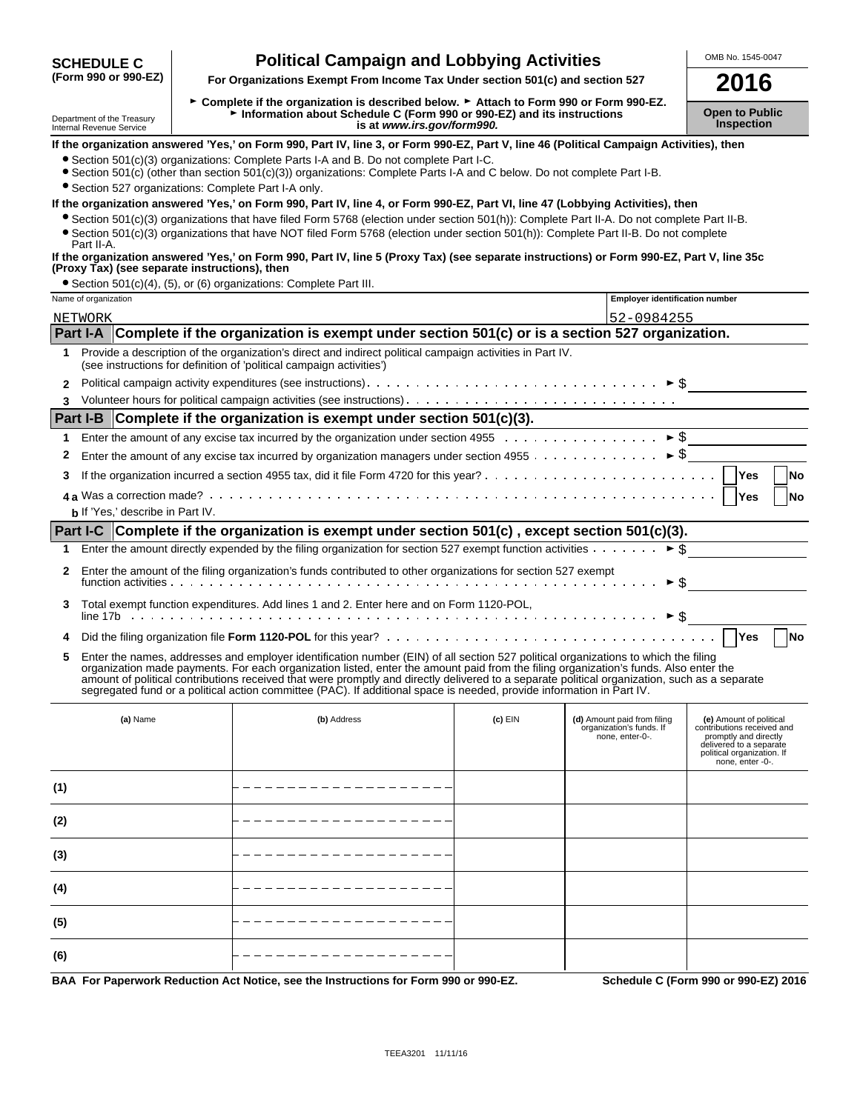# **Political Campaign and Lobbying Activities** MEDING. 1545-0047<br>(Form 990 or 990-EZ) For Organizations Exempt From Income Tax Under section 501(c) and section 527

**For Organizations Exempt From Income Tax Under section 501(c) and section 527 2016** 

► Complete if the organization is described below. ► Attach to Form 990 or Form 990-EZ. Department of the Treasury<br>Information about Schedule C (Form 990 or 990-EZ) and its instructions<br>Inspection is at www.irs.gov/form990. Internal Revenue Assets at *www.irs.gov/form990.* 

### **If the organization answered 'Yes,' on Form 990, Part IV, line 3, or Form 990-EZ, Part V, line 46 (Political Campaign Activities), then**

- ?Section 501(c)(3) organizations: Complete Parts I-A and B. Do not complete Part I-C.
- ?Section 501(c) (other than section 501(c)(3)) organizations: Complete Parts I-A and C below. Do not complete Part I-B.

?Section 527 organizations: Complete Part I-A only.

#### **If the organization answered 'Yes,' on Form 990, Part IV, line 4, or Form 990-EZ, Part VI, line 47 (Lobbying Activities), then**

?Section 501(c)(3) organizations that have filed Form 5768 (election under section 501(h)): Complete Part II-A. Do not complete Part II-B. ?Section 501(c)(3) organizations that have NOT filed Form 5768 (election under section 501(h)): Complete Part II-B. Do not complete

#### Part II-A. **If the organization answered 'Yes,' on Form 990, Part IV, line 5 (Proxy Tax) (see separate instructions) or Form 990-EZ, Part V, line 35c (Proxy Tax) (see separate instructions), then**

?Section 501(c)(4), (5), or (6) organizations: Complete Part III.

|              | Name of organization                                                     |                                         |                                                                                                                                                                                                                                                                                                                                                                                                                                                                                                                                                      | <b>Employer identification number</b> |                                                                            |                                                                                                                                                             |  |  |  |
|--------------|--------------------------------------------------------------------------|-----------------------------------------|------------------------------------------------------------------------------------------------------------------------------------------------------------------------------------------------------------------------------------------------------------------------------------------------------------------------------------------------------------------------------------------------------------------------------------------------------------------------------------------------------------------------------------------------------|---------------------------------------|----------------------------------------------------------------------------|-------------------------------------------------------------------------------------------------------------------------------------------------------------|--|--|--|
|              | NETWORK                                                                  |                                         |                                                                                                                                                                                                                                                                                                                                                                                                                                                                                                                                                      |                                       | 52-0984255                                                                 |                                                                                                                                                             |  |  |  |
|              |                                                                          |                                         | Part I-A Complete if the organization is exempt under section 501(c) or is a section 527 organization.                                                                                                                                                                                                                                                                                                                                                                                                                                               |                                       |                                                                            |                                                                                                                                                             |  |  |  |
| $\mathbf{1}$ |                                                                          |                                         | Provide a description of the organization's direct and indirect political campaign activities in Part IV.<br>(see instructions for definition of 'political campaign activities')                                                                                                                                                                                                                                                                                                                                                                    |                                       |                                                                            |                                                                                                                                                             |  |  |  |
| $\mathbf{2}$ |                                                                          |                                         |                                                                                                                                                                                                                                                                                                                                                                                                                                                                                                                                                      |                                       |                                                                            |                                                                                                                                                             |  |  |  |
| 3            |                                                                          |                                         |                                                                                                                                                                                                                                                                                                                                                                                                                                                                                                                                                      |                                       |                                                                            |                                                                                                                                                             |  |  |  |
|              | Part I-B Complete if the organization is exempt under section 501(c)(3). |                                         |                                                                                                                                                                                                                                                                                                                                                                                                                                                                                                                                                      |                                       |                                                                            |                                                                                                                                                             |  |  |  |
| 1            |                                                                          |                                         |                                                                                                                                                                                                                                                                                                                                                                                                                                                                                                                                                      |                                       |                                                                            |                                                                                                                                                             |  |  |  |
| 2            |                                                                          |                                         | Enter the amount of any excise tax incurred by organization managers under section 4955 $\dots \dots \dots \dots \dots$                                                                                                                                                                                                                                                                                                                                                                                                                              |                                       |                                                                            |                                                                                                                                                             |  |  |  |
| 3            |                                                                          |                                         |                                                                                                                                                                                                                                                                                                                                                                                                                                                                                                                                                      |                                       |                                                                            | Yes<br><b>No</b>                                                                                                                                            |  |  |  |
|              |                                                                          |                                         |                                                                                                                                                                                                                                                                                                                                                                                                                                                                                                                                                      |                                       |                                                                            | Yes<br><b>No</b>                                                                                                                                            |  |  |  |
|              |                                                                          | <b>b</b> If 'Yes,' describe in Part IV. |                                                                                                                                                                                                                                                                                                                                                                                                                                                                                                                                                      |                                       |                                                                            |                                                                                                                                                             |  |  |  |
|              |                                                                          |                                         | Part I-C Complete if the organization is exempt under section 501(c), except section 501(c)(3).                                                                                                                                                                                                                                                                                                                                                                                                                                                      |                                       |                                                                            |                                                                                                                                                             |  |  |  |
| 1.           |                                                                          |                                         | Enter the amount directly expended by the filing organization for section 527 exempt function activities $\cdots \cdots$                                                                                                                                                                                                                                                                                                                                                                                                                             |                                       |                                                                            |                                                                                                                                                             |  |  |  |
|              |                                                                          |                                         | Enter the amount of the filing organization's funds contributed to other organizations for section 527 exempt                                                                                                                                                                                                                                                                                                                                                                                                                                        |                                       | $\triangleright$ \$                                                        |                                                                                                                                                             |  |  |  |
| 3            |                                                                          |                                         | Total exempt function expenditures. Add lines 1 and 2. Enter here and on Form 1120-POL,                                                                                                                                                                                                                                                                                                                                                                                                                                                              |                                       |                                                                            |                                                                                                                                                             |  |  |  |
| 4            |                                                                          |                                         |                                                                                                                                                                                                                                                                                                                                                                                                                                                                                                                                                      |                                       |                                                                            | Yes<br><b>No</b>                                                                                                                                            |  |  |  |
| 5            |                                                                          |                                         | Enter the names, addresses and employer identification number (EIN) of all section 527 political organizations to which the filing<br>organization made payments. For each organization listed, enter the amount paid from the filing organization's funds. Also enter the<br>amount of political contributions received that were promptly and directly delivered to a separate political organization, such as a separate<br>segregated fund or a political action committee (PAC). If additional space is needed, provide information in Part IV. |                                       |                                                                            |                                                                                                                                                             |  |  |  |
|              |                                                                          | (a) Name                                | (b) Address                                                                                                                                                                                                                                                                                                                                                                                                                                                                                                                                          | $(c)$ EIN                             | (d) Amount paid from filing<br>organization's funds. If<br>none, enter-0-. | (e) Amount of political<br>contributions received and<br>promptly and directly<br>delivered to a separate<br>political organization. If<br>none. enter -0-. |  |  |  |
| (1)          |                                                                          |                                         |                                                                                                                                                                                                                                                                                                                                                                                                                                                                                                                                                      |                                       |                                                                            |                                                                                                                                                             |  |  |  |
| (2)          |                                                                          |                                         |                                                                                                                                                                                                                                                                                                                                                                                                                                                                                                                                                      |                                       |                                                                            |                                                                                                                                                             |  |  |  |
| (3)          |                                                                          |                                         |                                                                                                                                                                                                                                                                                                                                                                                                                                                                                                                                                      |                                       |                                                                            |                                                                                                                                                             |  |  |  |
| (4)          |                                                                          |                                         |                                                                                                                                                                                                                                                                                                                                                                                                                                                                                                                                                      |                                       |                                                                            |                                                                                                                                                             |  |  |  |
| (5)          |                                                                          |                                         | ____________________                                                                                                                                                                                                                                                                                                                                                                                                                                                                                                                                 |                                       |                                                                            |                                                                                                                                                             |  |  |  |
| (6)          |                                                                          |                                         |                                                                                                                                                                                                                                                                                                                                                                                                                                                                                                                                                      |                                       |                                                                            |                                                                                                                                                             |  |  |  |
|              |                                                                          |                                         |                                                                                                                                                                                                                                                                                                                                                                                                                                                                                                                                                      |                                       |                                                                            |                                                                                                                                                             |  |  |  |

**BAA For Paperwork Reduction Act Notice, see the Instructions for Form 990 or 990-EZ. Schedule C (Form 990 or 990-EZ) 2016**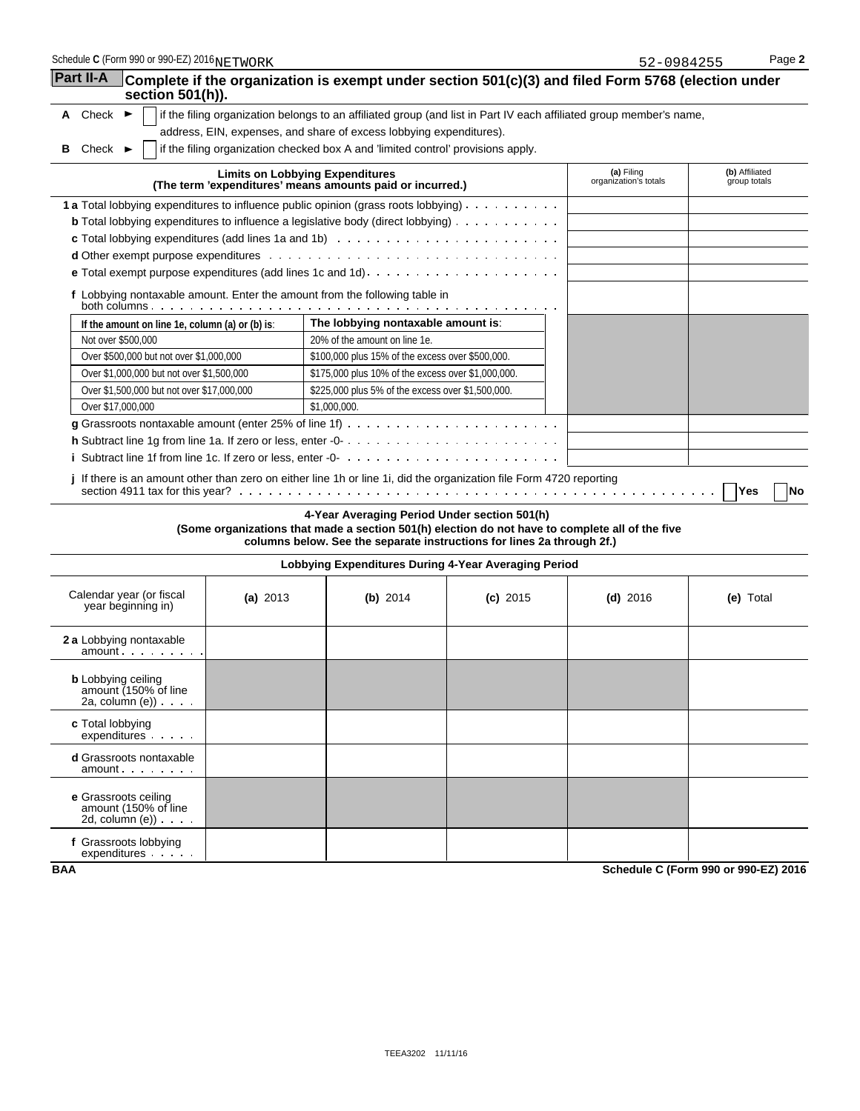| Schedule C (Form 990 or 990-EZ) 2016NETWORK                                         |                                        |                                                                                                                                                                                                                           |            | 52-0984255                          | Page 2                         |  |
|-------------------------------------------------------------------------------------|----------------------------------------|---------------------------------------------------------------------------------------------------------------------------------------------------------------------------------------------------------------------------|------------|-------------------------------------|--------------------------------|--|
| Part II-A<br>section 501(h)).                                                       |                                        | Complete if the organization is exempt under section 501(c)(3) and filed Form 5768 (election under                                                                                                                        |            |                                     |                                |  |
| A Check $\blacktriangleright$                                                       |                                        | if the filing organization belongs to an affiliated group (and list in Part IV each affiliated group member's name,                                                                                                       |            |                                     |                                |  |
|                                                                                     |                                        | address, EIN, expenses, and share of excess lobbying expenditures).                                                                                                                                                       |            |                                     |                                |  |
| Check $\blacktriangleright$<br>в                                                    |                                        | if the filing organization checked box A and 'limited control' provisions apply.                                                                                                                                          |            |                                     |                                |  |
|                                                                                     | <b>Limits on Lobbying Expenditures</b> | (The term 'expenditures' means amounts paid or incurred.)                                                                                                                                                                 |            | (a) Filing<br>organization's totals | (b) Affiliated<br>group totals |  |
| 1 a Total lobbying expenditures to influence public opinion (grass roots lobbying)  |                                        |                                                                                                                                                                                                                           |            |                                     |                                |  |
|                                                                                     |                                        | <b>b</b> Total lobbying expenditures to influence a legislative body (direct lobbying)                                                                                                                                    |            |                                     |                                |  |
|                                                                                     |                                        |                                                                                                                                                                                                                           |            |                                     |                                |  |
|                                                                                     |                                        |                                                                                                                                                                                                                           |            |                                     |                                |  |
|                                                                                     |                                        |                                                                                                                                                                                                                           |            |                                     |                                |  |
|                                                                                     |                                        | f Lobbying nontaxable amount. Enter the amount from the following table in                                                                                                                                                |            |                                     |                                |  |
| If the amount on line 1e, column (a) or (b) is:                                     |                                        | The lobbying nontaxable amount is:                                                                                                                                                                                        |            |                                     |                                |  |
| Not over \$500,000                                                                  |                                        | 20% of the amount on line 1e.                                                                                                                                                                                             |            |                                     |                                |  |
| Over \$500,000 but not over \$1,000,000                                             |                                        | \$100,000 plus 15% of the excess over \$500,000.                                                                                                                                                                          |            |                                     |                                |  |
| Over \$1,000,000 but not over \$1,500,000                                           |                                        | \$175,000 plus 10% of the excess over \$1,000,000.                                                                                                                                                                        |            |                                     |                                |  |
| Over \$1,500,000 but not over \$17,000,000                                          |                                        | \$225,000 plus 5% of the excess over \$1,500,000.                                                                                                                                                                         |            |                                     |                                |  |
| Over \$17,000,000                                                                   |                                        | \$1,000,000.                                                                                                                                                                                                              |            |                                     |                                |  |
|                                                                                     |                                        | <b>g</b> Grassroots nontaxable amount (enter 25% of line 1f) $\ldots \ldots \ldots \ldots \ldots \ldots \ldots \ldots$                                                                                                    |            |                                     |                                |  |
|                                                                                     |                                        |                                                                                                                                                                                                                           |            |                                     |                                |  |
|                                                                                     |                                        |                                                                                                                                                                                                                           |            |                                     |                                |  |
|                                                                                     |                                        | j If there is an amount other than zero on either line 1h or line 1i, did the organization file Form 4720 reporting                                                                                                       |            |                                     | Yes<br>No                      |  |
|                                                                                     |                                        | 4-Year Averaging Period Under section 501(h)<br>(Some organizations that made a section 501(h) election do not have to complete all of the five<br>columns below. See the separate instructions for lines 2a through 2f.) |            |                                     |                                |  |
|                                                                                     |                                        | Lobbying Expenditures During 4-Year Averaging Period                                                                                                                                                                      |            |                                     |                                |  |
| Calendar year (or fiscal<br>year beginning in)                                      | (a) $2013$                             | (b) $2014$                                                                                                                                                                                                                | $(c)$ 2015 | (d) $2016$                          | (e) Total                      |  |
| <b>2 a</b> Lobbying nontaxable<br>amount                                            |                                        |                                                                                                                                                                                                                           |            |                                     |                                |  |
| <b>b</b> Lobbying ceiling<br>amount (150% of line<br>$2a$ , column $(e)$ ) $\ldots$ |                                        |                                                                                                                                                                                                                           |            |                                     |                                |  |
| c Total lobbying<br>expenditures                                                    |                                        |                                                                                                                                                                                                                           |            |                                     |                                |  |
| <b>d</b> Grassroots nontaxable<br>amount                                            |                                        |                                                                                                                                                                                                                           |            |                                     |                                |  |
| e Grassroots ceiling<br>amount (150% of line<br>2d, column $(e)$ ) $\ldots$ .       |                                        |                                                                                                                                                                                                                           |            |                                     |                                |  |

**f** Grassroots lobbying expenditures

**BAA Schedule C (Form 990 or 990-EZ) 2016**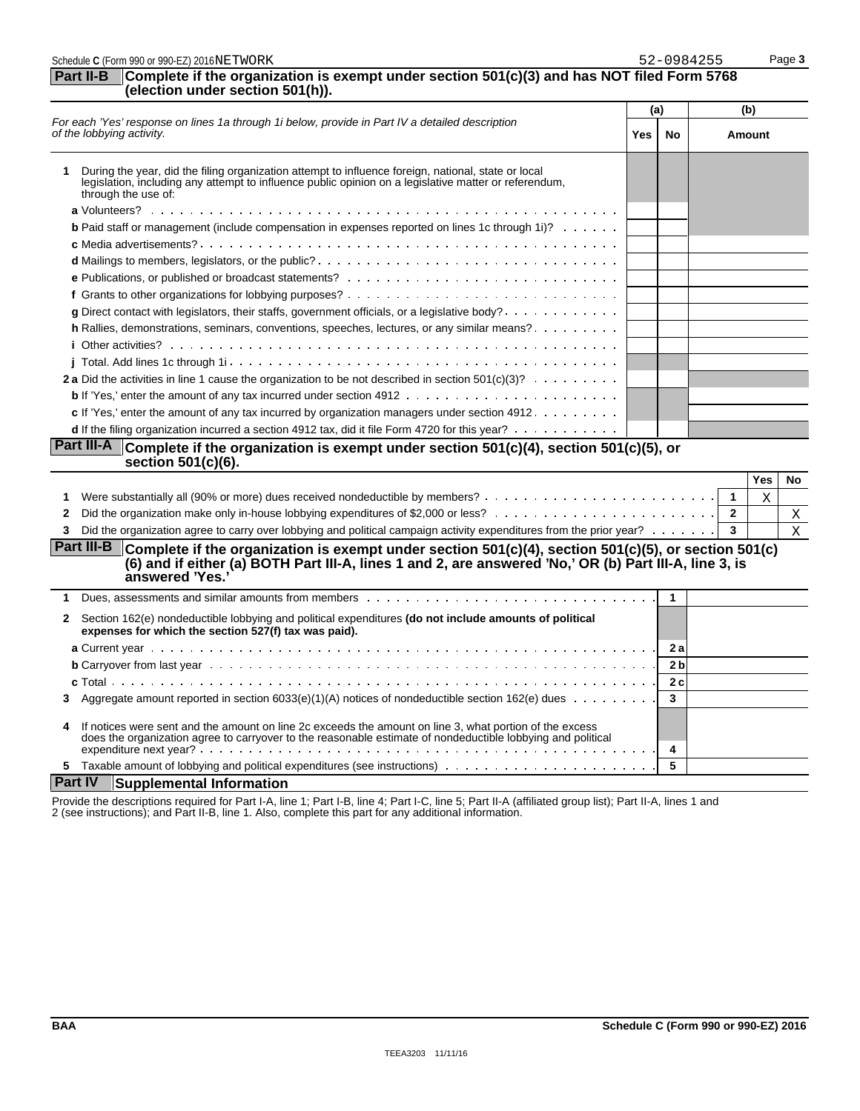| Schedule C (Form 990 or 990-EZ) 2016NETWORK                                                                                                                                                                                                                    |     | 52-0984255   | Page 3                       |
|----------------------------------------------------------------------------------------------------------------------------------------------------------------------------------------------------------------------------------------------------------------|-----|--------------|------------------------------|
| Complete if the organization is exempt under section $501(c)(3)$ and has NOT filed Form 5768<br>Part II-B<br>(election under section 501(h)).                                                                                                                  |     |              |                              |
|                                                                                                                                                                                                                                                                | (a) |              | (b)                          |
| For each 'Yes' response on lines 1a through 1i below, provide in Part IV a detailed description<br>of the lobbying activity.                                                                                                                                   | Yes | No.          | <b>Amount</b>                |
| During the year, did the filing organization attempt to influence foreign, national, state or local<br>1<br>legislation, including any attempt to influence public opinion on a legislative matter or referendum,<br>through the use of:                       |     |              |                              |
|                                                                                                                                                                                                                                                                |     |              |                              |
| <b>b</b> Paid staff or management (include compensation in expenses reported on lines 1c through 1i)?                                                                                                                                                          |     |              |                              |
|                                                                                                                                                                                                                                                                |     |              |                              |
|                                                                                                                                                                                                                                                                |     |              |                              |
|                                                                                                                                                                                                                                                                |     |              |                              |
|                                                                                                                                                                                                                                                                |     |              |                              |
| g Direct contact with legislators, their staffs, government officials, or a legislative body?                                                                                                                                                                  |     |              |                              |
| h Rallies, demonstrations, seminars, conventions, speeches, lectures, or any similar means?                                                                                                                                                                    |     |              |                              |
|                                                                                                                                                                                                                                                                |     |              |                              |
|                                                                                                                                                                                                                                                                |     |              |                              |
| 2 a Did the activities in line 1 cause the organization to be not described in section $501(c)(3)? \ldots \ldots$                                                                                                                                              |     |              |                              |
|                                                                                                                                                                                                                                                                |     |              |                              |
| c If 'Yes,' enter the amount of any tax incurred by organization managers under section 4912.                                                                                                                                                                  |     |              |                              |
| d If the filing organization incurred a section 4912 tax, did it file Form 4720 for this year?                                                                                                                                                                 |     |              |                              |
| <b>Part III-A</b><br>Complete if the organization is exempt under section $501(c)(4)$ , section $501(c)(5)$ , or<br>section 501(c)(6).                                                                                                                         |     |              |                              |
|                                                                                                                                                                                                                                                                |     |              | Yes<br>No                    |
| 1                                                                                                                                                                                                                                                              |     |              | $\overline{\mathbf{1}}$<br>Χ |
| 2                                                                                                                                                                                                                                                              |     |              | $\overline{2}$<br>Χ          |
| Did the organization agree to carry over lobbying and political campaign activity expenditures from the prior year?<br>3                                                                                                                                       |     |              | 3<br>X                       |
| <b>Part III-B</b><br>Complete if the organization is exempt under section $501(c)(4)$ , section $501(c)(5)$ , or section $501(c)$<br>(6) and if either (a) BOTH Part III-A, lines 1 and 2, are answered 'No,' OR (b) Part III-A, line 3, is<br>answered 'Yes.' |     |              |                              |
| 1                                                                                                                                                                                                                                                              |     | $\mathbf{1}$ |                              |
| Section 162(e) nondeductible lobbying and political expenditures (do not include amounts of political<br>$\mathbf{2}$<br>expenses for which the section 527(f) tax was paid).                                                                                  |     |              |                              |
|                                                                                                                                                                                                                                                                |     | 2 a          |                              |
|                                                                                                                                                                                                                                                                |     | 2 b          |                              |
|                                                                                                                                                                                                                                                                |     | 2c           |                              |
| Aggregate amount reported in section 6033(e)(1)(A) notices of nondeductible section 162(e) dues $\ldots \ldots \ldots$<br>3                                                                                                                                    |     | 3            |                              |
| If notices were sent and the amount on line 2c exceeds the amount on line 3, what portion of the excess<br>4<br>does the organization agree to carryover to the reasonable estimate of nondeductible lobbying and political                                    |     | 4            |                              |
|                                                                                                                                                                                                                                                                |     | 5            |                              |
| <b>Part IV</b><br><b>Supplemental Information</b>                                                                                                                                                                                                              |     |              |                              |

Provide the descriptions required for Part I-A, line 1; Part I-B, line 4; Part I-C, line 5; Part II-A (affiliated group list); Part II-A, lines 1 and 2 (see instructions); and Part II-B, line 1. Also, complete this part for any additional information.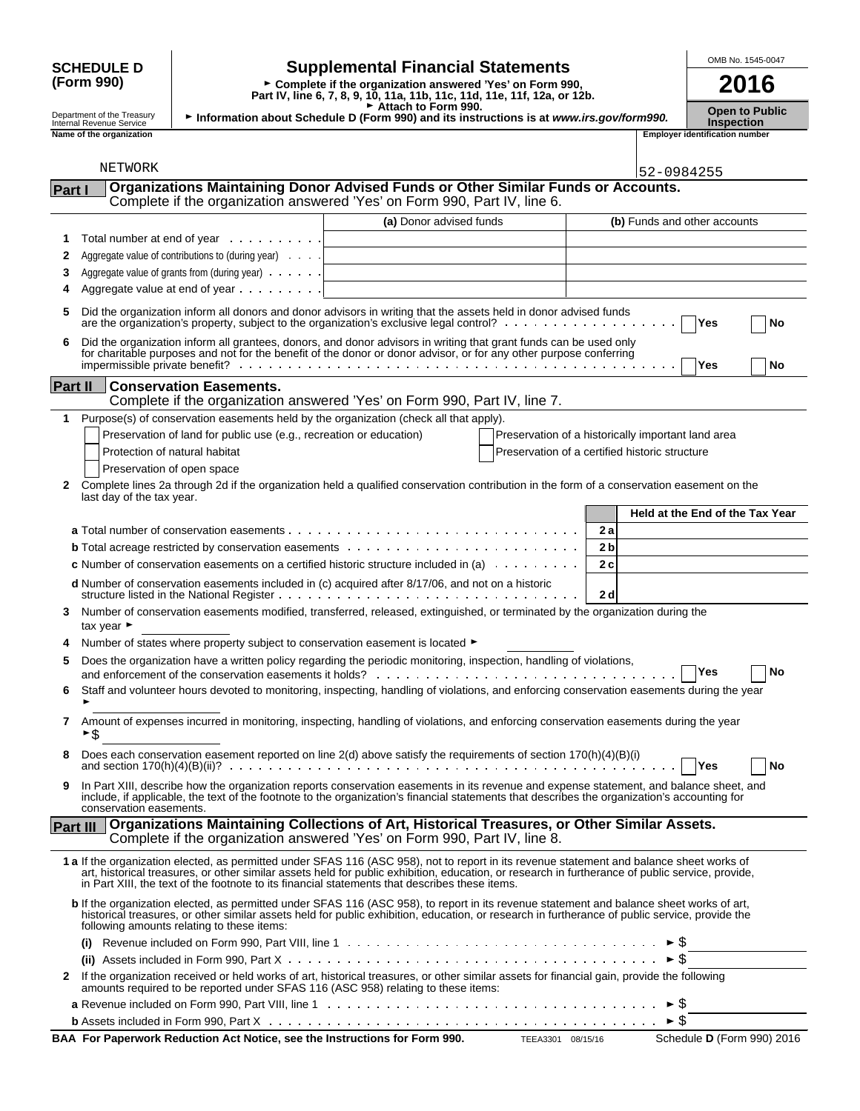| <b>SCHEDULE D</b>                                      | <b>Supplemental Financial Statements</b>          |                                                                                                                                                                | OMB No. 1545-0047                          |            |                                       |
|--------------------------------------------------------|---------------------------------------------------|----------------------------------------------------------------------------------------------------------------------------------------------------------------|--------------------------------------------|------------|---------------------------------------|
| (Form 990)                                             |                                                   | ► Complete if the organization answered 'Yes' on Form 990,<br>Part IV, line 6, 7, 8, 9, 10, 11a, 11b, 11c, 11d, 11e, 11f, 12a, or 12b.                         |                                            | 2016       |                                       |
| Department of the Treasury<br>Internal Revenue Service |                                                   | Attach to Form 990.<br>Information about Schedule D (Form 990) and its instructions is at www.irs.gov/form990.                                                 | <b>Open to Public</b><br><b>Inspection</b> |            |                                       |
| Name of the organization                               |                                                   |                                                                                                                                                                |                                            |            | <b>Employer identification number</b> |
|                                                        |                                                   |                                                                                                                                                                |                                            |            |                                       |
| NETWORK                                                |                                                   |                                                                                                                                                                |                                            | 52-0984255 |                                       |
| lPart l                                                |                                                   | Organizations Maintaining Donor Advised Funds or Other Similar Funds or Accounts.<br>Complete if the organization answered 'Yes' on Form 990, Part IV, line 6. |                                            |            |                                       |
|                                                        |                                                   | (a) Donor advised funds                                                                                                                                        |                                            |            | (b) Funds and other accounts          |
|                                                        | Total number at end of year $\ldots$              |                                                                                                                                                                |                                            |            |                                       |
|                                                        | Aggregate value of contributions to (during year) |                                                                                                                                                                |                                            |            |                                       |
| 3                                                      | Aggregate value of grants from (during year)      |                                                                                                                                                                |                                            |            |                                       |
|                                                        |                                                   |                                                                                                                                                                |                                            |            |                                       |

|  | <b>Employer identificatio</b> |  |
|--|-------------------------------|--|

|          | NEIWORK                                                                                                                                                                                                                                                                                                                                                                                         | 52-0984255                                         |
|----------|-------------------------------------------------------------------------------------------------------------------------------------------------------------------------------------------------------------------------------------------------------------------------------------------------------------------------------------------------------------------------------------------------|----------------------------------------------------|
| Part I   | Organizations Maintaining Donor Advised Funds or Other Similar Funds or Accounts.<br>Complete if the organization answered 'Yes' on Form 990, Part IV, line 6.                                                                                                                                                                                                                                  |                                                    |
|          | (a) Donor advised funds                                                                                                                                                                                                                                                                                                                                                                         | (b) Funds and other accounts                       |
| 1        | Total number at end of year                                                                                                                                                                                                                                                                                                                                                                     |                                                    |
| 2        | Aggregate value of contributions to (during year)                                                                                                                                                                                                                                                                                                                                               |                                                    |
| 3        | Aggregate value of grants from (during year)                                                                                                                                                                                                                                                                                                                                                    |                                                    |
| 4        | Aggregate value at end of year                                                                                                                                                                                                                                                                                                                                                                  |                                                    |
|          |                                                                                                                                                                                                                                                                                                                                                                                                 |                                                    |
| 5        | Did the organization inform all donors and donor advisors in writing that the assets held in donor advised funds                                                                                                                                                                                                                                                                                | <b>Yes</b><br>No                                   |
| 6        | Did the organization inform all grantees, donors, and donor advisors in writing that grant funds can be used only for charitable purposes and not for the benefit of the donor or donor advisor, or for any other purpose conf                                                                                                                                                                  | Yes<br>No                                          |
| Part II  | <b>Conservation Easements.</b>                                                                                                                                                                                                                                                                                                                                                                  |                                                    |
|          | Complete if the organization answered 'Yes' on Form 990, Part IV, line 7.                                                                                                                                                                                                                                                                                                                       |                                                    |
| 1        | Purpose(s) of conservation easements held by the organization (check all that apply).                                                                                                                                                                                                                                                                                                           |                                                    |
|          | Preservation of land for public use (e.g., recreation or education)                                                                                                                                                                                                                                                                                                                             | Preservation of a historically important land area |
|          | Protection of natural habitat                                                                                                                                                                                                                                                                                                                                                                   | Preservation of a certified historic structure     |
|          | Preservation of open space                                                                                                                                                                                                                                                                                                                                                                      |                                                    |
| 2        | Complete lines 2a through 2d if the organization held a qualified conservation contribution in the form of a conservation easement on the<br>last day of the tax year.                                                                                                                                                                                                                          |                                                    |
|          |                                                                                                                                                                                                                                                                                                                                                                                                 | Held at the End of the Tax Year                    |
|          |                                                                                                                                                                                                                                                                                                                                                                                                 | 2 a                                                |
|          |                                                                                                                                                                                                                                                                                                                                                                                                 | 2 <sub>b</sub>                                     |
|          | <b>c</b> Number of conservation easements on a certified historic structure included in (a) $\ldots \ldots \ldots$                                                                                                                                                                                                                                                                              | 2c                                                 |
|          |                                                                                                                                                                                                                                                                                                                                                                                                 |                                                    |
|          | d Number of conservation easements included in (c) acquired after 8/17/06, and not on a historic                                                                                                                                                                                                                                                                                                | 2d                                                 |
| 3        | Number of conservation easements modified, transferred, released, extinguished, or terminated by the organization during the<br>tax year $\blacktriangleright$                                                                                                                                                                                                                                  |                                                    |
|          | Number of states where property subject to conservation easement is located ▶                                                                                                                                                                                                                                                                                                                   |                                                    |
| 5        | Does the organization have a written policy regarding the periodic monitoring, inspection, handling of violations,                                                                                                                                                                                                                                                                              | Yes<br>No                                          |
| 6        | Staff and volunteer hours devoted to monitoring, inspecting, handling of violations, and enforcing conservation easements during the year                                                                                                                                                                                                                                                       |                                                    |
| 7        | Amount of expenses incurred in monitoring, inspecting, handling of violations, and enforcing conservation easements during the year<br>\$                                                                                                                                                                                                                                                       |                                                    |
|          | Does each conservation easement reported on line 2(d) above satisfy the requirements of section 170(h)(4)(B)(i)                                                                                                                                                                                                                                                                                 | Yes<br>No                                          |
|          | In Part XIII, describe how the organization reports conservation easements in its revenue and expense statement, and balance sheet, and                                                                                                                                                                                                                                                         |                                                    |
|          | include, if applicable, the text of the footnote to the organization's financial statements that describes the organization's accounting for<br>conservation easements.                                                                                                                                                                                                                         |                                                    |
| Part III | Organizations Maintaining Collections of Art, Historical Treasures, or Other Similar Assets.<br>Complete if the organization answered 'Yes' on Form 990, Part IV, line 8.                                                                                                                                                                                                                       |                                                    |
|          | 1 a If the organization elected, as permitted under SFAS 116 (ASC 958), not to report in its revenue statement and balance sheet works of<br>art, historical treasures, or other similar assets held for public exhibition, education, or research in furtherance of public service, provide,<br>in Part XIII, the text of the footnote to its financial statements that describes these items. |                                                    |
|          | b If the organization elected, as permitted under SFAS 116 (ASC 958), to report in its revenue statement and balance sheet works of art,<br>historical treasures, or other similar assets held for public exhibition, education, or research in furtherance of public service, provide the<br>following amounts relating to these items:                                                        |                                                    |
|          |                                                                                                                                                                                                                                                                                                                                                                                                 |                                                    |
|          |                                                                                                                                                                                                                                                                                                                                                                                                 | ► \$                                               |
| 2        | If the organization received or held works of art, historical treasures, or other similar assets for financial gain, provide the following<br>amounts required to be reported under SFAS 116 (ASC 958) relating to these items:                                                                                                                                                                 |                                                    |
|          |                                                                                                                                                                                                                                                                                                                                                                                                 |                                                    |
|          |                                                                                                                                                                                                                                                                                                                                                                                                 |                                                    |
|          |                                                                                                                                                                                                                                                                                                                                                                                                 |                                                    |

**BAA For Paperwork Reduction Act Notice, see the Instructions for Form 990.** TEEA3301 08/15/16 Schedule D (Form 990) 2016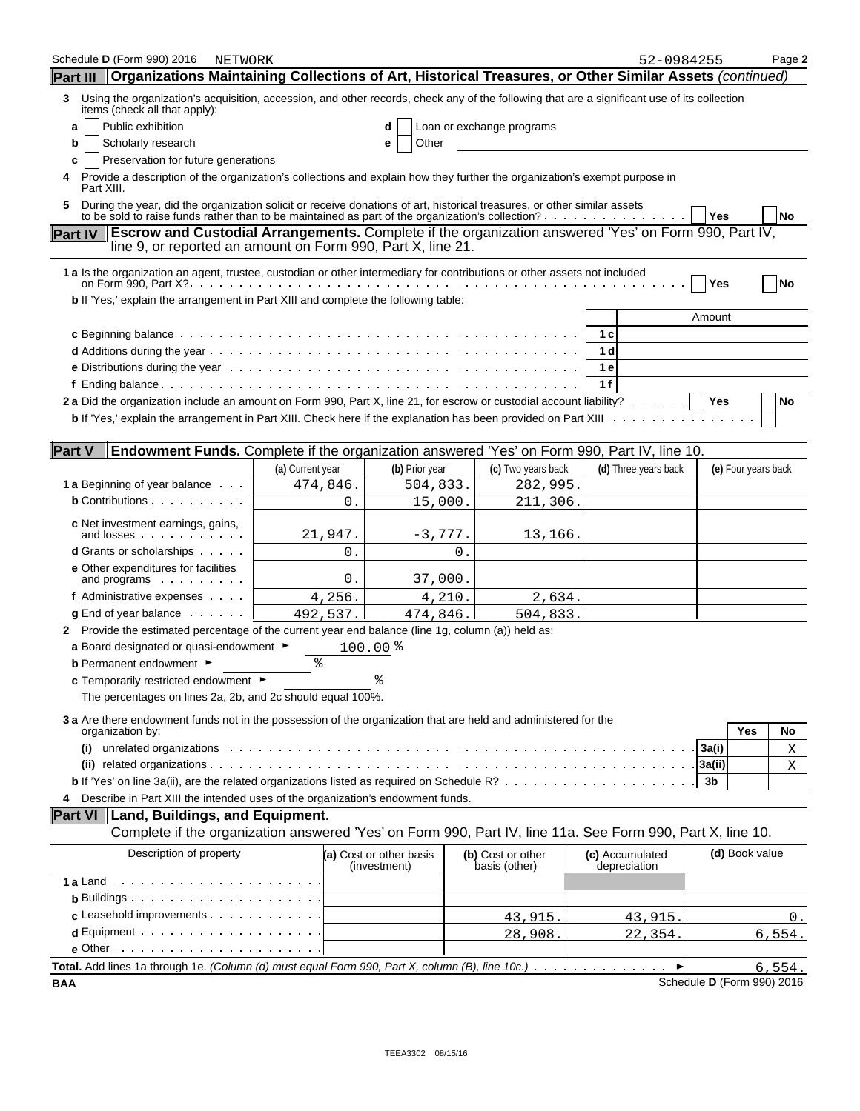| Schedule D (Form 990) 2016<br>NETWORK                                                                                                                                                                                                 |                  |                                         |           |                                    | 52-0984255                      |                            | Page 2 |
|---------------------------------------------------------------------------------------------------------------------------------------------------------------------------------------------------------------------------------------|------------------|-----------------------------------------|-----------|------------------------------------|---------------------------------|----------------------------|--------|
| Organizations Maintaining Collections of Art, Historical Treasures, or Other Similar Assets (continued)<br><b>Part III</b>                                                                                                            |                  |                                         |           |                                    |                                 |                            |        |
| Using the organization's acquisition, accession, and other records, check any of the following that are a significant use of its collection<br>3<br>items (check all that apply):                                                     |                  |                                         |           |                                    |                                 |                            |        |
| Public exhibition<br>a                                                                                                                                                                                                                |                  | d                                       |           | Loan or exchange programs          |                                 |                            |        |
| Scholarly research<br>b                                                                                                                                                                                                               |                  | Other<br>е                              |           |                                    |                                 |                            |        |
| Preservation for future generations<br>c                                                                                                                                                                                              |                  |                                         |           |                                    |                                 |                            |        |
| Provide a description of the organization's collections and explain how they further the organization's exempt purpose in<br>4<br>Part XIII.                                                                                          |                  |                                         |           |                                    |                                 |                            |        |
| During the year, did the organization solicit or receive donations of art, historical treasures, or other similar assets<br>5.                                                                                                        |                  |                                         |           |                                    |                                 | ∣ Yes                      | No     |
| Escrow and Custodial Arrangements. Complete if the organization answered 'Yes' on Form 990, Part IV,<br><b>Part IV</b><br>line 9, or reported an amount on Form 990, Part X, line 21.                                                 |                  |                                         |           |                                    |                                 |                            |        |
| 1 a Is the organization an agent, trustee, custodian or other intermediary for contributions or other assets not included                                                                                                             |                  |                                         |           |                                    |                                 | Yes                        | No     |
| b If 'Yes,' explain the arrangement in Part XIII and complete the following table:                                                                                                                                                    |                  |                                         |           |                                    |                                 |                            |        |
|                                                                                                                                                                                                                                       |                  |                                         |           |                                    |                                 | Amount                     |        |
|                                                                                                                                                                                                                                       |                  |                                         |           |                                    | 1 с                             |                            |        |
|                                                                                                                                                                                                                                       |                  |                                         |           |                                    | 1 d                             |                            |        |
|                                                                                                                                                                                                                                       |                  |                                         |           |                                    | 1е                              |                            |        |
|                                                                                                                                                                                                                                       |                  |                                         |           |                                    | 1f                              |                            |        |
| 2a Did the organization include an amount on Form 990, Part X, line 21, for escrow or custodial account liability?   Yes                                                                                                              |                  |                                         |           |                                    |                                 |                            | No     |
|                                                                                                                                                                                                                                       |                  |                                         |           |                                    |                                 |                            |        |
| <b>Part V</b><br>Endowment Funds. Complete if the organization answered 'Yes' on Form 990, Part IV, line 10.                                                                                                                          |                  |                                         |           |                                    |                                 |                            |        |
|                                                                                                                                                                                                                                       | (a) Current year | (b) Prior year                          |           | (c) Two years back                 | (d) Three years back            | (e) Four years back        |        |
| <b>1 a</b> Beginning of year balance                                                                                                                                                                                                  | 474,846.         | 504,833.                                |           | 282,995.                           |                                 |                            |        |
| <b>b</b> Contributions                                                                                                                                                                                                                |                  | 0.                                      | 15,000.   | 211,306.                           |                                 |                            |        |
|                                                                                                                                                                                                                                       |                  |                                         |           |                                    |                                 |                            |        |
| <b>c</b> Net investment earnings, gains,<br>and losses                                                                                                                                                                                | 21,947.          |                                         | $-3,777.$ | 13,166.                            |                                 |                            |        |
| <b>d</b> Grants or scholarships                                                                                                                                                                                                       |                  | 0.                                      | 0.        |                                    |                                 |                            |        |
| e Other expenditures for facilities                                                                                                                                                                                                   |                  |                                         |           |                                    |                                 |                            |        |
| and programs $\cdots$                                                                                                                                                                                                                 |                  | 0.                                      | 37,000.   |                                    |                                 |                            |        |
| f Administrative expenses                                                                                                                                                                                                             | 4,256.           |                                         | 4,210.    | 2,634.                             |                                 |                            |        |
| $\boldsymbol{g}$ End of year balance $\ldots$ .                                                                                                                                                                                       | 492,537.         | 474,846.                                |           | 504,833.                           |                                 |                            |        |
| 2 Provide the estimated percentage of the current year end balance (line 1g, column (a)) held as:<br>a Board designated or quasi-endowment $\blacktriangleright$                                                                      |                  |                                         |           |                                    |                                 |                            |        |
| <b>b</b> Permanent endowment ►                                                                                                                                                                                                        | ి                | $100.00$ $%$                            |           |                                    |                                 |                            |        |
| c Temporarily restricted endowment ▶                                                                                                                                                                                                  |                  |                                         |           |                                    |                                 |                            |        |
| The percentages on lines 2a, 2b, and 2c should equal 100%.                                                                                                                                                                            |                  |                                         |           |                                    |                                 |                            |        |
|                                                                                                                                                                                                                                       |                  |                                         |           |                                    |                                 |                            |        |
| 3 a Are there endowment funds not in the possession of the organization that are held and administered for the<br>organization by:                                                                                                    |                  |                                         |           |                                    |                                 | Yes                        | No     |
| unrelated organizations extension of the contract of the contract of the contract of the contract of the contract of the contract of the contract of the contract of the contract of the contract of the contract of the contr<br>(i) |                  |                                         |           |                                    |                                 | 3a(i)                      | Χ      |
|                                                                                                                                                                                                                                       |                  |                                         |           |                                    |                                 | 3a(ii)                     | Χ      |
|                                                                                                                                                                                                                                       |                  |                                         |           |                                    |                                 | 3b                         |        |
| Describe in Part XIII the intended uses of the organization's endowment funds.<br>4                                                                                                                                                   |                  |                                         |           |                                    |                                 |                            |        |
| Part VI   Land, Buildings, and Equipment.                                                                                                                                                                                             |                  |                                         |           |                                    |                                 |                            |        |
| Complete if the organization answered 'Yes' on Form 990, Part IV, line 11a. See Form 990, Part X, line 10.                                                                                                                            |                  |                                         |           |                                    |                                 |                            |        |
| Description of property                                                                                                                                                                                                               |                  | (a) Cost or other basis<br>(investment) |           | (b) Cost or other<br>basis (other) | (c) Accumulated<br>depreciation | (d) Book value             |        |
|                                                                                                                                                                                                                                       |                  |                                         |           |                                    |                                 |                            |        |
| $\mathbf b$ Buildings $\cdots$ $\cdots$ $\cdots$ $\cdots$ $\cdots$ $\cdots$                                                                                                                                                           |                  |                                         |           |                                    |                                 |                            |        |
| c Leasehold improvements                                                                                                                                                                                                              |                  |                                         |           | 43,915.                            | 43,915.                         |                            | 0.     |
| $d$ Equipment $\cdots$ $\cdots$ $\cdots$ $\cdots$ $\cdots$                                                                                                                                                                            |                  |                                         |           | 28,908.                            | 22,354.                         |                            | 6,554. |
| $e$ Other $\cdots$ $\cdots$ $\cdots$ $\cdots$ $\cdots$ $\cdots$ $\cdots$                                                                                                                                                              |                  |                                         |           |                                    |                                 |                            |        |
| Total. Add lines 1a through 1e. (Column (d) must equal Form 990, Part X, column (B), line 10c.)                                                                                                                                       |                  |                                         |           |                                    |                                 |                            | 6,554. |
| BAA                                                                                                                                                                                                                                   |                  |                                         |           |                                    |                                 | Schedule D (Form 990) 2016 |        |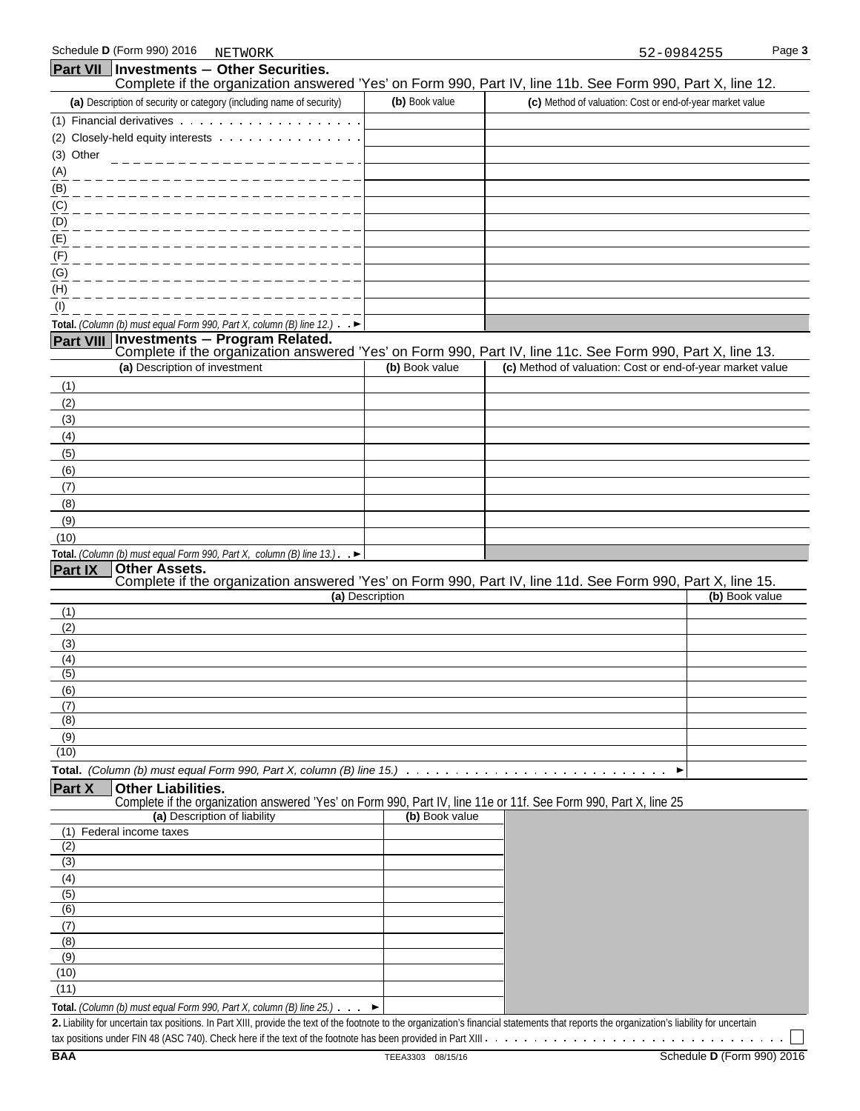|                         | <b>Part VII Investments - Other Securities.</b>                                                                                               |                 |                                                           |                |
|-------------------------|-----------------------------------------------------------------------------------------------------------------------------------------------|-----------------|-----------------------------------------------------------|----------------|
|                         | Complete if the organization answered 'Yes' on Form 990, Part IV, line 11b. See Form 990, Part X, line 12.                                    | (b) Book value  |                                                           |                |
|                         | (a) Description of security or category (including name of security)                                                                          |                 | (c) Method of valuation: Cost or end-of-year market value |                |
|                         |                                                                                                                                               |                 |                                                           |                |
| (3) Other               | (2) Closely-held equity interests                                                                                                             |                 |                                                           |                |
|                         |                                                                                                                                               |                 |                                                           |                |
| (A)<br>(B)              |                                                                                                                                               |                 |                                                           |                |
| (C)                     |                                                                                                                                               |                 |                                                           |                |
| (D)                     |                                                                                                                                               |                 |                                                           |                |
| (E)                     |                                                                                                                                               |                 |                                                           |                |
| (F)                     |                                                                                                                                               |                 |                                                           |                |
| (G)                     |                                                                                                                                               |                 |                                                           |                |
| (H)                     |                                                                                                                                               |                 |                                                           |                |
| (1)                     |                                                                                                                                               |                 |                                                           |                |
|                         | Total. (Column (b) must equal Form 990, Part X, column (B) line 12.) $\rightarrow$                                                            |                 |                                                           |                |
|                         | Part VIII Investments - Program Related.                                                                                                      |                 |                                                           |                |
|                         | Complete if the organization answered 'Yes' on Form 990, Part IV, line 11c. See Form 990, Part X, line 13.                                    |                 |                                                           |                |
|                         | (a) Description of investment                                                                                                                 | (b) Book value  | (c) Method of valuation: Cost or end-of-year market value |                |
| (1)                     |                                                                                                                                               |                 |                                                           |                |
| (2)                     |                                                                                                                                               |                 |                                                           |                |
| (3)                     |                                                                                                                                               |                 |                                                           |                |
| (4)                     |                                                                                                                                               |                 |                                                           |                |
| (5)                     |                                                                                                                                               |                 |                                                           |                |
| (6)                     |                                                                                                                                               |                 |                                                           |                |
| (7)                     |                                                                                                                                               |                 |                                                           |                |
| (8)<br>(9)              |                                                                                                                                               |                 |                                                           |                |
| (10)                    |                                                                                                                                               |                 |                                                           |                |
|                         | Total. (Column (b) must equal Form 990, Part X, column (B) line $13.$ ). $\blacktriangleright$                                                |                 |                                                           |                |
| <b>Part IX</b>          | <b>Other Assets.</b>                                                                                                                          |                 |                                                           |                |
|                         | Complete if the organization answered 'Yes' on Form 990, Part IV, line 11d. See Form 990, Part X, line 15.                                    |                 |                                                           |                |
|                         |                                                                                                                                               | (a) Description |                                                           | (b) Book value |
| (1)<br>(2)              |                                                                                                                                               |                 |                                                           |                |
| (3)                     |                                                                                                                                               |                 |                                                           |                |
| (4)                     |                                                                                                                                               |                 |                                                           |                |
| (5)                     |                                                                                                                                               |                 |                                                           |                |
| (6)                     |                                                                                                                                               |                 |                                                           |                |
| (7)                     |                                                                                                                                               |                 |                                                           |                |
| (8)                     |                                                                                                                                               |                 |                                                           |                |
| (9)                     |                                                                                                                                               |                 |                                                           |                |
| (10)                    |                                                                                                                                               |                 |                                                           |                |
|                         | Total. (Column (b) must equal Form 990, Part X, column (B) line $15.$ $\ldots \ldots \ldots \ldots \ldots \ldots \ldots \ldots \ldots \ldots$ |                 |                                                           |                |
| Part X                  | <b>Other Liabilities.</b><br>Complete if the organization answered 'Yes' on Form 990, Part IV, line 11e or 11f. See Form 990, Part X, line 25 |                 |                                                           |                |
|                         | (a) Description of liability                                                                                                                  | (b) Book value  |                                                           |                |
|                         | (1) Federal income taxes                                                                                                                      |                 |                                                           |                |
| (2)                     |                                                                                                                                               |                 |                                                           |                |
| (3)                     |                                                                                                                                               |                 |                                                           |                |
| (4)                     |                                                                                                                                               |                 |                                                           |                |
| $\overline{(5)}$<br>(6) |                                                                                                                                               |                 |                                                           |                |
| (7)                     |                                                                                                                                               |                 |                                                           |                |
| (8)                     |                                                                                                                                               |                 |                                                           |                |
| (9)                     |                                                                                                                                               |                 |                                                           |                |
| (10)                    |                                                                                                                                               |                 |                                                           |                |
| (11)                    |                                                                                                                                               |                 |                                                           |                |

**Total.** *(Column (b) must equal Form 990, Part X, column (B) line 25.)*

**2.** Liability for uncertain tax positions. In Part XIII, provide the text of the footnote to the organization's financial statements that reports the organization's liability for uncertain

tax positions under FIN 48 (ASC 740). Check here if the text of the footnote has been provided in Part XIII

 $\mathbf{I}$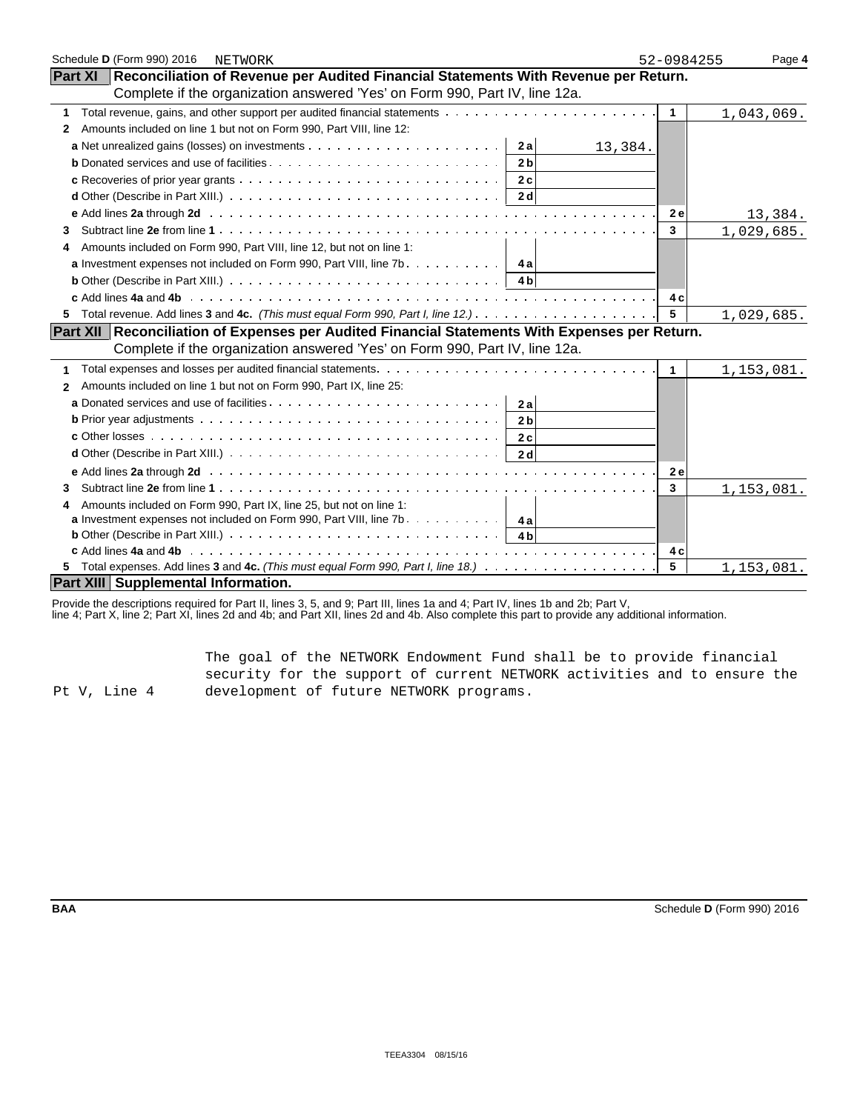| Schedule D (Form 990) 2016<br>NETWORK                                                                                                    | 52-0984255   | Page 4     |
|------------------------------------------------------------------------------------------------------------------------------------------|--------------|------------|
| Part XI   Reconciliation of Revenue per Audited Financial Statements With Revenue per Return.                                            |              |            |
| Complete if the organization answered 'Yes' on Form 990, Part IV, line 12a.                                                              |              |            |
| 1                                                                                                                                        | $\mathbf{1}$ | 1,043,069. |
| Amounts included on line 1 but not on Form 990, Part VIII, line 12:<br>2                                                                 |              |            |
| 2a<br>13,384.                                                                                                                            |              |            |
| 2 <sub>b</sub>                                                                                                                           |              |            |
| 2c                                                                                                                                       |              |            |
| <b>d</b> Other (Describe in Part XIII.) $\ldots$ $\ldots$ $\ldots$ $\ldots$ $\ldots$ $\ldots$ $\ldots$ $\ldots$ $\ldots$ $\ldots$<br>2 d |              |            |
|                                                                                                                                          | <b>2e</b>    | 13,384.    |
| 3                                                                                                                                        | $\mathbf{3}$ | 1,029,685. |
| Amounts included on Form 990, Part VIII, line 12, but not on line 1:<br>4                                                                |              |            |
| <b>a</b> Investment expenses not included on Form 990, Part VIII, line $7b$                                                              |              |            |
| <b>b</b> Other (Describe in Part XIII.) $\ldots \ldots \ldots \ldots \ldots \ldots \ldots \ldots \ldots \ldots \ldots \ldots$            |              |            |
|                                                                                                                                          | 4 c          |            |
| 5.                                                                                                                                       | 5            | 1,029,685. |
| Part XII Reconciliation of Expenses per Audited Financial Statements With Expenses per Return.                                           |              |            |
| Complete if the organization answered 'Yes' on Form 990, Part IV, line 12a.                                                              |              |            |
| 1                                                                                                                                        | $\mathbf{1}$ | 1,153,081. |
| Amounts included on line 1 but not on Form 990, Part IX, line 25:<br>$\mathbf{2}$                                                        |              |            |
| 2a                                                                                                                                       |              |            |
| 2 <sub>b</sub>                                                                                                                           |              |            |
| 2c                                                                                                                                       |              |            |
| 2d                                                                                                                                       |              |            |
|                                                                                                                                          | <b>2e</b>    |            |
| 3                                                                                                                                        | 3            | 1,153,081. |
| Amounts included on Form 990, Part IX, line 25, but not on line 1:                                                                       |              |            |
| <b>a</b> Investment expenses not included on Form 990, Part VIII, line 7b. $\dots \dots \dots$                                           |              |            |
| <b>b</b> Other (Describe in Part XIII.) $\ldots \ldots \ldots \ldots \ldots \ldots \ldots \ldots \ldots \ldots \ldots$<br>4 <sub>b</sub> |              |            |
|                                                                                                                                          | 4 c          |            |
|                                                                                                                                          | 5            | 1,153,081. |
| <b>Part XIII Supplemental Information.</b>                                                                                               |              |            |

Provide the descriptions required for Part II, lines 3, 5, and 9; Part III, lines 1a and 4; Part IV, lines 1b and 2b; Part V,

line 4; Part X, line 2; Part XI, lines 2d and 4b; and Part XII, lines 2d and 4b. Also complete this part to provide any additional information.

Pt V, Line 4 The goal of the NETWORK Endowment Fund shall be to provide financial security for the support of current NETWORK activities and to ensure the development of future NETWORK programs.

**BAA** Schedule **D** (Form 990) 2016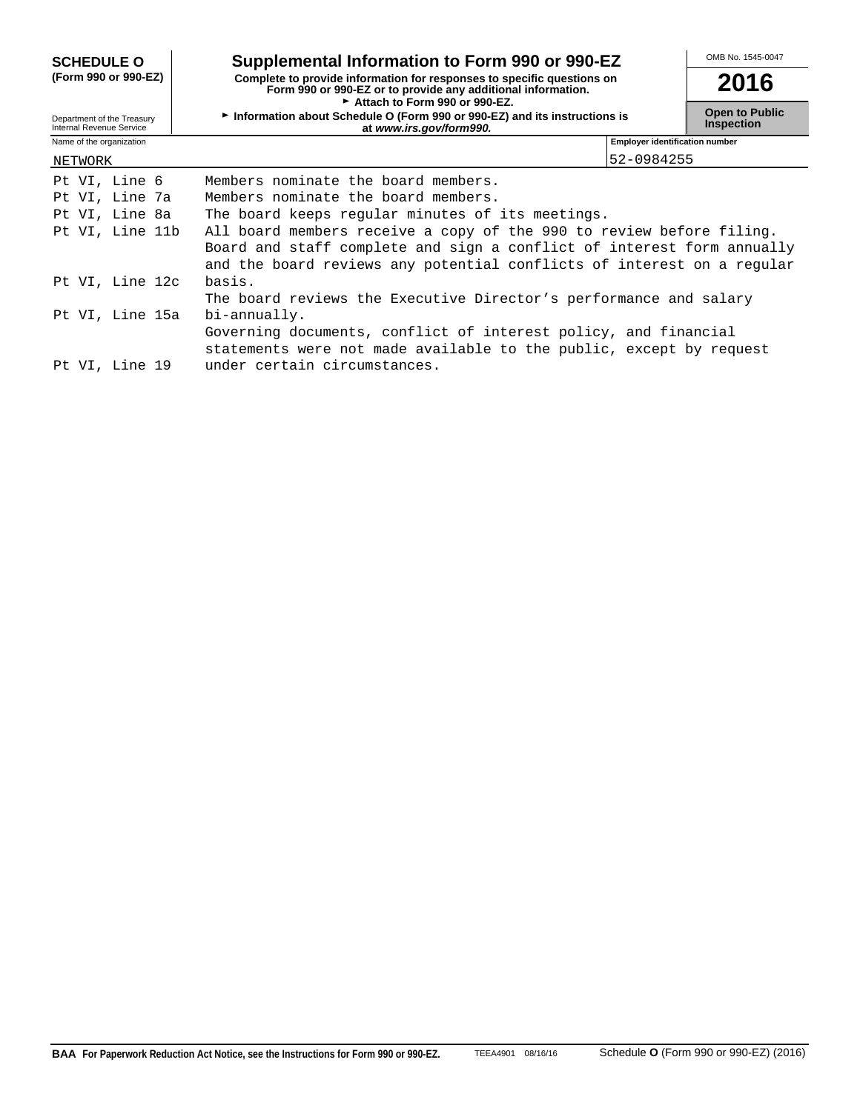| <b>SCHEDULE O</b>                                      | Supplemental Information to Form 990 or 990-EZ                                                                                                         | OMB No. 1545-0047                          |  |
|--------------------------------------------------------|--------------------------------------------------------------------------------------------------------------------------------------------------------|--------------------------------------------|--|
| (Form 990 or 990-EZ)                                   | Complete to provide information for responses to specific questions on<br>Form 990 or 990-EZ or to provide any additional information.                 | 2016                                       |  |
| Department of the Treasury<br>Internal Revenue Service | $\triangleright$ Attach to Form 990 or 990-EZ.<br>Information about Schedule O (Form 990 or 990-EZ) and its instructions is<br>at www.irs.gov/form990. | <b>Open to Public</b><br><b>Inspection</b> |  |
| Name of the organization                               | <b>Employer identification number</b>                                                                                                                  |                                            |  |
| NETWORK                                                | 52-0984255                                                                                                                                             |                                            |  |
| Pt VI, Line 6                                          | Members nominate the board members.                                                                                                                    |                                            |  |
| Pt VI, Line 7a                                         | Members nominate the board members.                                                                                                                    |                                            |  |
| Pt VI, Line 8a                                         | The board keeps regular minutes of its meetings.                                                                                                       |                                            |  |
| Pt VI, Line 11b                                        | All board members receive a copy of the 990 to review before filing.                                                                                   |                                            |  |
|                                                        | Board and staff complete and sign a conflict of interest form annually                                                                                 |                                            |  |
|                                                        | and the board reviews any potential conflicts of interest on a regular                                                                                 |                                            |  |
| Pt VI, Line 12c                                        | basis.                                                                                                                                                 |                                            |  |
|                                                        | The board reviews the Executive Director's performance and salary                                                                                      |                                            |  |
| Pt VI, Line 15a                                        | bi-annually.                                                                                                                                           |                                            |  |
|                                                        | Governing documents, conflict of interest policy, and financial                                                                                        |                                            |  |
|                                                        | statements were not made available to the public, except by request                                                                                    |                                            |  |
| Pt VI, Line 19                                         | under certain circumstances.                                                                                                                           |                                            |  |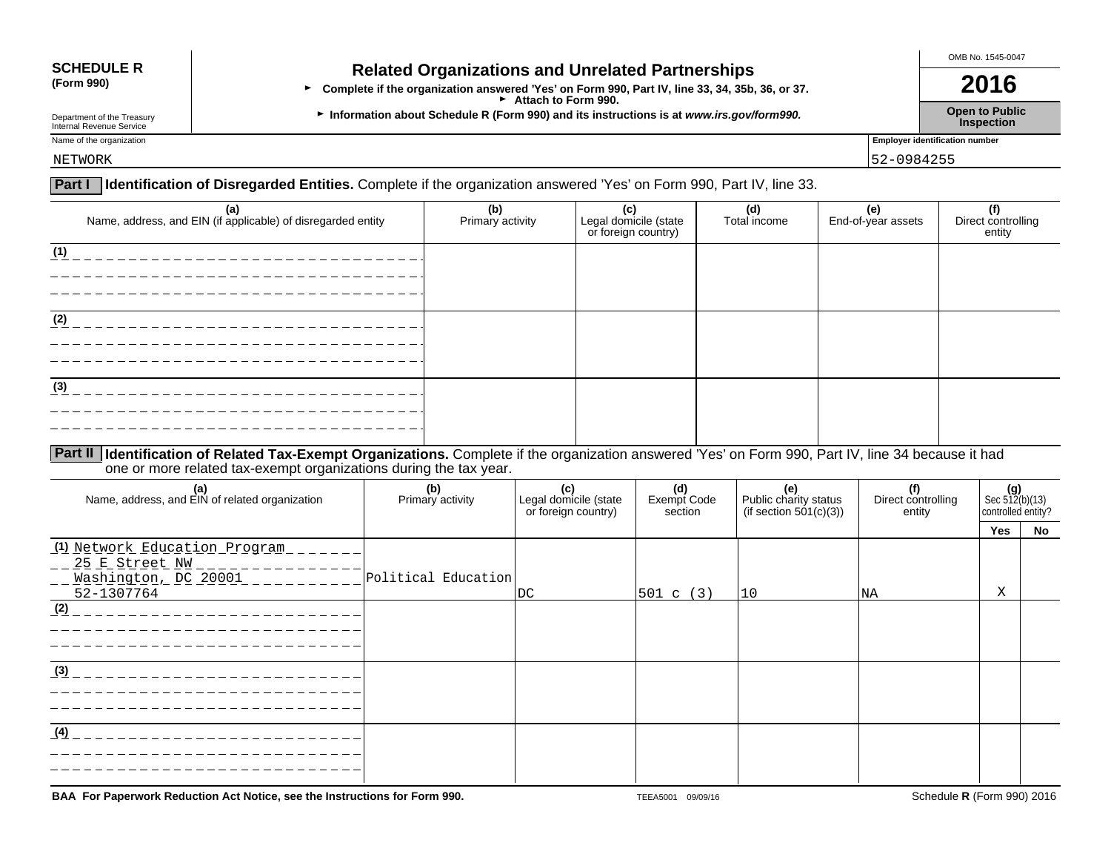# **SCHEDULE R Related Organizations and Unrelated Partnerships**<br>(Form 990) **Related Organizations and Unrelated Partnerships**

**•** Complete if the organization answered 'Yes' on Form 990, Part IV, line 33, 34, 35b, 36, or 37. **2016 ► Attach to Form 990.** 

Department of the Treasury **Information about Schedule R (Form 990) and its instructions is at** *www.irs.gov/form990.* **Open to Public inspection<br>Internal Revenue Service <b>Inspection** Department of the Treasury<br>Internal Revenue Service **Inspection**<br>Internal Revenue Service **Inspection** 

OMB No. 1545-0047

Name of the organization **Employer identification number** 

## **Part I Identification of Disregarded Entities.** Complete if the organization answered 'Yes' on Form 990, Part IV, line 33. NETWORK 52-0984255

| (a)<br>Name, address, and EIN (if applicable) of disregarded entity | (b)<br>Primary activity | (c)<br>Legal domicile (state<br>or foreign country) | (d)<br>Total income | (e)<br>End-of-year assets | $\overline{f}$<br>Direct controlling<br>entity |
|---------------------------------------------------------------------|-------------------------|-----------------------------------------------------|---------------------|---------------------------|------------------------------------------------|
| (1)                                                                 |                         |                                                     |                     |                           |                                                |
| (2)                                                                 |                         |                                                     |                     |                           |                                                |
| (3)                                                                 |                         |                                                     |                     |                           |                                                |
|                                                                     |                         |                                                     |                     |                           |                                                |

### **Part II Identification of Related Tax-Exempt Organizations.** Complete if the organization answered 'Yes' on Form 990, Part IV, line 34 because it had one or more related tax-exempt organizations during the tax year.

| (a)<br>Name, address, and EIN of related organization                                 | (b)<br>Primary activity | (c)<br>Legal domicile (state<br>or foreign country) | (d)<br>Exempt Code<br>section | $\vert$ Public charity status<br>(if section $501(c)(3)$ ) | (f)<br>Direct controlling<br>entity | $(g)$<br>Sec 512(b)(13)<br>controlled entity? |    |
|---------------------------------------------------------------------------------------|-------------------------|-----------------------------------------------------|-------------------------------|------------------------------------------------------------|-------------------------------------|-----------------------------------------------|----|
|                                                                                       |                         |                                                     |                               |                                                            |                                     | Yes                                           | No |
| (1) Network Education Program<br>25 E Street NW<br>Washington, DC 20001<br>52-1307764 | Political Education     | <b>DC</b>                                           | 501 c (3)                     | 10                                                         | <b>NA</b>                           | Χ                                             |    |
| (2)                                                                                   |                         |                                                     |                               |                                                            |                                     |                                               |    |
| (3)                                                                                   |                         |                                                     |                               |                                                            |                                     |                                               |    |
| (4)                                                                                   |                         |                                                     |                               |                                                            |                                     |                                               |    |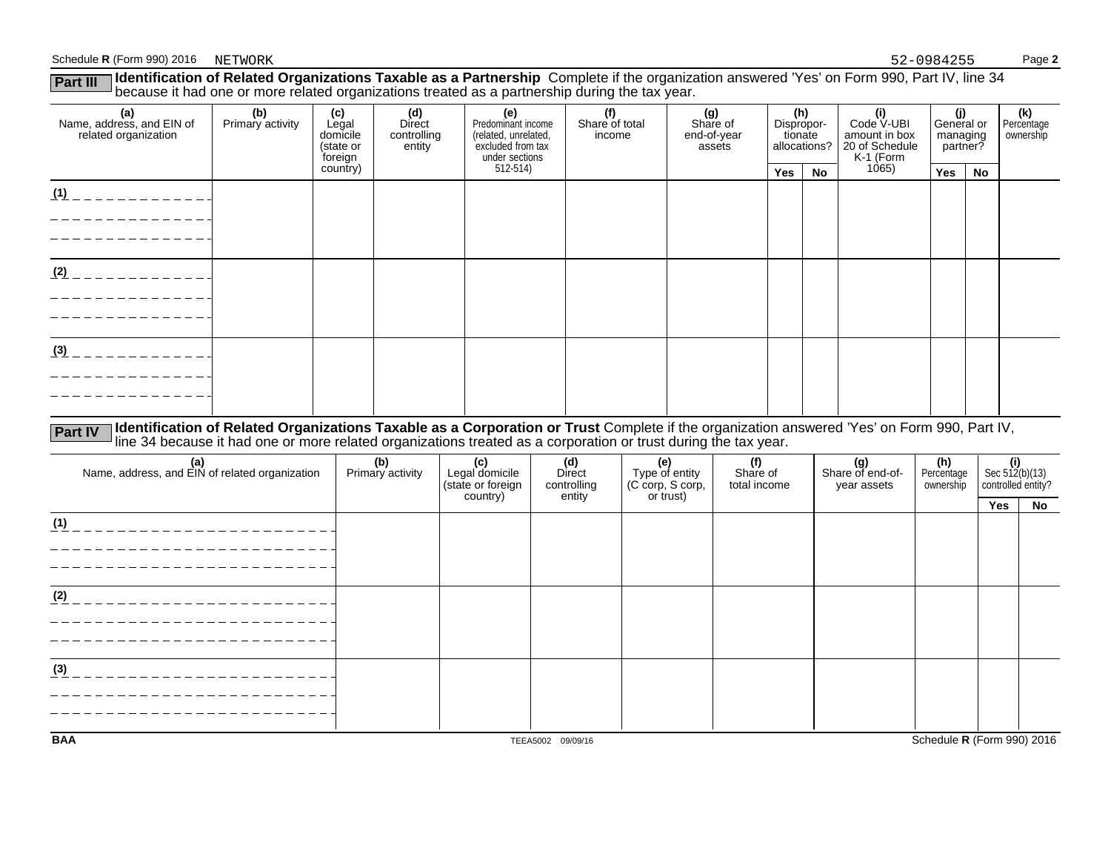#### Schedule **R** (Form 990) 2016 NETWORK Page 2

| Identification of Related Organizations Taxable as a Partnership Complete if the organization answered 'Yes' on Form 990, Part IV, line 34<br>Part III<br>because it had one or more related organizations treated as a partnership during the tax year. |                         |                                                  |                                        |                                                                                          |                                 |                                          |                              |              |                                                                   |                                           |    |                                |
|----------------------------------------------------------------------------------------------------------------------------------------------------------------------------------------------------------------------------------------------------------|-------------------------|--------------------------------------------------|----------------------------------------|------------------------------------------------------------------------------------------|---------------------------------|------------------------------------------|------------------------------|--------------|-------------------------------------------------------------------|-------------------------------------------|----|--------------------------------|
| (a)<br>Name, address, and EIN of<br>related organization                                                                                                                                                                                                 | (b)<br>Primary activity | (c)<br>Legal<br>domicile<br>(state or<br>foreign | (d)<br>Direct<br>controlling<br>entity | (e)<br>Predominant income<br>(related, unrelated,<br>excluded from tax<br>under sections | (f)<br>Share of total<br>income | (g)<br>Share of<br>end-of-year<br>assets | (h)<br>Dispropor-<br>tionate | allocations? | (i)<br>Code V-UBI<br>amount in box<br>20 of Schedule<br>K-1 (Form | (j)<br>General or<br>managing<br>partner? |    | (k)<br>Percentage<br>ownership |
|                                                                                                                                                                                                                                                          |                         | country)                                         |                                        | 512-514)                                                                                 |                                 |                                          | Yes                          | No           | 1065)                                                             | Yes                                       | No |                                |
| (1)                                                                                                                                                                                                                                                      |                         |                                                  |                                        |                                                                                          |                                 |                                          |                              |              |                                                                   |                                           |    |                                |
| (2)                                                                                                                                                                                                                                                      |                         |                                                  |                                        |                                                                                          |                                 |                                          |                              |              |                                                                   |                                           |    |                                |
| (3)                                                                                                                                                                                                                                                      |                         |                                                  |                                        |                                                                                          |                                 |                                          |                              |              |                                                                   |                                           |    |                                |

Part IV Identification of Related Organizations Taxable as a Corporation or Trust Complete if the organization answered 'Yes' on Form 990, Part IV,<br>line 34 because it had one or more related organizations treated as a corp

| (a)<br>Name, address, and EIN of related organization | (b)<br>Primary activity | (c)<br>Legal domicile<br>(state or foreign)<br>country) | (d)<br>Direct<br>controlling<br>entity | (e)<br>Type of entity<br>(C corp, S corp,<br>or trust) | (f)<br>Share of<br>total income | (g)<br>Share of end-of-<br>year assets | (h)<br>Percentage<br>ownership | $\left\{\n \begin{array}{l}\n \text{(i)} \\  \text{Sec } 512 \text{(b)} (13) \\  \text{controlled entity?}\n \end{array}\n\right.$ |    |
|-------------------------------------------------------|-------------------------|---------------------------------------------------------|----------------------------------------|--------------------------------------------------------|---------------------------------|----------------------------------------|--------------------------------|------------------------------------------------------------------------------------------------------------------------------------|----|
|                                                       |                         |                                                         |                                        |                                                        |                                 |                                        |                                | Yes                                                                                                                                | No |
| (1)                                                   |                         |                                                         |                                        |                                                        |                                 |                                        |                                |                                                                                                                                    |    |
|                                                       |                         |                                                         |                                        |                                                        |                                 |                                        |                                |                                                                                                                                    |    |
|                                                       |                         |                                                         |                                        |                                                        |                                 |                                        |                                |                                                                                                                                    |    |
|                                                       |                         |                                                         |                                        |                                                        |                                 |                                        |                                |                                                                                                                                    |    |
| (2)                                                   |                         |                                                         |                                        |                                                        |                                 |                                        |                                |                                                                                                                                    |    |
|                                                       |                         |                                                         |                                        |                                                        |                                 |                                        |                                |                                                                                                                                    |    |
|                                                       |                         |                                                         |                                        |                                                        |                                 |                                        |                                |                                                                                                                                    |    |
|                                                       |                         |                                                         |                                        |                                                        |                                 |                                        |                                |                                                                                                                                    |    |
| (3)                                                   |                         |                                                         |                                        |                                                        |                                 |                                        |                                |                                                                                                                                    |    |
|                                                       |                         |                                                         |                                        |                                                        |                                 |                                        |                                |                                                                                                                                    |    |
|                                                       |                         |                                                         |                                        |                                                        |                                 |                                        |                                |                                                                                                                                    |    |
|                                                       |                         |                                                         |                                        |                                                        |                                 |                                        |                                |                                                                                                                                    |    |
| <b>BAA</b>                                            |                         |                                                         | TEEA5002 09/09/16                      |                                                        |                                 |                                        | Schedule R (Form 990) 2016     |                                                                                                                                    |    |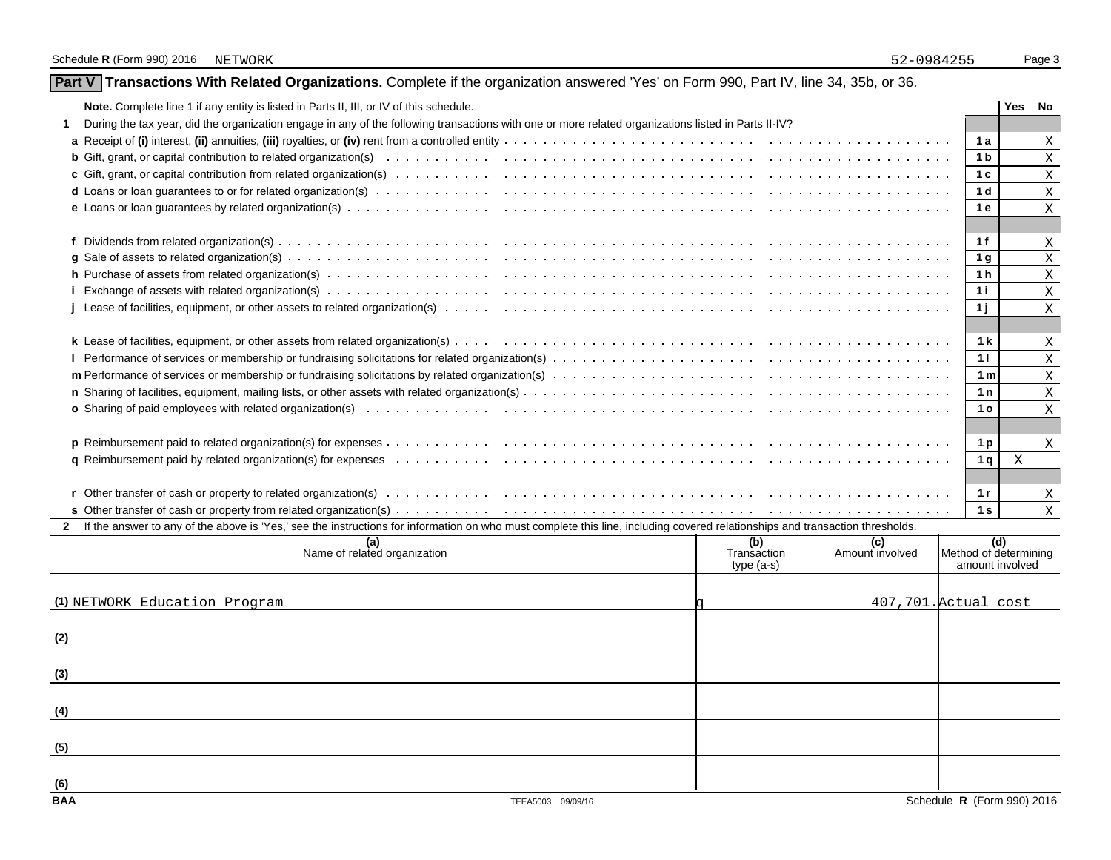| Part V Transactions With Related Organizations. Complete if the organization answered 'Yes' on Form 990, Part IV, line 34, 35b, or 36. |
|----------------------------------------------------------------------------------------------------------------------------------------|
|----------------------------------------------------------------------------------------------------------------------------------------|

| <b>Note.</b> Complete line 1 if any entity is listed in Parts II, III, or IV of this schedule.                                                                                                                                 |                | Yes No |              |
|--------------------------------------------------------------------------------------------------------------------------------------------------------------------------------------------------------------------------------|----------------|--------|--------------|
| During the tax year, did the organization engage in any of the following transactions with one or more related organizations listed in Parts II-IV?                                                                            |                |        |              |
|                                                                                                                                                                                                                                | 1 a            |        | X            |
|                                                                                                                                                                                                                                | 1 <sub>b</sub> |        | X            |
|                                                                                                                                                                                                                                | 1 <sub>c</sub> |        | X            |
| d Loans or loan guarantees to or for related organization(s) with the content of the content of the content of the content of the content of the content of the content of the content of the content of the content of the co | 1 <sub>d</sub> |        | X            |
|                                                                                                                                                                                                                                | 1e             |        | $\mathbf{X}$ |
|                                                                                                                                                                                                                                |                |        |              |
|                                                                                                                                                                                                                                | 1f             |        | X            |
|                                                                                                                                                                                                                                | 1 g            |        | Χ            |
|                                                                                                                                                                                                                                | 1 <sub>h</sub> |        | X            |
|                                                                                                                                                                                                                                | 1 i            |        | X            |
|                                                                                                                                                                                                                                | 11             |        | $\mathbf{X}$ |
|                                                                                                                                                                                                                                |                |        |              |
|                                                                                                                                                                                                                                | 1 <sub>k</sub> |        | Χ            |
|                                                                                                                                                                                                                                | 11             |        | X            |
|                                                                                                                                                                                                                                | 1 <sub>m</sub> |        | X            |
|                                                                                                                                                                                                                                | 1n             |        | X            |
|                                                                                                                                                                                                                                | 1 <sub>o</sub> |        | $\mathbf{X}$ |
|                                                                                                                                                                                                                                |                |        |              |
|                                                                                                                                                                                                                                | 1 p            |        | $\mathbf{X}$ |
| q Reimbursement paid by related organization(s) for expenses entermination on the content of the content of the content of the content of the content of the content of the content of the content of the content of the conte | 1q             | X      |              |
|                                                                                                                                                                                                                                |                |        |              |
|                                                                                                                                                                                                                                | 1r             |        | X            |
|                                                                                                                                                                                                                                | 1 <sub>s</sub> |        | $\mathbf{X}$ |
| 2 If the answer to any of the above is 'Yes,' see the instructions for information on who must complete this line, including covered relationships and transaction thresholds.                                                 |                |        |              |

| (a)<br>Name of related organization |                   | (b)<br>Transaction<br>type (a-s) | (c)<br>Amount involved | (d)<br>Method of determining<br>amount involved |
|-------------------------------------|-------------------|----------------------------------|------------------------|-------------------------------------------------|
| (1) NETWORK Education Program       |                   |                                  |                        | 407,701. Actual cost                            |
| (2)                                 |                   |                                  |                        |                                                 |
| (3)                                 |                   |                                  |                        |                                                 |
| (4)                                 |                   |                                  |                        |                                                 |
| (5)                                 |                   |                                  |                        |                                                 |
| (6)<br><b>BAA</b>                   | TEEA5003 09/09/16 |                                  |                        | Schedule R (Form 990) 2016                      |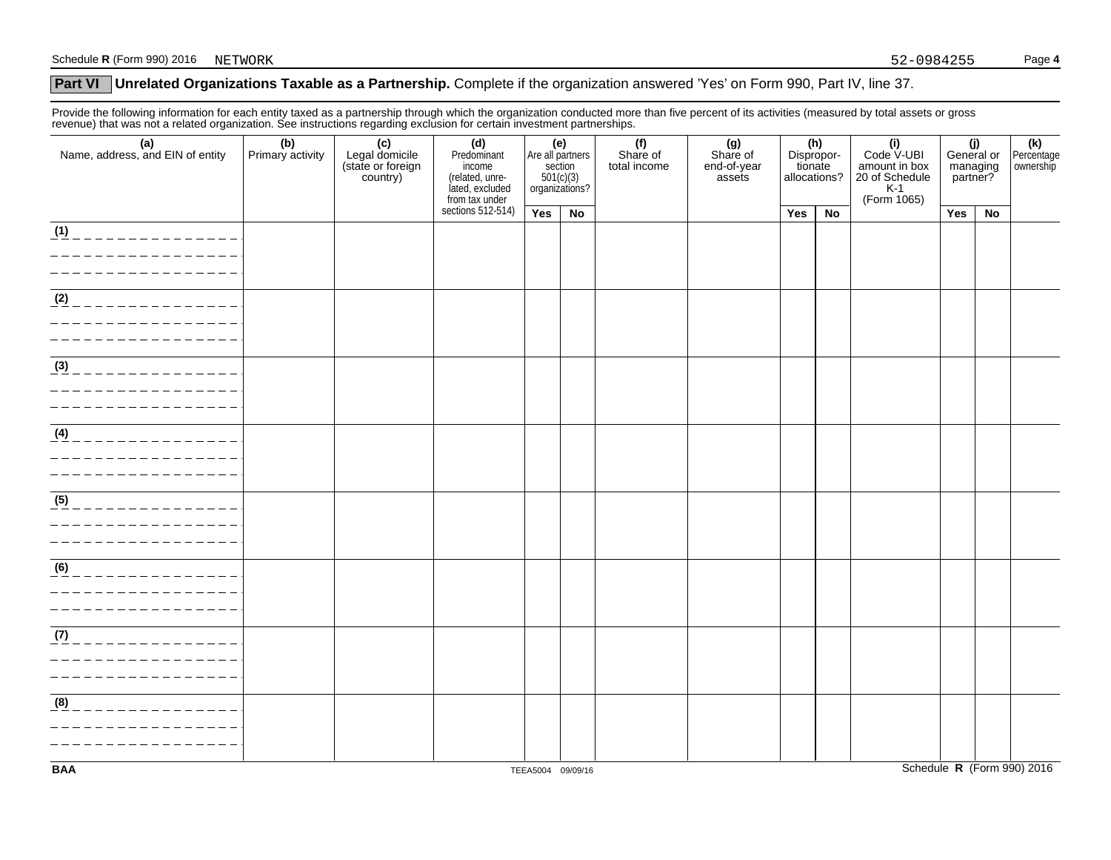### **Part VI** Unrelated Organizations Taxable as a Partnership. Complete if the organization answered 'Yes' on Form 990, Part IV, line 37.

Provide the following information for each entity taxed as a partnership through which the organization conducted more than five percent of its activities (measured by total assets or gross revenue) that was not a related organization. See instructions regarding exclusion for certain investment partnerships.

| (a)<br>Name, address, and EIN of entity                                                   | (b)<br>Primary activity | (c)<br>Legal domicile<br>(state or foreign<br>country) | (d)<br>Predominant<br>income<br>(related, unre-<br>lated, excluded | (e)<br>Are all partners<br>section<br>$501(c)(3)$<br>organizations? |    | (f)<br>Share of<br>total income | (g)<br>Share of<br>end-of-year<br>assets | (h)<br>Dispropor-<br>tionate<br>allocations? |    | (i)<br>Code V-UBI<br>amount in box<br>20 of Schedule<br>K-1<br>(Form 1065) | (j)<br>General or<br>managing<br>partner? |    | (k)<br>Percentage<br>ownership |
|-------------------------------------------------------------------------------------------|-------------------------|--------------------------------------------------------|--------------------------------------------------------------------|---------------------------------------------------------------------|----|---------------------------------|------------------------------------------|----------------------------------------------|----|----------------------------------------------------------------------------|-------------------------------------------|----|--------------------------------|
|                                                                                           |                         |                                                        | from tax under<br>sections 512-514)                                | Yes                                                                 | No |                                 |                                          | Yes                                          | No |                                                                            | Yes                                       | No |                                |
| (1)<br>_______________                                                                    |                         |                                                        |                                                                    |                                                                     |    |                                 |                                          |                                              |    |                                                                            |                                           |    |                                |
| $\overline{ (2)$ _ _ _ _ _ _ _ _ _ _ _ _ _ _ _ _                                          |                         |                                                        |                                                                    |                                                                     |    |                                 |                                          |                                              |    |                                                                            |                                           |    |                                |
| $\frac{(3)}{2}$ _ _ _ _ _ _ _ _ _ _ _ _ _ _ _ _ _<br>_______________<br>_________________ |                         |                                                        |                                                                    |                                                                     |    |                                 |                                          |                                              |    |                                                                            |                                           |    |                                |
| $\overline{\frac{(4)}{4}}$ _ _ _ _ _ _ _ _ _ _ _ _ _ _ _ _ _<br>__________________        |                         |                                                        |                                                                    |                                                                     |    |                                 |                                          |                                              |    |                                                                            |                                           |    |                                |
| $(5)$ _ _ _ _ _ _ _ _ _ _ _ _ _ _ _ _                                                     |                         |                                                        |                                                                    |                                                                     |    |                                 |                                          |                                              |    |                                                                            |                                           |    |                                |
| (6)<br>. _ _ _ _ _ _ _ _ _ _ _ _ _ _<br>_________________                                 |                         |                                                        |                                                                    |                                                                     |    |                                 |                                          |                                              |    |                                                                            |                                           |    |                                |
| $(7)$ _ _ _ _ _ _ _ _ _ _ _ _ _ _ _ _<br>_________________<br>__________________          |                         |                                                        |                                                                    |                                                                     |    |                                 |                                          |                                              |    |                                                                            |                                           |    |                                |
| (8)<br>______________                                                                     |                         |                                                        |                                                                    |                                                                     |    |                                 |                                          |                                              |    |                                                                            |                                           |    |                                |
| <b>BAA</b>                                                                                |                         |                                                        |                                                                    | TEEA5004 09/09/16                                                   |    |                                 |                                          |                                              |    |                                                                            |                                           |    | Schedule R (Form 990) 2016     |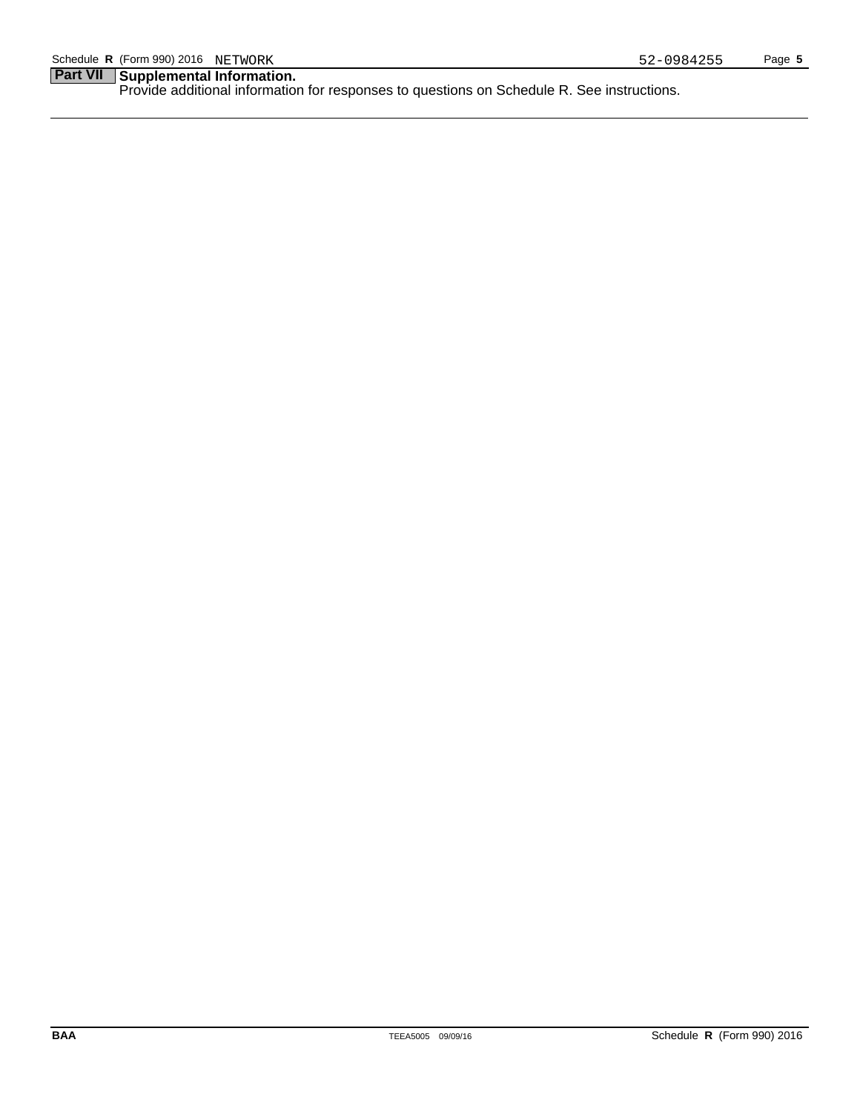## **Part VII Supplemental Information.**

Provide additional information for responses to questions on Schedule R. See instructions.